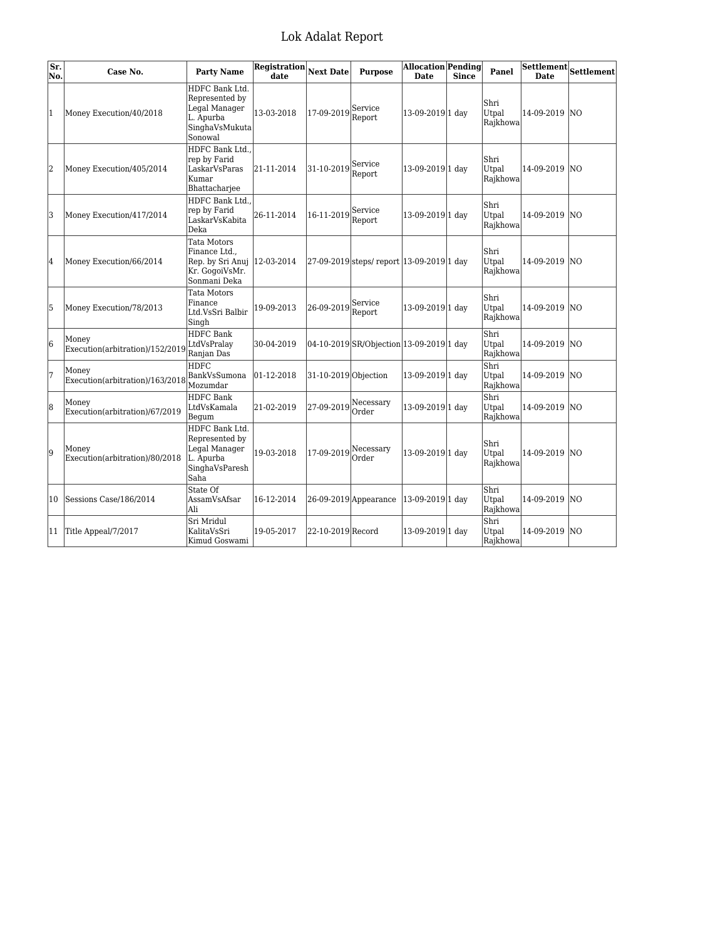| Sr.<br>No.     | Case No.                                 | <b>Party Name</b>                                                                               | <b>Registration</b><br>date | <b>Next Date</b>                    | <b>Purpose</b>                            | <b>Allocation</b> Pending<br><b>Date</b> | <b>Since</b> | Panel                     | <b>Date</b>   | $\overline{\text{Settlement}}\text{Settlement}$ |
|----------------|------------------------------------------|-------------------------------------------------------------------------------------------------|-----------------------------|-------------------------------------|-------------------------------------------|------------------------------------------|--------------|---------------------------|---------------|-------------------------------------------------|
| $\overline{1}$ | Money Execution/40/2018                  | HDFC Bank Ltd.<br>Represented by<br>Legal Manager<br>L. Apurba<br>SinghaVsMukuta<br>Sonowal     | 13-03-2018                  | 17-09-2019 Service                  | Report                                    | 13-09-2019 1 day                         |              | Shri<br>Utpal<br>Rajkhowa | 14-09-2019    | <b>NO</b>                                       |
| 2              | Money Execution/405/2014                 | HDFC Bank Ltd<br>rep by Farid<br>LaskarVsParas<br>Kumar<br>Bhattacharjee                        | 21-11-2014                  | 31-10-2019                          | Service<br>Report                         | 13-09-2019 1 day                         |              | Shri<br>Utpal<br>Rajkhowa | 14-09-2019    | <b>NO</b>                                       |
| 3              | Money Execution/417/2014                 | HDFC Bank Ltd<br>rep by Farid<br>LaskarVsKabita<br>Deka                                         | 26-11-2014                  | 16-11-2019                          | Service<br>Report                         | 13-09-2019 1 day                         |              | Shri<br>Utpal<br>Rajkhowa | 14-09-2019    | <b>NO</b>                                       |
| 4              | Money Execution/66/2014                  | Tata Motors<br>Finance Ltd.,<br>Rep. by Sri Anuj   12-03-2014<br>Kr. GogoiVsMr.<br>Sonmani Deka |                             |                                     | 27-09-2019 steps/ report 13-09-2019 1 day |                                          |              | Shri<br>Utpal<br>Rajkhowa | 14-09-2019 NO |                                                 |
| 5              | Money Execution/78/2013                  | <b>Tata Motors</b><br>Finance<br>Ltd.VsSri Balbir<br>Singh                                      | 19-09-2013                  | 26-09-2019 Service                  | Report                                    | 13-09-2019 1 day                         |              | Shri<br>Utpal<br>Rajkhowa | 14-09-2019    | <b>NO</b>                                       |
| 6              | Money<br>Execution(arbitration)/152/2019 | <b>HDFC</b> Bank<br>LtdVsPralay<br>Ranjan Das                                                   | 30-04-2019                  |                                     | 04-10-2019 SR/Objection 13-09-2019 1 day  |                                          |              | Shri<br>Utpal<br>Rajkhowa | 14-09-2019    | <b>NO</b>                                       |
| 7              | Money<br>Execution(arbitration)/163/2018 | <b>HDFC</b><br>BankVsSumona<br>Mozumdar                                                         | $ 01-12-2018$               | 31-10-2019 Objection                |                                           | 13-09-2019 1 day                         |              | Shri<br>Utpal<br>Rajkhowa | 14-09-2019    | <b>NO</b>                                       |
| 8              | Money<br>Execution(arbitration)/67/2019  | <b>HDFC Bank</b><br>LtdVsKamala<br>Begum                                                        | 21-02-2019                  | $ 27-09-2019 $ <sup>Necessary</sup> | Order                                     | 13-09-2019 1 day                         |              | Shri<br>Utpal<br>Rajkhowa | 14-09-2019    | lno                                             |
| 9              | Money<br>Execution(arbitration)/80/2018  | HDFC Bank Ltd.<br>Represented by<br>Legal Manager<br>L. Apurba<br>SinghaVsParesh<br>Saha        | 19-03-2018                  | $ 17-09-2019 $ <sup>Necessary</sup> | Order                                     | 13-09-2019 1 day                         |              | Shri<br>Utpal<br>Rajkhowa | 14-09-2019    | <b>NO</b>                                       |
| 10             | Sessions Case/186/2014                   | State Of<br>AssamVsAfsar<br>Ali                                                                 | 16-12-2014                  |                                     | 26-09-2019 Appearance                     | 13-09-2019 1 day                         |              | Shri<br>Utpal<br>Rajkhowa | 14-09-2019    | lno.                                            |
| 11             | Title Appeal/7/2017                      | Sri Mridul<br>KalitaVsSri<br>Kimud Goswami                                                      | 19-05-2017                  | 22-10-2019 Record                   |                                           | 13-09-2019 1 day                         |              | Shri<br>Utpal<br>Rajkhowa | 14-09-2019    | <b>NO</b>                                       |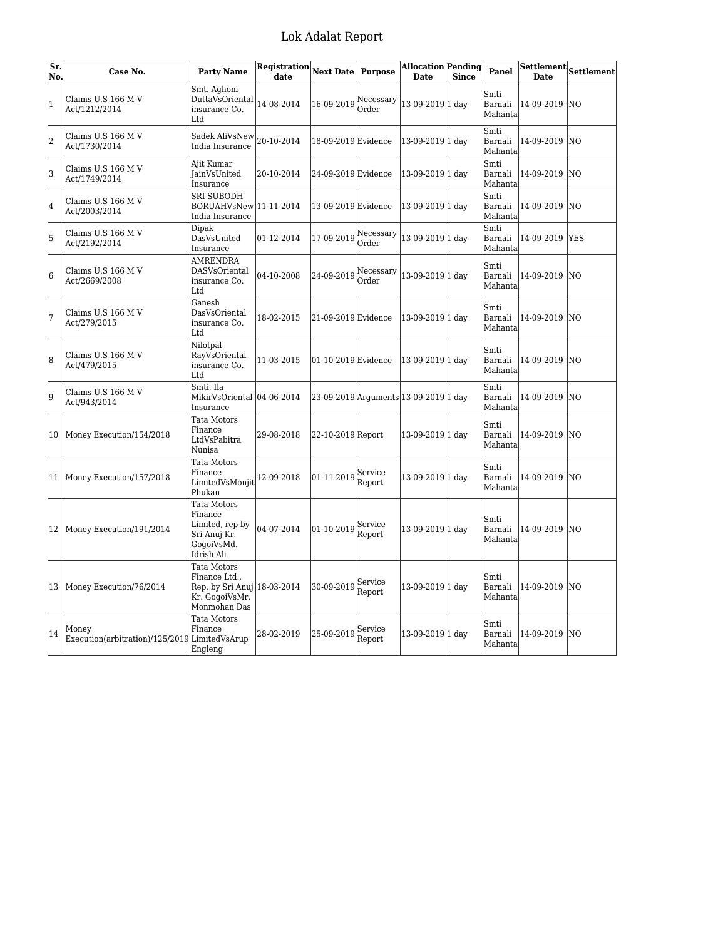| Sr.<br>No.     | Case No.                                                | <b>Party Name</b>                                                                             | Registration<br>date | <b>Next Date</b>    | <b>Purpose</b>     | Allocation Pending<br><b>Date</b>     | <b>Since</b> | Panel                       | <b>Settlement</b><br><b>Date</b> | Settlement |
|----------------|---------------------------------------------------------|-----------------------------------------------------------------------------------------------|----------------------|---------------------|--------------------|---------------------------------------|--------------|-----------------------------|----------------------------------|------------|
| $\mathbf{1}$   | Claims U.S 166 M V<br>Act/1212/2014                     | Smt. Aghoni<br>DuttaVsOriental<br>insurance Co.<br>Ltd                                        | 14-08-2014           | 16-09-2019          | Necessary<br>Order | 13-09-2019 1 day                      |              | Smti<br>Barnali<br>Mahanta  | 14-09-2019                       | <b>NO</b>  |
| $\overline{2}$ | Claims U.S 166 M V<br>Act/1730/2014                     | Sadek AliVsNew<br>India Insurance                                                             | 20-10-2014           | 18-09-2019 Evidence |                    | 13-09-2019 1 day                      |              | Smti<br>Barnali<br>Mahanta  | 14-09-2019                       | lΝO        |
| 3              | Claims U.S 166 M V<br>Act/1749/2014                     | Aiit Kumar<br><b>JainVsUnited</b><br>Insurance                                                | 20-10-2014           | 24-09-2019 Evidence |                    | 13-09-2019 1 day                      |              | Smti<br>Barnali<br>Mahanta  | 14-09-2019                       | NO.        |
| 4              | Claims U.S 166 M V<br>Act/2003/2014                     | SRI SUBODH<br>BORUAHVsNew   11-11-2014<br>India Insurance                                     |                      | 13-09-2019 Evidence |                    | 13-09-2019 1 day                      |              | Smti<br>Barnali<br>Mahanta  | 14-09-2019                       | NO.        |
| 5              | Claims U.S 166 M V<br>Act/2192/2014                     | Dipak<br>DasVsUnited<br>Insurance                                                             | 01-12-2014           | 17-09-2019          | Necessary<br>Order | 13-09-2019 1 day                      |              | Smti<br>Barnali<br>Mahanta  | 14-09-2019                       | <b>YES</b> |
| 6              | Claims U.S 166 M V<br>Act/2669/2008                     | <b>AMRENDRA</b><br>DASVsOriental<br>insurance Co.<br>Ltd                                      | 04-10-2008           | 24-09-2019          | Necessary<br>Order | 13-09-2019 1 day                      |              | Smti<br>Barnali<br>Mahanta  | 14-09-2019                       | INO        |
| 7              | Claims U.S 166 M V<br>Act/279/2015                      | Ganesh<br>DasVsOriental<br>insurance Co.<br>Ltd                                               | 18-02-2015           | 21-09-2019 Evidence |                    | 13-09-2019 1 day                      |              | Smti<br>Barnali<br>Mahanta  | 14-09-2019                       | NO.        |
| $\overline{8}$ | Claims U.S 166 M V<br>Act/479/2015                      | Nilotpal<br>RayVsOriental<br>insurance Co.<br>Ltd                                             | 11-03-2015           | 01-10-2019 Evidence |                    | 13-09-2019 1 day                      |              | Smti<br>Barnali<br>Mahanta  | 14-09-2019                       | INO.       |
| 9              | Claims U.S 166 M V<br>Act/943/2014                      | Smti. Ila<br>MikirVsOriental  04-06-2014<br>Insurance                                         |                      |                     |                    | 23-09-2019 Arguments 13-09-2019 1 day |              | Smti<br>Barnali<br>Mahanta  | 14-09-2019                       | NO.        |
| 10             | Money Execution/154/2018                                | Tata Motors<br>Finance<br>LtdVsPabitra<br>Nunisa                                              | 29-08-2018           | 22-10-2019 Report   |                    | 13-09-2019 1 day                      |              | Smti<br>Barnali<br>Mahanta  | 14-09-2019                       | lΝO        |
| 11             | Money Execution/157/2018                                | Tata Motors<br>Finance<br>LimitedVsMonjit<br>Phukan                                           | 12-09-2018           | 01-11-2019          | Service<br>Report  | 13-09-2019 1 day                      |              | Smti<br>Barnali<br>Mahanta  | 14-09-2019                       | NO.        |
| 12             | Money Execution/191/2014                                | Tata Motors<br>Finance<br>Limited, rep by<br>Sri Anuj Kr.<br>GogoiVsMd.<br>Idrish Ali         | 04-07-2014           | 01-10-2019          | Service<br>Report  | 13-09-2019 1 day                      |              | Smti<br>Barnali<br>Mahanta  | 14-09-2019 NO                    |            |
| 13             | Money Execution/76/2014                                 | Tata Motors<br>Finance Ltd.,<br>Rep. by Sri Anuj 18-03-2014<br>Kr. GogoiVsMr.<br>Monmohan Das |                      | 30-09-2019          | Service<br>Report  | 13-09-2019 1 day                      |              | Smti<br>Barnali<br>Mahantal | 14-09-2019                       | <b>NO</b>  |
| 14             | Money<br>Execution(arbitration)/125/2019 Limited VsArup | Tata Motors<br>Finance<br>Engleng                                                             | 28-02-2019           | 25-09-2019          | Service<br>Report  | 13-09-2019 1 day                      |              | Smti<br>Barnali<br>Mahanta  | 14-09-2019                       | lΝO        |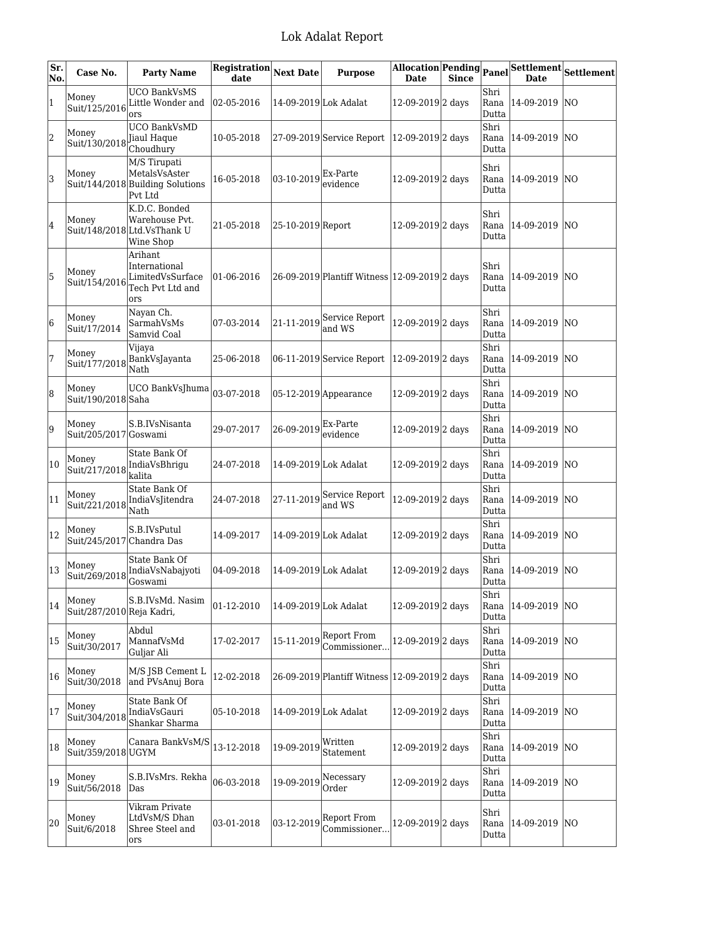| Sr.<br>No. | Case No.                           | <b>Party Name</b>                                                            | Registration<br>date | <b>Next Date</b>        | <b>Purpose</b>                                | Allocation Pending Panel<br><b>Date</b> | <b>Since</b> |                       | <b>Date</b>     | $\overline{\text{Settlement}}\text{Settlement}$ |
|------------|------------------------------------|------------------------------------------------------------------------------|----------------------|-------------------------|-----------------------------------------------|-----------------------------------------|--------------|-----------------------|-----------------|-------------------------------------------------|
| $\vert$ 1  | Money<br>Suit/125/2016             | <b>UCO BankVsMS</b><br>Little Wonder and<br>ors                              | 02-05-2016           | 14-09-2019 Lok Adalat   |                                               | 12-09-2019 <sub>2</sub> days            |              | Shri<br>Rana<br>Dutta | 14-09-2019      | N <sub>0</sub>                                  |
| 2          | Money<br>Suit/130/2018             | <b>UCO BankVsMD</b><br>Jiaul Haque<br>Choudhury                              | 10-05-2018           |                         | 27-09-2019 Service Report                     | 12-09-2019 <sub>2</sub> days            |              | Shri<br>Rana<br>Dutta | 14-09-2019 NO   |                                                 |
| 3          | Money                              | M/S Tirupati<br>MetalsVsAster<br>Suit/144/2018 Building Solutions<br>Pvt Ltd | 16-05-2018           | $ 03-10-2019 $ Ex-Parte | evidence                                      | 12-09-2019 <sub>2</sub> days            |              | Shri<br>Rana<br>Dutta | 14-09-2019      | lΝO                                             |
| 4          | Money                              | K.D.C. Bonded<br>Warehouse Pvt.<br>Suit/148/2018 Ltd. VsThank U<br>Wine Shop | 21-05-2018           | 25-10-2019 Report       |                                               | 12-09-2019 <sup>2</sup> days            |              | Shri<br>Rana<br>Dutta | 14-09-2019 NO   |                                                 |
| 5          | Money<br>Suit/154/2016             | Arihant<br>International<br>LimitedVsSurface<br>Tech Pvt Ltd and<br>ors      | 01-06-2016           |                         | 26-09-2019 Plantiff Witness 12-09-2019 2 days |                                         |              | Shri<br>Rana<br>Dutta | 14-09-2019   NO |                                                 |
| 6          | Money<br>Suit/17/2014              | Nayan Ch.<br>SarmahVsMs<br>Samvid Coal                                       | 07-03-2014           | 21-11-2019              | Service Report<br>and WS                      | 12-09-2019 <sub>2</sub> days            |              | Shri<br>Rana<br>Dutta | 14-09-2019 NO   |                                                 |
| 7          | Money<br>Suit/177/2018             | Vijaya<br>BankVsJayanta<br>Nath                                              | 25-06-2018           |                         | 06-11-2019 Service Report                     | 12-09-2019 <sup>2</sup> days            |              | Shri<br>Rana<br>Dutta | 14-09-2019 NO   |                                                 |
| 8          | Money<br>Suit/190/2018 Saha        | UCO BankVsJhuma                                                              | 03-07-2018           |                         | 05-12-2019 Appearance                         | 12-09-2019 <sub>2</sub> days            |              | Shri<br>Rana<br>Dutta | 14-09-2019 NO   |                                                 |
| 9          | Money<br>Suit/205/2017 Goswami     | S.B.IVsNisanta                                                               | 29-07-2017           | 26-09-2019              | Ex-Parte<br>evidence                          | 12-09-2019 2 days                       |              | Shri<br>Rana<br>Dutta | 14-09-2019      | <b>NO</b>                                       |
| 10         | Money<br>Suit/217/2018             | State Bank Of<br>IndiaVsBhrigu<br>kalita                                     | 24-07-2018           | 14-09-2019 Lok Adalat   |                                               | 12-09-2019 <sub>2</sub> days            |              | Shri<br>Rana<br>Dutta | 14-09-2019      | NO                                              |
| 11         | Money<br>Suit/221/2018             | State Bank Of<br>IndiaVsJitendra<br>Nath                                     | 24-07-2018           |                         | $27-11-2019$ Service Report<br>and WS         | 12-09-2019 <sub>2</sub> days            |              | Shri<br>Rana<br>Dutta | 14-09-2019      | lΝO                                             |
| 12         | Money<br>Suit/245/2017 Chandra Das | S.B.IVsPutul                                                                 | 14-09-2017           | 14-09-2019 Lok Adalat   |                                               | 12-09-2019 <sub>2</sub> days            |              | Shri<br>Rana<br>Dutta | 14-09-2019      | lΝO                                             |
| 13         | Money<br>Suit/269/2018             | State Bank Of<br>IndiaVsNabajyoti<br>Goswami                                 | 04-09-2018           | 14-09-2019 Lok Adalat   |                                               | 12-09-2019 <sub>2</sub> days            |              | Shri<br>Rana<br>Dutta | 14-09-2019      | <b>NO</b>                                       |
| 14         | Money<br>Suit/287/2010 Reja Kadri, | S.B.IVsMd. Nasim                                                             | 01-12-2010           | 14-09-2019 Lok Adalat   |                                               | 12-09-2019 <sup>2</sup> days            |              | Shri<br>Rana<br>Dutta | 14-09-2019      | NO                                              |
| 15         | Money<br>Suit/30/2017              | Abdul<br>MannafVsMd<br>Guljar Ali                                            | 17-02-2017           | 15-11-2019              | Report From<br>Commissioner                   | 12-09-2019 <sub>2</sub> days            |              | Shri<br>Rana<br>Dutta | 14-09-2019 NO   |                                                 |
| 16         | Money<br>Suit/30/2018              | M/S JSB Cement L<br>and PVsAnuj Bora                                         | 12-02-2018           |                         | 26-09-2019 Plantiff Witness 12-09-2019 2 days |                                         |              | Shri<br>Rana<br>Dutta | 14-09-2019      | NO.                                             |
| 17         | Money<br>Suit/304/2018             | State Bank Of<br>IndiaVsGauri<br>Shankar Sharma                              | 05-10-2018           | 14-09-2019 Lok Adalat   |                                               | 12-09-2019 <sub>2</sub> days            |              | Shri<br>Rana<br>Dutta | 14-09-2019  NO  |                                                 |
| 18         | Money<br>Suit/359/2018 UGYM        | Canara BankVsM/S                                                             | 13-12-2018           | 19-09-2019              | Written<br>Statement                          | 12-09-2019 2 days                       |              | Shri<br>Rana<br>Dutta | 14-09-2019 NO   |                                                 |
| 19         | Money<br>Suit/56/2018              | S.B.IVsMrs. Rekha<br>Das                                                     | 06-03-2018           | 19-09-2019              | Necessary<br>Order                            | 12-09-2019 <sub>2</sub> days            |              | Shri<br>Rana<br>Dutta | 14-09-2019  NO  |                                                 |
| 20         | Money<br>Suit/6/2018               | Vikram Private<br>LtdVsM/S Dhan<br>Shree Steel and<br>ors                    | 03-01-2018           | 03-12-2019              | Report From<br>Commissioner                   | 12-09-2019 2 days                       |              | Shri<br>Rana<br>Dutta | 14-09-2019  NO  |                                                 |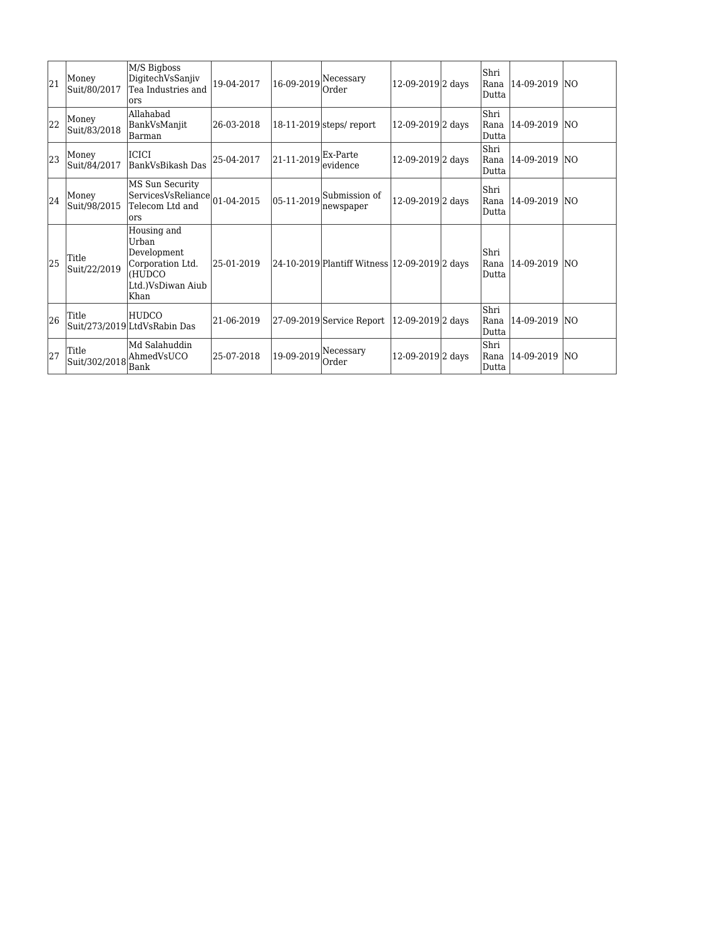| 21 | Money<br>Suit/80/2017  | M/S Bigboss<br>DigitechVsSanjiv<br>Tea Industries and<br>lors                                  | 19-04-2017 | 16-09-2019     | Necessary<br>Order                             | 12-09-2019 2 days            | Shri<br>Rana<br>Dutta | 14-09-2019 INO    |            |
|----|------------------------|------------------------------------------------------------------------------------------------|------------|----------------|------------------------------------------------|------------------------------|-----------------------|-------------------|------------|
| 22 | Money<br>Suit/83/2018  | Allahabad<br>BankVsManjit<br>Barman                                                            | 26-03-2018 |                | $ 18-11-2019 $ steps/ report                   | 12-09-2019 <sub>2</sub> days | Shri<br>Rana<br>Dutta | $ 14-09-2019 $ NO |            |
| 23 | Money<br>Suit/84/2017  | <b>ICICI</b><br>BankVsBikash Das                                                               | 25-04-2017 | 21-11-2019     | Ex-Parte<br>evidence                           | 12-09-2019 <sub>2</sub> days | Shri<br>Rana<br>Dutta | 14-09-2019 INO    |            |
| 24 | Money<br>Suit/98/2015  | MS Sun Security<br>ServicesVsReliance 01-04-2015<br>Telecom Ltd and<br>ors                     |            | $ 05-11-2019 $ | Submission of<br>newspaper                     | 12-09-2019 <sub>2</sub> days | Shri<br>Rana<br>Dutta | 14-09-2019 INO    |            |
| 25 | Title<br>Suit/22/2019  | Housing and<br>Urban<br>Development<br>Corporation Ltd.<br>(HUDCO<br>Ltd.)VsDiwan Aiub<br>Khan | 25-01-2019 |                | 24-10-2019 Plantiff Witness  12-09-2019 2 days |                              | Shri<br>Rana<br>Dutta | 14-09-2019        | <b>INO</b> |
| 26 | Title                  | <b>HUDCO</b><br>Suit/273/2019 LtdVsRabin Das                                                   | 21-06-2019 |                | 27-09-2019 Service Report                      | 12-09-2019 2 days            | Shri<br>Rana<br>Dutta | 14-09-2019        | <b>INO</b> |
| 27 | Title<br>Suit/302/2018 | Md Salahuddin<br>AhmedVsUCO<br>Bank                                                            | 25-07-2018 | 19-09-2019     | Necessary<br>Order                             | 12-09-2019 2 days            | Shri<br>Rana<br>Dutta | 14-09-2019        | INO.       |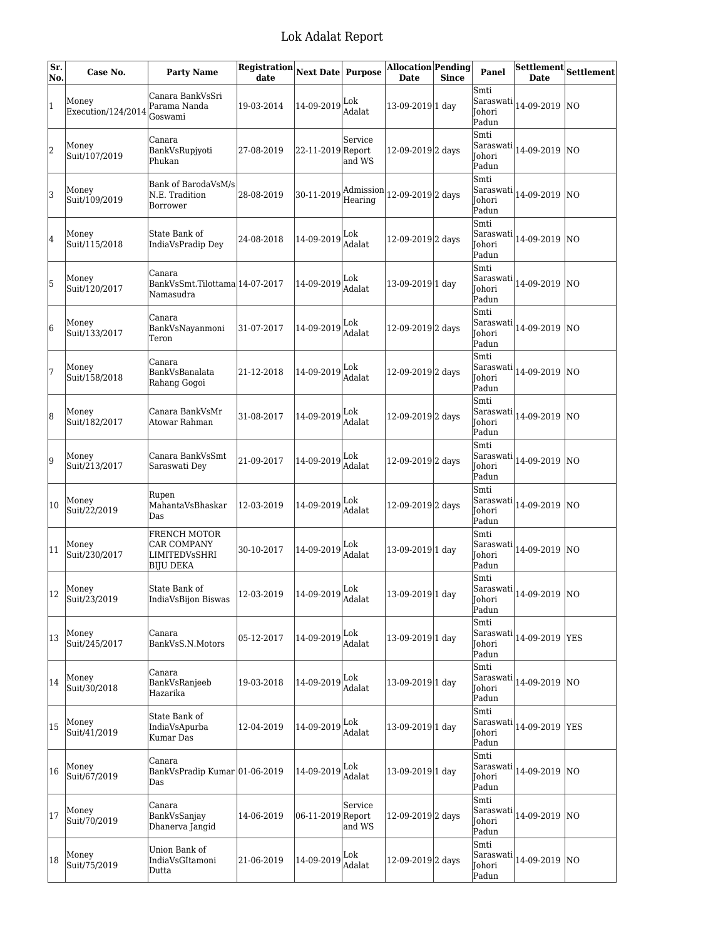| Sr.<br>No. | Case No.                               | <b>Party Name</b>                                                       | <b>Registration</b><br>date | <b>Next Date Purpose</b>                                             |                   | <b>Allocation Pending</b><br><b>Date</b> | <b>Since</b> | <b>Panel</b>                                |                                                                                  | $\overline{\text{Settlement}}\big _{\text{Settlement}}$ |
|------------|----------------------------------------|-------------------------------------------------------------------------|-----------------------------|----------------------------------------------------------------------|-------------------|------------------------------------------|--------------|---------------------------------------------|----------------------------------------------------------------------------------|---------------------------------------------------------|
| 1          | Money<br>Execution/124/2014            | Canara BankVsSri<br>Parama Nanda<br>Goswami                             | 19-03-2014                  | $14 - 09 - 2019$ Lok                                                 | Adalat            | 13-09-2019 1 day                         |              | Smti<br>Saraswati<br>Johori<br>Padun        | 14-09-2019                                                                       | <b>NO</b>                                               |
| 2          | Money<br>Suit/107/2019                 | Canara<br>BankVsRupjyoti<br>Phukan                                      | 27-08-2019                  | 22-11-2019 Report                                                    | Service<br>and WS | 12-09-2019 2 days                        |              | Smti<br>Saraswati<br>Johori<br>Padun        | 14-09-2019                                                                       | INO.                                                    |
| 3          | Money<br>Suit/109/2019                 | Bank of BarodaVsM/s<br>N.E. Tradition<br>Borrower                       | 28-08-2019                  | $ 30-11-2019 $ Admission                                             | Hearing           | 12-09-2019 <sub>2</sub> days             |              | Smti<br>Saraswati<br>Johori<br>Padun        | 14-09-2019                                                                       | <b>NO</b>                                               |
| 4          | Money<br>Suit/115/2018                 | State Bank of<br>IndiaVsPradip Dey                                      | 24-08-2018                  | 14-09-2019                                                           | Lok<br>Adalat     | 12-09-2019 2 days                        |              | Smti<br>Saraswati<br>Johori<br>Padun        | 14-09-2019                                                                       | <b>NO</b>                                               |
| 5          | Money<br>Suit/120/2017                 | Canara<br>BankVsSmt.Tilottama 14-07-2017<br>Namasudra                   |                             | 14-09-2019 $\left \frac{\text{Lok}}{4.3}\right $                     | Adalat            | 13-09-2019 1 day                         |              | Smti<br>Saraswati<br>Johori<br>Padun        | 14-09-2019                                                                       | <b>NO</b>                                               |
| 6          | Money<br>Suit/133/2017                 | Canara<br>BankVsNavanmoni<br>Teron                                      | 31-07-2017                  | 14-09-2019 Lok                                                       | Adalat            | 12-09-2019 2 days                        |              | Smti<br>Saraswati<br><b>Iohori</b><br>Padun | 14-09-2019                                                                       | <b>NO</b>                                               |
| 7          | Money<br>Suit/158/2018                 | lCanara<br>BankVsBanalata<br>Rahang Gogoi                               | 21-12-2018                  | 14-09-2019                                                           | Lok<br>Adalat     | 12-09-2019 2 days                        |              | Smti<br>Saraswati<br>Johori<br>Padun        | 14-09-2019                                                                       | <b>NO</b>                                               |
| 8          | Money<br>Suit/182/2017                 | Canara BankVsMr<br>Atowar Rahman                                        | 31-08-2017                  | 14-09-2019                                                           | Lok<br>Adalat     | 12-09-2019 <sup>2</sup> days             |              | Smti<br>Saraswati<br>Johori<br>Padun        | 14-09-2019  NO                                                                   |                                                         |
| 9          | Money<br>Suit/213/2017                 | Canara BankVsSmt<br>Saraswati Dey                                       | 21-09-2017                  | 14-09-2019                                                           | Lok<br>Adalat     | 12-09-2019 2 days                        |              | Smti<br>Saraswati<br>Johori<br>Padun        | 14-09-2019                                                                       | <b>NO</b>                                               |
| 10         | Money<br>Suit/22/2019                  | Rupen<br>MahantaVsBhaskar<br>Das                                        | 12-03-2019                  | 14-09-2019 Lok                                                       | Adalat            | 12-09-2019 <sup>2</sup> days             |              | Smti<br>Saraswati<br>Johori<br>Padun        | 14-09-2019                                                                       | <b>NO</b>                                               |
| 11         | Money<br>Suit/230/2017                 | <b>FRENCH MOTOR</b><br><b>CAR COMPANY</b><br>LIMITEDVsSHRI<br>BIJU DEKA | 30-10-2017                  | $14 - 09 - 2019$ Lok                                                 | Adalat            | 13-09-2019 1 day                         |              | Smti<br>Saraswati<br>Johori<br>Padun        | 14-09-2019                                                                       | NO                                                      |
|            | $12 \Big _{c}^{Money}$<br>Suit/23/2019 | State Bank of<br>IndiaVsBijon Biswas                                    | 12-03-2019                  | $\left 14\text{-}09\text{-}2019\right _{\text{Adalat}}^{\text{Lok}}$ |                   | 13-09-2019 1 day                         |              | Smti<br>Johori<br>Padun                     | $\left \text{Saraswati}\right _{14\text{-}09\text{-}2019}\left \text{NO}\right $ |                                                         |
| 13         | Money<br>Suit/245/2017                 | Canara<br>BankVsS.N.Motors                                              | 05-12-2017                  | $14-09-2019\Big _{\lambda}^{Lok}.$                                   | Adalat            | 13-09-2019 1 day                         |              | Smti<br>Saraswati<br>Johori<br>Padun        | 14-09-2019                                                                       | <b>YES</b>                                              |
| 14         | Money<br>Suit/30/2018                  | Canara<br>BankVsRanjeeb<br>Hazarika                                     | 19-03-2018                  | $14 - 09 - 2019$ Lok                                                 | Adalat            | 13-09-2019 1 day                         |              | Smti<br>Saraswati<br>Johori<br>Padun        | 14-09-2019 NO                                                                    |                                                         |
| 15         | Money<br>Suit/41/2019                  | State Bank of<br>IndiaVsApurba<br>Kumar Das                             | 12-04-2019                  | $\vert$ 14-09-2019 $\vert$ Lok<br>Adalat                             |                   | 13-09-2019 1 day                         |              | Smti<br>Saraswati<br>Johori<br>Padun        | 14-09-2019                                                                       | <b>YES</b>                                              |
| 16         | Money<br>Suit/67/2019                  | Canara<br>BankVsPradip Kumar 01-06-2019<br>Das                          |                             | $ 14-09-2019 $ $\frac{\text{Lok}}{4}$ .                              | Adalat            | 13-09-2019 1 day                         |              | Smti<br>Saraswati<br>Johori<br>Padun        | 14-09-2019                                                                       | NO                                                      |
| 17         | Money<br>Suit/70/2019                  | Canara<br>BankVsSanjay<br>Dhanerva Jangid                               | 14-06-2019                  | 06-11-2019 Report                                                    | Service<br>and WS | 12-09-2019 2 days                        |              | Smti<br>Saraswati<br>Johori<br>Padun        | 14-09-2019  NO                                                                   |                                                         |
| 18         | Money<br>Suit/75/2019                  | Union Bank of<br>IndiaVsGItamoni<br>Dutta                               | 21-06-2019                  | $14 - 09 - 2019$ $\Big _{\Lambda}^{L 0 k}$ .                         | Adalat            | 12-09-2019 <sub>2</sub> days             |              | Smti<br>Saraswati<br>Johori<br>Padun        | 14-09-2019 NO                                                                    |                                                         |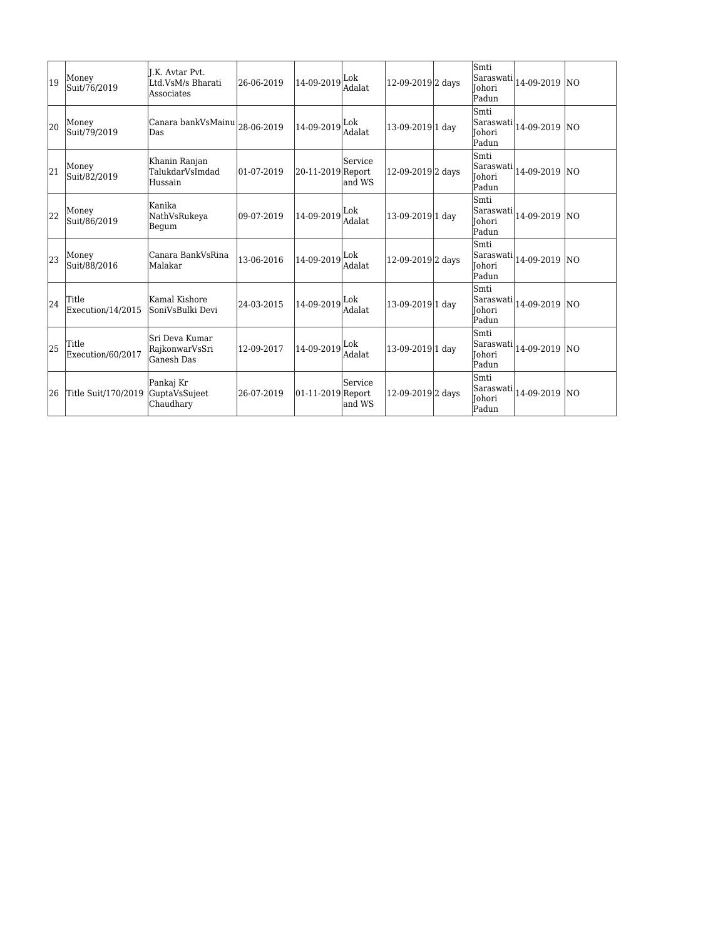| 19 | Money<br>Suit/76/2019      | I.K. Avtar Pvt.<br>Ltd.VsM/s Bharati<br>Associates              | 26-06-2019        | 14-09-2019         | Lok<br><b>Adalat</b> | 12-09-2019 2 days            | Smti<br>Saraswati<br><b>Johori</b><br>Padun | 14-09-2019 NO   |  |
|----|----------------------------|-----------------------------------------------------------------|-------------------|--------------------|----------------------|------------------------------|---------------------------------------------|-----------------|--|
| 20 | Money<br>Suit/79/2019      | $ {\rm Canara\ bankVsMainu} _{28\text{-}06\text{-}2019}$<br>Das |                   | 14-09-2019         | Lok<br>Adalat.       | 13-09-2019 1 day             | Smti<br>Saraswati<br>Johori<br>Padun        | 14-09-2019   NO |  |
| 21 | Money<br>Suit/82/2019      | Khanin Ranjan<br>TalukdarVsImdad<br>Hussain                     | $ 01 - 07 - 2019$ | 20-11-2019 Report  | Service<br>and WS    | 12-09-2019 2 days            | Smti<br>Saraswati<br>Johori<br>Padun        | 14-09-2019   NO |  |
| 22 | Money<br>Suit/86/2019      | Kanika<br>NathVsRukeva<br>Begum                                 | $ 09-07-2019$     | 14-09-2019         | Lok<br><b>Adalat</b> | 13-09-2019 1 day             | Smti<br>Saraswati<br><b>Johori</b><br>Padun | 14-09-2019   NO |  |
| 23 | Money<br>Suit/88/2016      | Canara BankVsRina<br>lMalakar                                   | 13-06-2016        | 14-09-2019         | Lok<br>Adalat.       | 12-09-2019 <sub>2</sub> days | Smti<br>Saraswati<br><b>Johori</b><br>Padun | 14-09-2019 NO   |  |
| 24 | Title<br>Execution/14/2015 | Kamal Kishore<br> SoniVsBulki Devi                              | 24-03-2015        | $ 14-09-2019 $ Lok | Adalat               | 13-09-2019 1 day             | Smti<br>Saraswati<br><b>Johori</b><br>Padun | 14-09-2019   NO |  |
| 25 | Title<br>Execution/60/2017 | İSri Deva Kumar<br>RajkonwarVsSri<br> Ganesh Das                | 12-09-2017        | 14-09-2019         | Lok<br><b>Adalat</b> | 13-09-2019 1 day             | Smti<br>Saraswati<br>Johori<br>Padun        | 14-09-2019 NO   |  |
| 26 | Title Suit/170/2019        | Pankaj Kr<br>GuptaVsSujeet<br>Chaudhary                         | 26-07-2019        | 01-11-2019 Report  | Service<br>and WS    | 12-09-2019 2 days            | Smti<br>Saraswati<br>Johori<br>Padun        | 14-09-2019   NO |  |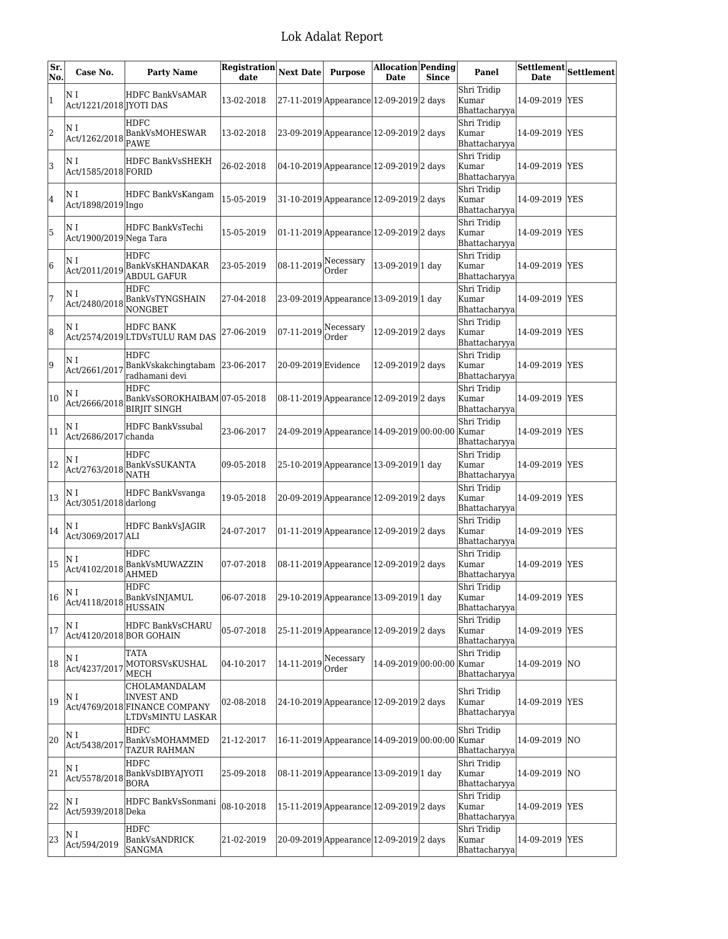| Sr.<br>No.     | Case No.                       | <b>Party Name</b>                                                                        | <b>Registration</b><br>date | <b>Next Date</b>         | <b>Purpose</b>                                  | Allocation Pending<br><b>Date</b> | <b>Since</b> | Panel                                 | <b>Date</b>     | Settlement Settlement |
|----------------|--------------------------------|------------------------------------------------------------------------------------------|-----------------------------|--------------------------|-------------------------------------------------|-----------------------------------|--------------|---------------------------------------|-----------------|-----------------------|
| $\overline{1}$ | ΝI<br>Act/1221/2018 [YOTI DAS  | <b>HDFC BankVsAMAR</b>                                                                   | 13-02-2018                  |                          | 27-11-2019 Appearance 12-09-2019 2 days         |                                   |              | Shri Tridip<br>Kumar<br>Bhattacharyya | 14-09-2019 YES  |                       |
| 2              |                                | <b>HDFC</b><br>Act/1262/2018 BankVsMOHESWAR                                              | 13-02-2018                  |                          | 23-09-2019 Appearance 12-09-2019 2 days         |                                   |              | Shri Tridip<br>Kumar<br>Bhattacharyya | 14-09-2019 YES  |                       |
| 3              | ΝI<br>Act/1585/2018 FORID      | <b>HDFC BankVsSHEKH</b>                                                                  | 26-02-2018                  |                          | 04-10-2019 Appearance 12-09-2019 2 days         |                                   |              | Shri Tridip<br>Kumar<br>Bhattacharyya | 14-09-2019 YES  |                       |
| 4              | ΝI<br>Act/1898/2019 Ingo       | HDFC BankVsKangam                                                                        | 15-05-2019                  |                          | 31-10-2019 Appearance 12-09-2019 2 days         |                                   |              | Shri Tridip<br>Kumar<br>Bhattacharyya | 14-09-2019 YES  |                       |
| 5              | ΝI<br>Act/1900/2019 Nega Tara  | HDFC BankVsTechi                                                                         | 15-05-2019                  |                          | 01-11-2019 Appearance 12-09-2019 2 days         |                                   |              | Shri Tridip<br>Kumar<br>Bhattacharyya | 14-09-2019  YES |                       |
| 6              | ΝI<br>Act/2011/2019            | HDFC<br>BankVsKHANDAKAR<br><b>ABDUL GAFUR</b>                                            | 23-05-2019                  | $ 08-11-2019 $ Necessary |                                                 | 13-09-2019 1 day                  |              | Shri Tridip<br>Kumar<br>Bhattacharyya | 14-09-2019 YES  |                       |
| 7              | ΝI<br>Act/2480/2018            | <b>HDFC</b><br>BankVsTYNGSHAIN<br>NONGBET                                                | 27-04-2018                  |                          | 23-09-2019 Appearance 13-09-2019 1 day          |                                   |              | Shri Tridip<br>Kumar<br>Bhattacharyya | 14-09-2019 YES  |                       |
| 8              | ΝI                             | HDFC BANK<br>Act/2574/2019 LTDVsTULU RAM DAS                                             | 27-06-2019                  | 07-11-2019               | Necessary<br>Order                              | 12-09-2019 <sub>2</sub> days      |              | Shri Tridip<br>Kumar<br>Bhattacharyya | 14-09-2019 YES  |                       |
| 9              | ΝI<br>Act/2661/2017            | <b>HDFC</b><br>BankVskakchingtabam 23-06-2017<br>radhamani devi                          |                             | 20-09-2019 Evidence      |                                                 | 12-09-2019 <sub>2</sub> days      |              | Shri Tridip<br>Kumar<br>Bhattacharyya | 14-09-2019 YES  |                       |
| 10             | N I<br>Act/2666/2018           | <b>HDFC</b><br>BankVsSOROKHAIBAM 07-05-2018<br><b>BIRJIT SINGH</b>                       |                             |                          | 08-11-2019 Appearance 12-09-2019 2 days         |                                   |              | Shri Tridip<br>Kumar<br>Bhattacharyya | 14-09-2019 YES  |                       |
| 11             | ΝI<br>Act/2686/2017 chanda     | <b>HDFC BankVssubal</b>                                                                  | 23-06-2017                  |                          | 24-09-2019 Appearance 14-09-2019 00:00:00 Kumar |                                   |              | Shri Tridip<br>Bhattacharyya          | 14-09-2019 YES  |                       |
| 12             | N I<br>Act/2763/2018           | HDFC<br>BankVsSUKANTA<br><b>NATH</b>                                                     | 09-05-2018                  |                          | 25-10-2019 Appearance 13-09-2019 1 day          |                                   |              | Shri Tridip<br>Kumar<br>Bhattacharyya | 14-09-2019 YES  |                       |
| 13             | N I<br>$Act/3051/2018$ darlong | HDFC BankVsvanga                                                                         | 19-05-2018                  |                          | 20-09-2019 Appearance 12-09-2019 2 days         |                                   |              | Shri Tridip<br>Kumar<br>Bhattacharyya | 14-09-2019      | <b>YES</b>            |
| 14             | ΝI<br>Act/3069/2017 ALI        | HDFC BankVsJAGIR                                                                         | 24-07-2017                  |                          | 01-11-2019 Appearance 12-09-2019 2 days         |                                   |              | Shri Tridip<br>kumar<br>Bhattacharyya | 14-09-2019 YES  |                       |
| 15             | N I<br>Act/4102/2018           | HDFC<br>BankVsMUWAZZIN<br><b>AHMED</b>                                                   | 07-07-2018                  |                          | 08-11-2019 Appearance 12-09-2019 2 days         |                                   |              | Shri Tridip<br>Kumar<br>Bhattacharyya | 14-09-2019 YES  |                       |
| 16             | ΝI                             | <b>HDFC</b><br>Act/4118/2018 BankVsINJAMUL<br><b>HUSSAIN</b>                             | 06-07-2018                  |                          | 29-10-2019 Appearance 13-09-2019 1 day          |                                   |              | Shri Tridip<br>Kumar<br>Bhattacharyya | 14-09-2019 YES  |                       |
| 17             | ΝI<br>Act/4120/2018 BOR GOHAIN | HDFC BankVsCHARU                                                                         | 05-07-2018                  |                          | 25-11-2019 Appearance 12-09-2019 2 days         |                                   |              | Shri Tridip<br>Kumar<br>Bhattacharyya | 14-09-2019 YES  |                       |
| 18             | ΝI<br>Act/4237/2017            | <b>TATA</b><br>MOTORSVsKUSHAL<br>MECH                                                    | 04-10-2017                  | 14-11-2019               | Necessary<br>Order                              | 14-09-2019 00:00:00 Kumar         |              | Shri Tridip<br>Bhattacharyya          | 14-09-2019 NO   |                       |
| 19             | N I                            | CHOLAMANDALAM<br><b>INVEST AND</b><br>Act/4769/2018 FINANCE COMPANY<br>LTDVsMINTU LASKAR | 02-08-2018                  |                          | 24-10-2019 Appearance 12-09-2019 2 days         |                                   |              | Shri Tridip<br>Kumar<br>Bhattacharyya | 14-09-2019 YES  |                       |
| 20             | N I<br>Act/5438/2017           | HDFC<br><b>BankVsMOHAMMED</b><br>TAZUR RAHMAN                                            | 21-12-2017                  |                          | 16-11-2019 Appearance 14-09-2019 00:00:00 Kumar |                                   |              | Shri Tridip<br>Bhattacharyya          | 14-09-2019 NO   |                       |
| 21             | ΝI<br>Act/5578/2018            | HDFC<br>BankVsDIBYAJYOTI<br><b>BORA</b>                                                  | 25-09-2018                  |                          | 08-11-2019 Appearance 13-09-2019 1 day          |                                   |              | Shri Tridip<br>Kumar<br>Bhattacharyya | 14-09-2019 NO   |                       |
| 22             | ΝI<br>Act/5939/2018 Deka       | HDFC BankVsSonmani                                                                       | 08-10-2018                  |                          | 15-11-2019 Appearance 12-09-2019 2 days         |                                   |              | Shri Tridip<br>Kumar<br>Bhattacharyya | 14-09-2019 YES  |                       |
| 23             | ΝI<br>Act/594/2019             | HDFC<br>BankVsANDRICK<br><b>SANGMA</b>                                                   | 21-02-2019                  |                          | 20-09-2019 Appearance 12-09-2019 2 days         |                                   |              | Shri Tridip<br>Kumar<br>Bhattacharyya | 14-09-2019 YES  |                       |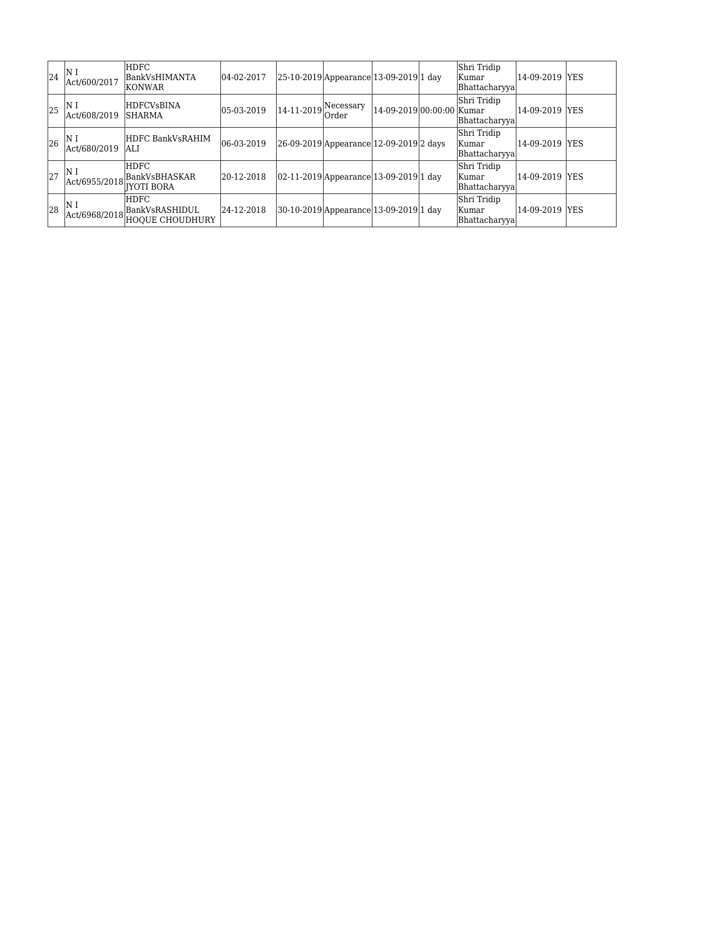| 24 | lΝ I<br>Act/600/2017  | <b>HDFC</b><br>BankVsHIMANTA<br><b>KONWAR</b>            | $ 04-02-2017$  |            | 25-10-2019 Appearance 13-09-2019 1 day     |                           | Shri Tridip<br> Kumar<br>Bhattacharyya  | 14-09-2019 YES  |  |
|----|-----------------------|----------------------------------------------------------|----------------|------------|--------------------------------------------|---------------------------|-----------------------------------------|-----------------|--|
| 25 | IN 1<br>Act/608/2019  | <b>HDFCVsBINA</b><br><b>SHARMA</b>                       | $ 05-03-2019 $ | 14-11-2019 | Necessary<br>Order                         | 14-09-2019 00:00:00 Kumar | Shri Tridip<br>Bhattacharyya            | 14-09-2019 YES  |  |
| 26 | N l<br>Act/680/2019   | HDFC BankVsRAHIM<br>lali                                 | $ 06-03-2019$  |            | 26-09-2019 Appearance 12-09-2019 2 days    |                           | Shri Tridip<br> Kumar<br>Bhattacharyyal | 14-09-2019  YES |  |
| 27 | IN 1<br>Act/6955/2018 | <b>HDFC</b><br><b>BankVsBHASKAR</b><br>IIYOTI BORA       | 20-12-2018     |            | $ 02-11-2019 $ Appearance 13-09-2019 1 day |                           | Shri Tridip<br>Kumar<br>Bhattacharyya   | 14-09-2019  YES |  |
| 28 | IN 1<br>Act/6968/2018 | <b>HDFC</b><br> BankVsRASHIDUL<br><b>HOQUE CHOUDHURY</b> | 24-12-2018     |            | 30-10-2019 Appearance 13-09-2019 1 day     |                           | Shri Tridip<br> Kumar<br>Bhattacharyya  | 14-09-2019 YES  |  |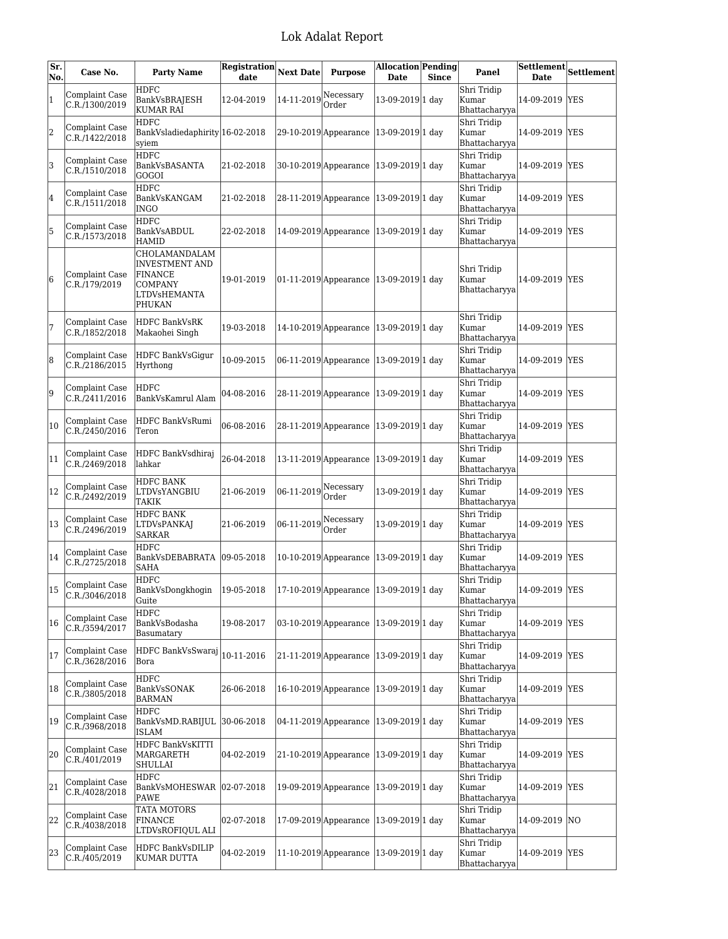| Sr.<br>No. | Case No.                                | <b>Party Name</b>                                                                             | <b>Registration</b><br>date | <b>Next Date</b> | <b>Purpose</b>                         | <b>Allocation Pending</b><br><b>Date</b> | <b>Since</b> | Panel                                  | Settlement<br><b>Date</b> | <b>Settlement</b> |
|------------|-----------------------------------------|-----------------------------------------------------------------------------------------------|-----------------------------|------------------|----------------------------------------|------------------------------------------|--------------|----------------------------------------|---------------------------|-------------------|
| 1          | Complaint Case<br>C.R./1300/2019        | HDFC<br>BankVsBRAJESH<br><b>KUMAR RAI</b>                                                     | 12-04-2019                  | 14-11-2019       | Necessary<br>Order                     | 13-09-2019 1 day                         |              | Shri Tridip<br>Kumar<br>Bhattacharyya  | 14-09-2019                | <b>YES</b>        |
| 2          | Complaint Case<br>C.R./1422/2018        | <b>HDFC</b><br>BankVsladiedaphirity 16-02-2018<br>syiem                                       |                             |                  | 29-10-2019 Appearance 13-09-2019 1 day |                                          |              | Shri Tridip<br>Kumar<br>Bhattacharyya  | 14-09-2019                | <b>YES</b>        |
| 3          | Complaint Case<br>C.R./1510/2018        | <b>HDFC</b><br>BankVsBASANTA<br>GOGOI                                                         | 21-02-2018                  |                  | 30-10-2019 Appearance 13-09-2019 1 day |                                          |              | Shri Tridip<br>Kumar<br>Bhattacharyya  | 14-09-2019 YES            |                   |
| 4          | Complaint Case<br>C.R./1511/2018        | HDFC<br>BankVsKANGAM<br><b>INGO</b>                                                           | 21-02-2018                  |                  | 28-11-2019 Appearance 13-09-2019 1 day |                                          |              | Shri Tridip<br>Kumar<br>Bhattacharyya  | 14-09-2019                | <b>YES</b>        |
| 5          | Complaint Case<br>C.R./1573/2018        | HDFC<br>BankVsABDUL<br><b>HAMID</b>                                                           | 22-02-2018                  |                  | 14-09-2019 Appearance 13-09-2019 1 day |                                          |              | Shri Tridip<br>Kumar<br>Bhattacharyya  | 14-09-2019 YES            |                   |
| 6          | Complaint Case<br>C.R./179/2019         | CHOLAMANDALAM<br>INVESTMENT AND<br><b>FINANCE</b><br>COMPANY<br><b>LTDVsHEMANTA</b><br>PHUKAN | 19-01-2019                  |                  | 01-11-2019 Appearance 13-09-2019 1 day |                                          |              | Shri Tridip<br>Kumar<br>Bhattacharyya  | 14-09-2019 YES            |                   |
| 7          | Complaint Case<br>C.R./1852/2018        | <b>HDFC BankVsRK</b><br>Makaohei Singh                                                        | 19-03-2018                  |                  | 14-10-2019 Appearance 13-09-2019 1 day |                                          |              | Shri Tridip<br>Kumar<br>Bhattacharyya  | 14-09-2019                | <b>YES</b>        |
| 8          | Complaint Case<br>C.R./2186/2015        | HDFC BankVsGigur<br>Hyrthong                                                                  | 10-09-2015                  |                  | 06-11-2019 Appearance 13-09-2019 1 day |                                          |              | Shri Tridip<br>Kumar<br>Bhattacharyya  | 14-09-2019                | <b>YES</b>        |
| 9          | Complaint Case<br>C.R./2411/2016        | <b>HDFC</b><br>BankVsKamrul Alam                                                              | 04-08-2016                  |                  | 28-11-2019 Appearance 13-09-2019 1 day |                                          |              | Shri Tridip<br>Kumar<br>Bhattacharyya  | 14-09-2019                | <b>YES</b>        |
| 10         | Complaint Case<br>C.R./2450/2016        | HDFC BankVsRumi<br>Teron                                                                      | 06-08-2016                  |                  | 28-11-2019 Appearance 13-09-2019 1 day |                                          |              | Shri Tridip<br>Kumar<br>Bhattacharyya  | 14-09-2019                | <b>YES</b>        |
| 11         | Complaint Case<br>C.R./2469/2018        | HDFC BankVsdhiraj<br>lahkar                                                                   | 26-04-2018                  |                  | 13-11-2019 Appearance 13-09-2019 1 day |                                          |              | Shri Tridip<br>Kumar<br>Bhattacharyya  | 14-09-2019 YES            |                   |
| 12         | Complaint Case<br>C.R./2492/2019        | HDFC BANK<br>LTDVsYANGBIU<br>TAKIK                                                            | 21-06-2019                  | 06-11-2019       | Necessary<br>Order                     | 13-09-2019 1 day                         |              | Shri Tridip<br>Kumar<br>Bhattacharyya  | 14-09-2019 YES            |                   |
| 13         | Complaint Case<br>C.R./2496/2019        | HDFC BANK<br><b>LTDVsPANKAJ</b><br><b>SARKAR</b>                                              | 21-06-2019                  | 06-11-2019       | Necessary<br>Order                     | 13-09-2019 1 day                         |              | Shri Tridip<br>Kumar<br>Bhattacharyya  | 14-09-2019 YES            |                   |
| 14         | Complaint Case<br>C.R.2725/2018         | <b>HDFC</b><br><b>BankVsDEBABRATA</b><br>SAHA                                                 | $ 09-05-2018$               |                  | 10-10-2019 Appearance 13-09-2019 1 day |                                          |              | Shri Tridip<br>Kumar<br>Bhattacharyya  | 14-09-2019 YES            |                   |
| 15         | Complaint Case<br>C.R./3046/2018        | HDFC<br>BankVsDongkhogin  19-05-2018<br>Guite                                                 |                             |                  | 17-10-2019 Appearance 13-09-2019 1 day |                                          |              | Shri Tridip<br> Kumar<br>Bhattacharyya | 14-09-2019 YES            |                   |
| 16         | Complaint Case<br>C.R./3594/2017        | HDFC<br>BankVsBodasha<br>Basumatary                                                           | 19-08-2017                  |                  | 03-10-2019 Appearance 13-09-2019 1 day |                                          |              | Shri Tridip<br>Kumar<br>Bhattacharyya  | 14-09-2019 YES            |                   |
| 17         | Complaint Case<br>C.R./3628/2016        | <b>HDFC BankVsSwaraj</b><br>Bora                                                              | 10-11-2016                  |                  | $21-11-2019$ Appearance                | $ 13-09-2019 1$ day                      |              | Shri Tridip<br>Kumar<br>Bhattacharyya  | 14-09-2019 YES            |                   |
| 18         | Complaint Case<br>C.R./3805/2018        | <b>HDFC</b><br>BankVsSONAK<br><b>BARMAN</b>                                                   | 26-06-2018                  |                  | 16-10-2019 Appearance 13-09-2019 1 day |                                          |              | Shri Tridip<br>Kumar<br>Bhattacharyya  | 14-09-2019                | <b>YES</b>        |
| 19         | <b>Complaint Case</b><br>C.R./3968/2018 | HDFC<br>BankVsMD.RABIJUL<br>ISLAM                                                             | $ 30-06-2018$               |                  | 04-11-2019 Appearance 13-09-2019 1 day |                                          |              | Shri Tridip<br>Kumar<br>Bhattacharyya  | 14-09-2019 YES            |                   |
| 20         | Complaint Case<br>C.R./401/2019         | HDFC BankVsKITTI<br>MARGARETH<br>SHULLAI                                                      | 04-02-2019                  |                  | $[21-10-2019]$ Appearance              | 13-09-2019 1 day                         |              | Shri Tridip<br>Kumar<br>Bhattacharyya  | 14-09-2019 YES            |                   |
| 21         | Complaint Case<br>C.R./4028/2018        | HDFC<br>BankVsMOHESWAR<br><b>PAWE</b>                                                         | $ 02-07-2018$               |                  | 19-09-2019 Appearance 13-09-2019 1 day |                                          |              | Shri Tridip<br>Kumar<br>Bhattacharyya  | 14-09-2019 YES            |                   |
| 22         | Complaint Case<br>C.R./4038/2018        | TATA MOTORS<br><b>FINANCE</b><br>LTDVsROFIQUL ALI                                             | 02-07-2018                  |                  | 17-09-2019 Appearance 13-09-2019 1 day |                                          |              | Shri Tridip<br>Kumar<br>Bhattacharyya  | 14-09-2019                | N0                |
| 23         | Complaint Case<br>C.R./405/2019         | <b>HDFC BankVsDILIP</b><br>KUMAR DUTTA                                                        | 04-02-2019                  |                  | 11-10-2019 Appearance 13-09-2019 1 day |                                          |              | Shri Tridip<br>Kumar<br>Bhattacharyya  | 14-09-2019 YES            |                   |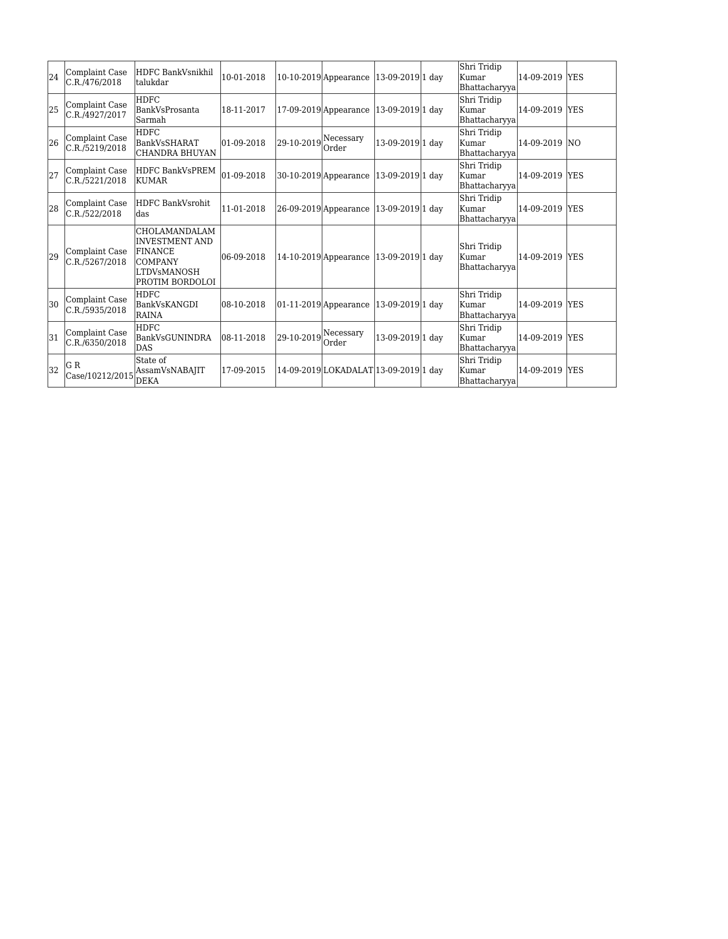| 24 | Complaint Case<br>C.R./476/2018                    | HDFC BankVsnikhil<br>ltalukdar                                                                               | 10-01-2018        |            | 10-10-2019 Appearance                  | 13-09-2019 1 day | Shri Tridip<br>Kumar<br>Bhattacharyya | 14-09-2019 YES |            |
|----|----------------------------------------------------|--------------------------------------------------------------------------------------------------------------|-------------------|------------|----------------------------------------|------------------|---------------------------------------|----------------|------------|
| 25 | Complaint Case<br>C.R./4927/2017                   | <b>HDFC</b><br>BankVsProsanta<br>lSarmah                                                                     | 18-11-2017        |            | $17-09-2019$ Appearance                | 13-09-2019 1 day | Shri Tridip<br>Kumar<br>Bhattacharyya | 14-09-2019 YES |            |
| 26 | Complaint Case<br>C.R./5219/2018                   | <b>HDFC</b><br>BankVsSHARAT<br> CHANDRA BHUYAN                                                               | $ 01 - 09 - 2018$ | 29-10-2019 | Necessary<br> Order                    | 13-09-2019 1 day | Shri Tridip<br>Kumar<br>Bhattacharyya | 14-09-2019     | INO.       |
| 27 | Complaint Case<br>C.R./5221/2018                   | HDFC BankVsPREM<br>KUMAR                                                                                     | 01-09-2018        |            | $30-10-2019$ Appearance                | 13-09-2019 1 day | Shri Tridip<br>Kumar<br>Bhattacharyya | 14-09-2019 YES |            |
| 28 | Complaint Case<br>C.R./522/2018                    | HDFC BankVsrohit<br>ldas                                                                                     | 11-01-2018        |            | 26-09-2019 Appearance                  | 13-09-2019 1 day | Shri Tridip<br>Kumar<br>Bhattacharyya | 14-09-2019 YES |            |
| 29 | Complaint Case<br>C.R./5267/2018                   | CHOLAMANDALAM<br><b>INVESTMENT AND</b><br>FINANCE<br><b>COMPANY</b><br><b>LTDVsMANOSH</b><br>PROTIM BORDOLOI | 06-09-2018        |            | 14-10-2019 Appearance 13-09-2019 1 day |                  | Shri Tridip<br>Kumar<br>Bhattacharyya | 14-09-2019 YES |            |
| 30 | Complaint Case<br>C.R./5935/2018                   | HDFC<br>BankVsKANGDI<br><b>RAINA</b>                                                                         | 08-10-2018        |            | $01-11-2019$ Appearance                | 13-09-2019 1 day | Shri Tridip<br>Kumar<br>Bhattacharyya | 14-09-2019 YES |            |
| 31 | Complaint Case<br>C.R./6350/2018                   | <b>HDFC</b><br>BankVsGUNINDRA<br>DAS                                                                         | 08-11-2018        | 29-10-2019 | Necessary<br> Order                    | 13-09-2019 1 day | Shri Tridip<br>Kumar<br>Bhattacharyya | 14-09-2019     | <b>YES</b> |
| 32 | IG R<br>$\text{Case}/10212/2015 \vert \text{DEKA}$ | State of<br>AssamVsNABAJIT                                                                                   | 17-09-2015        |            | 14-09-2019 LOKADALAT 13-09-2019 1 day  |                  | Shri Tridip<br>Kumar<br>Bhattacharyya | 14-09-2019 YES |            |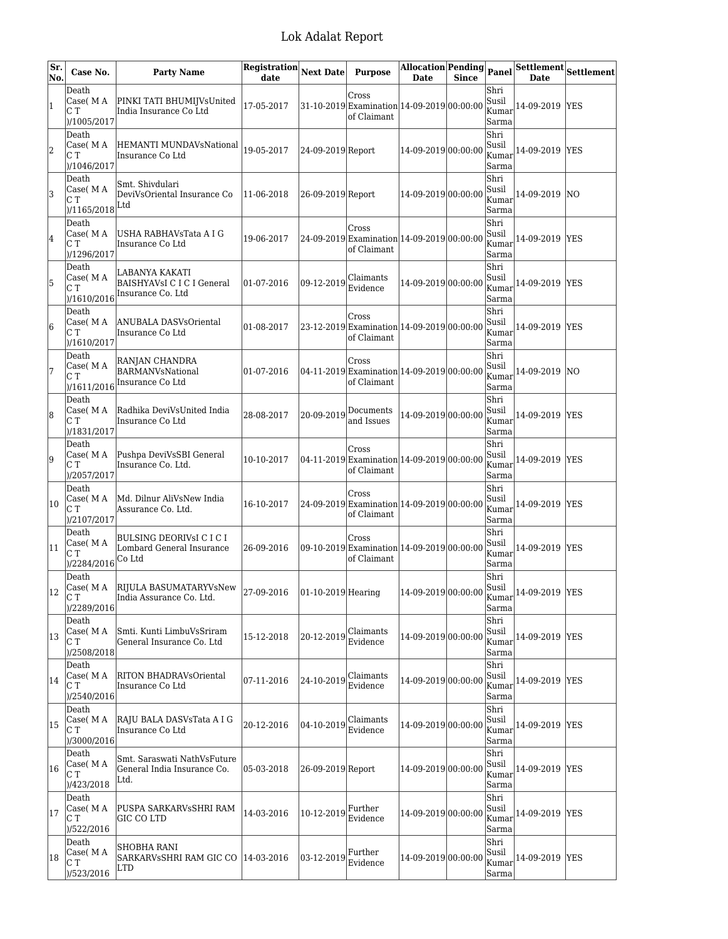| Sr.<br>No.     | Case No.                                          | <b>Party Name</b>                                                                       | Registration Next Date<br>date |                   | <b>Purpose</b>                                                            | Allocation Pending<br><b>Date</b>             | <b>Since</b> | Panel                           | <b>Date</b>    | $\overline{\mid}$ Settlement $\mid$ Settlement |
|----------------|---------------------------------------------------|-----------------------------------------------------------------------------------------|--------------------------------|-------------------|---------------------------------------------------------------------------|-----------------------------------------------|--------------|---------------------------------|----------------|------------------------------------------------|
| $\overline{1}$ | Death<br>Case( M A<br>СT<br>)/1005/2017           | PINKI TATI BHUMIJVsUnited<br>India Insurance Co Ltd                                     | 17-05-2017                     |                   | Cross<br>31-10-2019 Examination 14-09-2019 00:00:00<br>of Claimant        |                                               |              | Shri<br>Susil<br>Kumar<br>Sarma | 14-09-2019     | <b>IYES</b>                                    |
| 2              | Death<br>Case( M A<br>СT<br>)/1046/2017           | HEMANTI MUNDAVsNational<br>Insurance Co Ltd                                             | 19-05-2017                     | 24-09-2019 Report |                                                                           | 14-09-2019 00:00:00                           |              | Shri<br>Susil<br>Kumar<br>Sarma | 14-09-2019     | <b>IYES</b>                                    |
| 3              | Death<br>Case(MA<br>C T<br>)/1165/2018            | Smt. Shivdulari<br>DeviVsOriental Insurance Co<br>Ltd                                   | 11-06-2018                     | 26-09-2019 Report |                                                                           | 14-09-2019 00:00:00                           |              | Shri<br>Susil<br>Kumar<br>Sarma | 14-09-2019     | $\overline{NQ}$                                |
| 4              | Death<br>Case( M A<br>СT<br>)/1296/2017           | USHA RABHAVsTata A I G<br>Insurance Co Ltd                                              | 19-06-2017                     |                   | Cross<br>24-09-2019 Examination 14-09-2019 00:00:00<br>of Claimant        |                                               |              | Shri<br>Susil<br>Kumar<br>Sarma | 14-09-2019     | <b>IYES</b>                                    |
| 5              | Death<br>Case( M A<br>CТ<br>)/1610/2016           | LABANYA KAKATI<br>BAISHYAVsI C I C I General<br>Insurance Co. Ltd                       | 01-07-2016                     | 09-12-2019        | Claimants<br>Evidence                                                     | 14-09-2019 00:00:00                           |              | Shri<br>Susil<br>Kumar<br>Sarma | 14-09-2019 YES |                                                |
| 6              | Death<br>Case( M A<br>CТ<br>)/1610/2017           | ANUBALA DASVsOriental<br>Insurance Co Ltd                                               | 01-08-2017                     |                   | Cross<br>23-12-2019 Examination 14-09-2019 00:00:00<br>of Claimant        |                                               |              | Shri<br>Susil<br>Kumar<br>Sarma | 14-09-2019 YES |                                                |
| 7              | Death<br>Case(MA<br>СT<br>)/1611/2016             | RANJAN CHANDRA<br><b>BARMANVsNational</b><br>Insurance Co Ltd                           | 01-07-2016                     |                   | Cross<br>04-11-2019 Examination 14-09-2019 00:00:00<br>of Claimant        |                                               |              | Shri<br>Susil<br>Kumar<br>Sarma | 14-09-2019     | <b>NO</b>                                      |
| 8              | Death<br>Case( M A<br>CТ<br>)/1831/2017           | Radhika DeviVsUnited India<br>Insurance Co Ltd                                          | 28-08-2017                     | 20-09-2019        | Documents<br>and Issues                                                   | 14-09-2019 00:00:00                           |              | Shri<br>Susil<br>Kumar<br>Sarma | 14-09-2019     | <b>YES</b>                                     |
| 9              | Death<br>Case( M A<br>СT<br>)/2057/2017           | Pushpa DeviVsSBI General<br>Insurance Co. Ltd.                                          | 10-10-2017                     |                   | <b>Cross</b><br>04-11-2019 Examination 14-09-2019 00:00:00<br>of Claimant |                                               |              | Shri<br>Susil<br>Kumar<br>Sarma | 14-09-2019     | <b>YES</b>                                     |
| 10             | Death<br>Case(MA<br>C T<br>)/2107/2017            | Md. Dilnur AliVsNew India<br>Assurance Co. Ltd.                                         | 16-10-2017                     |                   | Cross<br>24-09-2019 Examination 14-09-2019 00:00:00<br>of Claimant        |                                               |              | Shri<br>Susil<br>Kumar<br>Sarma | 14-09-2019     | <b>YES</b>                                     |
| 11             | Death<br>Case(MA<br>CТ<br>)/2284/2016             | BULSING DEORIVSI C I C I<br>Lombard General Insurance<br>Co Ltd                         | 26-09-2016                     |                   | Cross<br>09-10-2019 Examination 14-09-2019 00:00:00<br>of Claimant        |                                               |              | Shri<br>Susil<br>Kumar<br>Sarma | 14-09-2019     | <b>YES</b>                                     |
| 12             | Death<br>$\vert$ Case( M A<br>IC T<br>)/2289/2016 | RIJULA BASUMATARYVSNew $ 27-09-2016$ $ 01-10-2019 $ Hearing<br>India Assurance Co. Ltd. |                                |                   |                                                                           | $ 14 - 09 - 2019 00 \cdot 00 \cdot 00 $ Susil |              | Shri<br>Kumar<br>Sarma          | 14-09-2019 YES |                                                |
| 13             | Death<br>Case(MA<br>C T<br>)/2508/2018            | Smti. Kunti LimbuVsSriram<br>General Insurance Co. Ltd                                  | 15-12-2018                     | 20-12-2019        | Claimants<br>Evidence                                                     | 14-09-2019 00:00:00                           |              | Shri<br>Susil<br>Kumar<br>Sarma | 14-09-2019     | <b>YES</b>                                     |
| 14             | Death<br>Case(MA<br>СT<br>)/2540/2016             | RITON BHADRAVsOriental<br>Insurance Co Ltd                                              | 07-11-2016                     | 24-10-2019        | Claimants<br>Evidence                                                     | 14-09-2019 00:00:00                           |              | Shri<br>Susil<br>Kumar<br>Sarma | 14-09-2019     | <b>YES</b>                                     |
| 15             | Death<br>Case(MA<br>СT<br>)/3000/2016             | RAJU BALA DASVsTata A I G<br>Insurance Co Ltd                                           | 20-12-2016                     | 04-10-2019        | Claimants<br>Evidence                                                     | 14-09-2019 00:00:00                           |              | Shri<br>Susil<br>Kumar<br>Sarma | 14-09-2019 YES |                                                |
| 16             | Death<br>Case( M A<br>CТ<br>)/423/2018            | Smt. Saraswati NathVsFuture<br>General India Insurance Co.<br>Ltd.                      | 05-03-2018                     | 26-09-2019 Report |                                                                           | 14-09-2019 00:00:00                           |              | Shri<br>Susil<br>Kumar<br>Sarma | 14-09-2019     | <b>YES</b>                                     |
| 17             | Death<br>Case(MA<br>CТ<br>)/522/2016              | PUSPA SARKARVsSHRI RAM<br>GIC CO LTD                                                    | 14-03-2016                     | 10-12-2019        | Further<br>Evidence                                                       | 14-09-2019 00:00:00                           |              | Shri<br>Susil<br>Kumar<br>Sarma | 14-09-2019     | <b>YES</b>                                     |
| 18             | Death<br>Case( M A<br>СT<br>)/523/2016            | SHOBHA RANI<br>SARKARVSSHRI RAM GIC CO   14-03-2016<br>LTD                              |                                | 03-12-2019        | Further<br>Evidence                                                       | 14-09-2019 00:00:00                           |              | Shri<br>Susil<br>Kumar<br>Sarma | 14-09-2019 YES |                                                |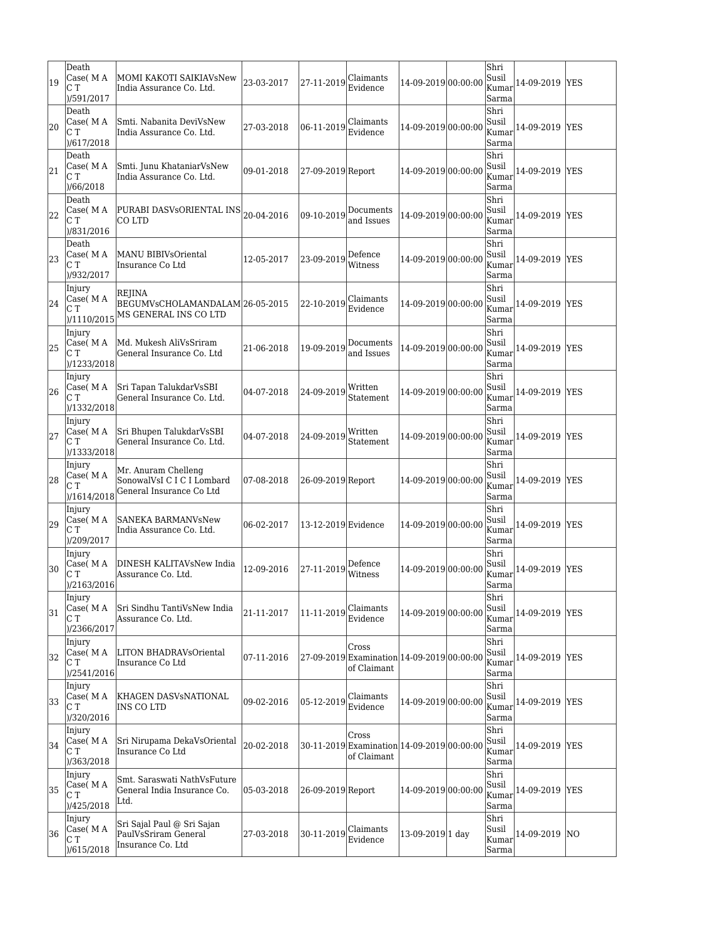| 19 | Death<br>Case( M A<br>CТ<br>)/591/2017   | MOMI KAKOTI SAIKIAVsNew<br>India Assurance Co. Ltd.                           | 23-03-2017 | 27-11-2019               | Claimants<br>Evidence                                              | 14-09-2019 00:00:00 | Shri<br>Susil<br>Kumar<br>Sarma | 14-09-2019     | lYES       |
|----|------------------------------------------|-------------------------------------------------------------------------------|------------|--------------------------|--------------------------------------------------------------------|---------------------|---------------------------------|----------------|------------|
| 20 | Death<br>Case( M A<br>C T<br>)/617/2018  | Smti. Nabanita DeviVsNew<br>India Assurance Co. Ltd.                          | 27-03-2018 | 06-11-2019               | Claimants<br>Evidence                                              | 14-09-2019 00:00:00 | Shri<br>Susil<br>Kumar<br>Sarma | 14-09-2019 YES |            |
| 21 | Death<br>Case(MA<br>CТ<br>)/66/2018      | Smti. Junu KhataniarVsNew<br>India Assurance Co. Ltd.                         | 09-01-2018 | 27-09-2019 Report        |                                                                    | 14-09-2019 00:00:00 | Shri<br>Susil<br>Kumar<br>Sarma | 14-09-2019 YES |            |
| 22 | Death<br>Case( M A<br>C T<br>)/831/2016  | PURABI DASVsORIENTAL INS 20-04-2016<br>CO LTD                                 |            | 09-10-2019               | Documents<br>and Issues                                            | 14-09-2019 00:00:00 | Shri<br>Susil<br>Kumar<br>Sarma | 14-09-2019 YES |            |
| 23 | Death<br>Case( M A<br>C T<br>)/932/2017  | MANU BIBIVsOriental<br>Insurance Co Ltd                                       | 12-05-2017 | 23-09-2019               | Defence<br>Witness                                                 | 14-09-2019 00:00:00 | Shri<br>Susil<br>Kumar<br>Sarma | 14-09-2019 YES |            |
| 24 | Injury<br>Case(MA<br>СT<br>)/1110/2015   | <b>REJINA</b><br>BEGUMVsCHOLAMANDALAM 26-05-2015<br>MS GENERAL INS CO LTD     |            | 22-10-2019               | Claimants<br>Evidence                                              | 14-09-2019 00:00:00 | Shri<br>Susil<br>Kumar<br>Sarma | 14-09-2019     | YES        |
| 25 | Injury<br>Case(MA<br>C T<br>)/1233/2018  | Md. Mukesh AliVsSriram<br>General Insurance Co. Ltd                           | 21-06-2018 | 19-09-2019               | Documents<br>and Issues                                            | 14-09-2019 00:00:00 | Shri<br>Susil<br>Kumar<br>Sarma | 14-09-2019 YES |            |
| 26 | Injury<br>Case( M A<br>CТ<br>)/1332/2018 | Sri Tapan TalukdarVsSBI<br>General Insurance Co. Ltd.                         | 04-07-2018 | 24-09-2019               | Written<br>Statement                                               | 14-09-2019 00:00:00 | Shri<br>Susil<br>Kumar<br>Sarma | 14-09-2019 YES |            |
| 27 | Injury<br>Case( M A<br>СT<br>)/1333/2018 | Sri Bhupen TalukdarVsSBI<br>General Insurance Co. Ltd.                        | 04-07-2018 | 24-09-2019               | Written<br>Statement                                               | 14-09-2019 00:00:00 | Shri<br>Susil<br>Kumar<br>Sarma | 14-09-2019 YES |            |
| 28 | Injury<br>Case(MA<br>CТ<br>)/1614/2018   | Mr. Anuram Chelleng<br>SonowalVsI C I C I Lombard<br>General Insurance Co Ltd | 07-08-2018 | 26-09-2019 Report        |                                                                    | 14-09-2019 00:00:00 | Shri<br>Susil<br>Kumar<br>Sarma | 14-09-2019 YES |            |
| 29 | Injury<br>Case( M A<br>СT<br>)/209/2017  | SANEKA BARMANVsNew<br>India Assurance Co. Ltd.                                | 06-02-2017 | 13-12-2019 Evidence      |                                                                    | 14-09-2019 00:00:00 | Shri<br>Susil<br>Kumar<br>Sarma | 14-09-2019 YES |            |
| 30 | Injury<br>Case( M A<br>CТ<br>)/2163/2016 | DINESH KALITAVsNew India<br>Assurance Co. Ltd.                                | 12-09-2016 | 27-11-2019               | Defence<br>Witness                                                 | 14-09-2019 00:00:00 | Shri<br>Susil<br>Kumar<br>Sarma | 14-09-2019 YES |            |
| 31 | Injury<br>Case( M A<br>CТ<br>)/2366/2017 | Sri Sindhu TantiVsNew India<br>Assurance Co. Ltd.                             | 21-11-2017 | 11-11-2019 $ $ Claimants | Evidence                                                           | 14-09-2019 00:00:00 | Shri<br>Susil<br>Kumar<br>Sarma | 14-09-2019 YES |            |
| 32 | Injury<br>Case(MA<br>СT<br>)/2541/2016   | LITON BHADRAVsOriental<br>Insurance Co Ltd                                    | 07-11-2016 |                          | Cross<br>27-09-2019 Examination 14-09-2019 00:00:00<br>of Claimant |                     | Shri<br>Susil<br>Kumar<br>Sarma | 14-09-2019 YES |            |
| 33 | Injury<br>Case(MA<br>C T<br>)/320/2016   | KHAGEN DASVsNATIONAL<br>INS CO LTD                                            | 09-02-2016 | 05-12-2019               | Claimants<br>Evidence                                              | 14-09-2019 00:00:00 | Shri<br>Susil<br>Kumar<br>Sarma | 14-09-2019 YES |            |
| 34 | Injury<br>Case(MA<br>СT<br>)/363/2018    | Sri Nirupama DekaVsOriental<br>Insurance Co Ltd                               | 20-02-2018 |                          | Cross<br>30-11-2019 Examination 14-09-2019 00:00:00<br>of Claimant |                     | Shri<br>Susil<br>Kumar<br>Sarma | 14-09-2019     | <b>YES</b> |
| 35 | Injury<br>Case( M A<br>СT<br>)/425/2018  | Smt. Saraswati NathVsFuture<br>General India Insurance Co.<br>Ltd.            | 05-03-2018 | 26-09-2019 Report        |                                                                    | 14-09-2019 00:00:00 | Shri<br>Susil<br>Kumar<br>Sarma | 14-09-2019 YES |            |
| 36 | Injury<br>Case(MA<br>СT<br>)/615/2018    | Sri Sajal Paul @ Sri Sajan<br>PaulVsSriram General<br>Insurance Co. Ltd       | 27-03-2018 | 30-11-2019               | Claimants<br>Evidence                                              | 13-09-2019 1 day    | Shri<br>Susil<br>Kumar<br>Sarma | 14-09-2019 NO  |            |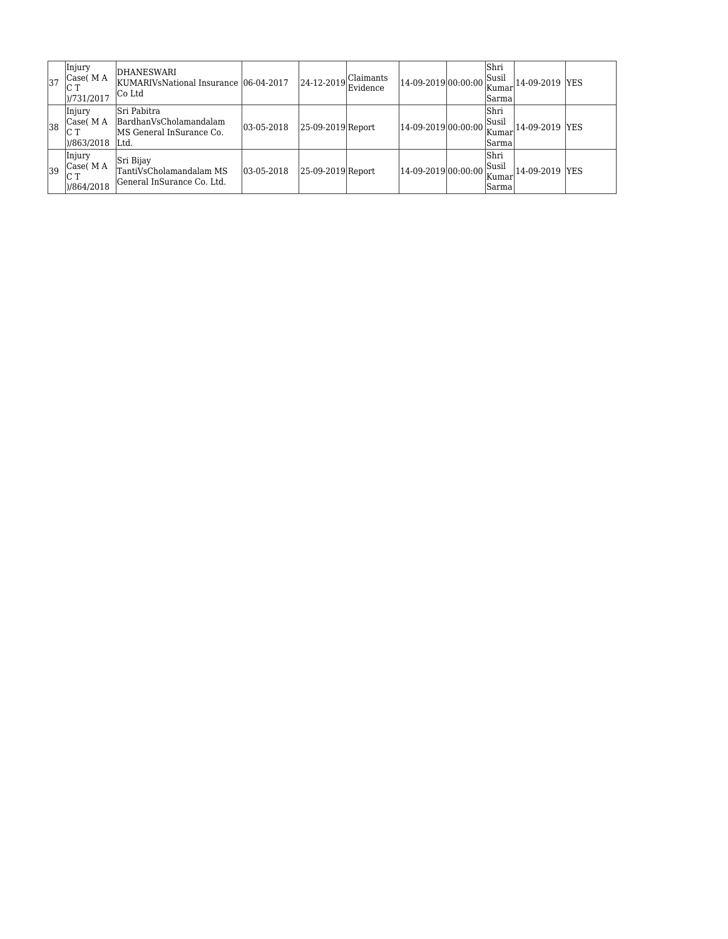| 137 | <b>Injury</b><br> Case(MA) <br> C <br>1/731/2017 | DHANESWARI<br>KUMARIVsNational Insurance 106-04-2017<br>ICo Ltd                   |            | 24-12-2019            | Claimants <br>Evidence | 14-09-2019 00:00:00 | lShri<br>Susil<br>Kumar<br> Sarma  | 14-09-2019 YES |  |
|-----|--------------------------------------------------|-----------------------------------------------------------------------------------|------------|-----------------------|------------------------|---------------------|------------------------------------|----------------|--|
| 38  | Injury<br> Case(M A<br>IC T<br>)/863/2018        | <b>Sri Pabitra</b><br>BardhanVsCholamandalam<br>MS General InSurance Co.<br>ILtd. | 03-05-2018 | $ 25-09-2019 $ Report |                        | 14-09-2019 00:00:00 | lShri<br>Susil<br> Kumar<br> Sarma | 14-09-2019 YES |  |
| 39  | Injury<br>Case( M A<br>IC T<br>1)/864/2018       | Sri Bijay<br>TantiVsCholamandalam MS<br> General InSurance Co. Ltd.               | 03-05-2018 | 25-09-2019 Report     |                        | 14-09-2019 00:00:00 | lShri<br>Susil<br> Kumar<br>lSarma | 14-09-2019 YES |  |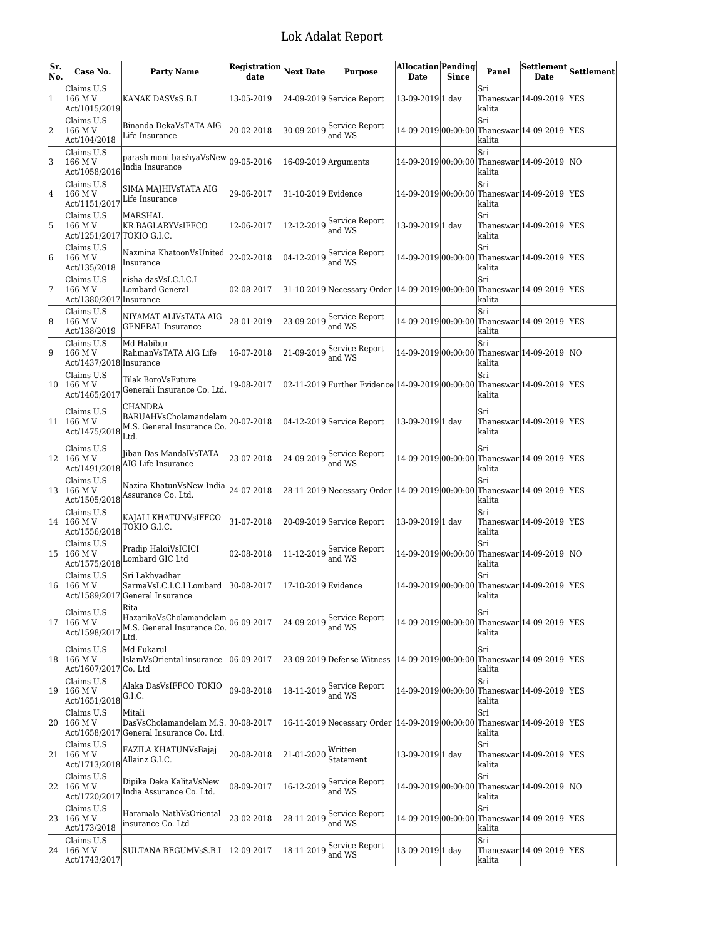| Sr.<br>No. | Case No.                                                               | <b>Party Name</b>                                                                                                          | Registration<br>date | <b>Next Date</b>     | <b>Purpose</b>                                                       | <b>Allocation Pending</b><br>Date | <b>Since</b> | Panel         | Settlement Settlement<br><b>Date</b>         |            |
|------------|------------------------------------------------------------------------|----------------------------------------------------------------------------------------------------------------------------|----------------------|----------------------|----------------------------------------------------------------------|-----------------------------------|--------------|---------------|----------------------------------------------|------------|
| $\vert$ 1  | Claims U.S<br>166 M V<br>Act/1015/2019                                 | KANAK DASVsS.B.I                                                                                                           | 13-05-2019           |                      | 24-09-2019 Service Report                                            | 13-09-2019 1 day                  |              | Sri<br>kalita | Thaneswar 14-09-2019                         | <b>YES</b> |
| 2          | Claims U.S<br>166 M V<br>Act/104/2018                                  | Binanda DekaVsTATA AIG<br>Life Insurance                                                                                   | 20-02-2018           | 30-09-2019           | Service Report<br>and WS                                             |                                   |              | Sri<br>kalita | 14-09-2019 00:00:00 Thaneswar 14-09-2019     | <b>YES</b> |
| 3          | Claims U.S<br>166 M V<br>Act/1058/2016                                 | parash moni baishyaVsNew<br>India Insurance                                                                                | 09-05-2016           | 16-09-2019 Arguments |                                                                      |                                   |              | Sri<br>kalita | 14-09-2019 00:00:00 Thaneswar 14-09-2019     | <b>NO</b>  |
| 4          | Claims U.S<br>166 M V<br>$\frac{\text{Act}}{1151/2017}$ Life Insurance | SIMA MAJHIVSTATA AIG                                                                                                       | 29-06-2017           | 31-10-2019 Evidence  |                                                                      |                                   |              | Sri<br>kalita | 14-09-2019 00:00:00 Thaneswar 14-09-2019     | <b>YES</b> |
| 5          | Claims U.S<br>166 M V<br>Act/1251/2017 TOKIO G.I.C.                    | MARSHAL<br>KR.BAGLARYVsIFFCO                                                                                               | 12-06-2017           | 12-12-2019           | Service Report<br>and WS                                             | 13-09-2019 1 day                  |              | Sri<br>kalita | Thaneswar 14-09-2019                         | <b>YES</b> |
| 6          | Claims U.S<br>166 M V<br>Act/135/2018                                  | Nazmina KhatoonVsUnited<br>Insurance                                                                                       | 22-02-2018           | 04-12-2019           | Service Report<br>and WS                                             | 14-09-2019 00:00:00               |              | Sri<br>kalita | Thaneswar 14-09-2019  YES                    |            |
| 7          | Claims U.S<br>166 M V<br>Act/1380/2017 Insurance                       | nisha dasVsI.C.I.C.I<br>Lombard General                                                                                    | 02-08-2017           |                      | 31-10-2019 Necessary Order 14-09-2019 00:00:00                       |                                   |              | Sri<br>kalita | Thaneswar 14-09-2019 YES                     |            |
| 8          | Claims U.S<br>166 M V<br>Act/138/2019                                  | NIYAMAT ALIVSTATA AIG<br> GENERAL Insurance                                                                                | 28-01-2019           | 23-09-2019           | Service Report<br>and WS                                             | 14-09-2019 00:00:00               |              | Sri<br>kalita | Thaneswar 14-09-2019 YES                     |            |
| 9          | Claims U.S<br>166 M V<br>Act/1437/2018 Insurance                       | Md Habibur<br>RahmanVsTATA AIG Life                                                                                        | 16-07-2018           | 21-09-2019           | Service Report<br>and WS                                             |                                   |              | Sri<br>kalita | 14-09-2019 00:00:00 Thaneswar 14-09-2019     | <b>NO</b>  |
| 10         | Claims U.S<br>166 M V<br>Act/1465/2017                                 | Tilak BoroVsFuture<br>Generali Insurance Co. Ltd                                                                           | 19-08-2017           |                      | 02-11-2019 Further Evidence 14-09-2019 00:00:00                      |                                   |              | Sri<br>kalita | Thaneswar 14-09-2019   YES                   |            |
| 11         | Claims U.S                                                             | <b>CHANDRA</b><br>BARUAHVsCholamandelam <br>20-07-2018<br>$ {\rm Act}/1475/2018 $ $\rm M.S.$ General Insurance Co.<br>Ltd. |                      |                      | 04-12-2019 Service Report                                            | 13-09-2019 1 day                  |              | Sri<br>kalita | $\text{Thaneswar} 14-09-2019$                | <b>YES</b> |
| 12         | Claims U.S<br>166 M V                                                  | Jiban Das MandalVsTATA<br>Act/1491/2018 AIG Life Insurance                                                                 | 23-07-2018           | 24-09-2019           | Service Report<br>and WS                                             |                                   |              | Sri<br>kalita | 14-09-2019 00:00:00 Thaneswar 14-09-2019 YES |            |
| 13         | Claims U.S<br>166 M V                                                  | Nazira KhatunVsNew India<br>Act/1505/2018 Assurance Co. Ltd.                                                               | 24-07-2018           |                      | 28-11-2019 Necessary Order  14-09-2019 00:00:00 Thaneswar 14-09-2019 |                                   |              | Sri<br>kalita |                                              | <b>YES</b> |
| 14         | Claims U.S<br>166 M V<br>Act/1556/2018                                 | KAJALI KHATUNVsIFFCO<br>TOKIO G.I.C.                                                                                       | 31-07-2018           |                      | 20-09-2019 Service Report                                            | 13-09-2019 1 day                  |              | Sri<br>kalita | Thaneswar 14-09-2019                         | <b>YES</b> |
| 15         | Claims U.S<br>166 M V<br>Act/1575/2018                                 | Pradip HaloiVsICICI<br>Lombard GIC Ltd                                                                                     | 02-08-2018           | 11-12-2019           | Service Report<br>and WS                                             | 14-09-2019 00:00:00               |              | Sri<br>kalita | Thaneswar 14-09-2019                         | <b>NO</b>  |
| 16         | Claims U.S<br> 166 M V                                                 | Sri Lakhyadhar<br>SarmaVsI.C.I.C.I Lombard 30-08-2017<br>Act/1589/2017 General Insurance                                   |                      | 17-10-2019 Evidence  |                                                                      |                                   |              | Sri<br>kalita | 14-09-2019 00:00:00 Thaneswar 14-09-2019 YES |            |
| 17         | Claims U.S<br>166 M V<br>Act/1598/201                                  | Rita<br>HazarikaVsCholamandelam<br>M.S. General Insurance Co.<br>Ltd.                                                      | 06-09-2017           | 24-09-2019           | Service Report<br>and WS                                             |                                   |              | Sri<br>kalita | 14-09-2019 00:00:00 Thaneswar 14-09-2019     | <b>YES</b> |
| 18         | Claims U.S<br>166 M V<br>Act/1607/2017 Co. Ltd                         | Md Fukarul<br>IslamVsOriental insurance                                                                                    | 06-09-2017           |                      | 23-09-2019 Defense Witness                                           |                                   |              | Sri<br>kalita | 14-09-2019 00:00:00 Thaneswar 14-09-2019     | <b>YES</b> |
| 19         | Claims U.S<br> 166 M V<br>$ Act/1651/2018 $ G.I.C.                     | Alaka DasVsIFFCO TOKIO                                                                                                     | 09-08-2018           | 18-11-2019           | Service Report<br>and WS                                             | 14-09-2019 00:00:00               |              | Sri<br>kalita | Thaneswar 14-09-2019                         | <b>YES</b> |
| 20         | Claims U.S<br>166 M V                                                  | Mitali<br>DasVsCholamandelam M.S. 30-08-2017<br>Act/1658/2017 General Insurance Co. Ltd.                                   |                      |                      | 16-11-2019 Necessary Order   14-09-2019 00:00:00                     |                                   |              | Sri<br>kalita | Thaneswar 14-09-2019                         | <b>YES</b> |
| 21         | Claims U.S<br>166 M V<br>$ \text{Act}/1713/2018 $ Allainz G.I.C.       | FAZILA KHATUNVsBajaj                                                                                                       | 20-08-2018           | 21-01-2020           | Written<br>Statement                                                 | 13-09-2019 1 day                  |              | Sri<br>kalita | Thaneswar 14-09-2019                         | <b>YES</b> |
| 22         | Claims U.S<br>166 M V<br>Act/1720/2017                                 | Dipika Deka KalitaVsNew<br>India Assurance Co. Ltd.                                                                        | 08-09-2017           | 16-12-2019           | Service Report<br>and WS                                             |                                   |              | Sri<br>kalita | 14-09-2019 00:00:00 Thaneswar 14-09-2019  NO |            |
| 23         | Claims U.S<br>166 M V<br>Act/173/2018                                  | Haramala NathVsOriental<br>insurance Co. Ltd                                                                               | 23-02-2018           | 28-11-2019           | Service Report<br>and WS                                             |                                   |              | Sri<br>kalita | 14-09-2019 00:00:00 Thaneswar 14-09-2019     | <b>YES</b> |
| 24         | Claims U.S<br>166 M V<br>Act/1743/2017                                 | SULTANA BEGUMVsS.B.I                                                                                                       | 12-09-2017           | 18-11-2019           | Service Report<br>and WS                                             | 13-09-2019 1 day                  |              | Sri<br>kalita | Thaneswar 14-09-2019                         | <b>YES</b> |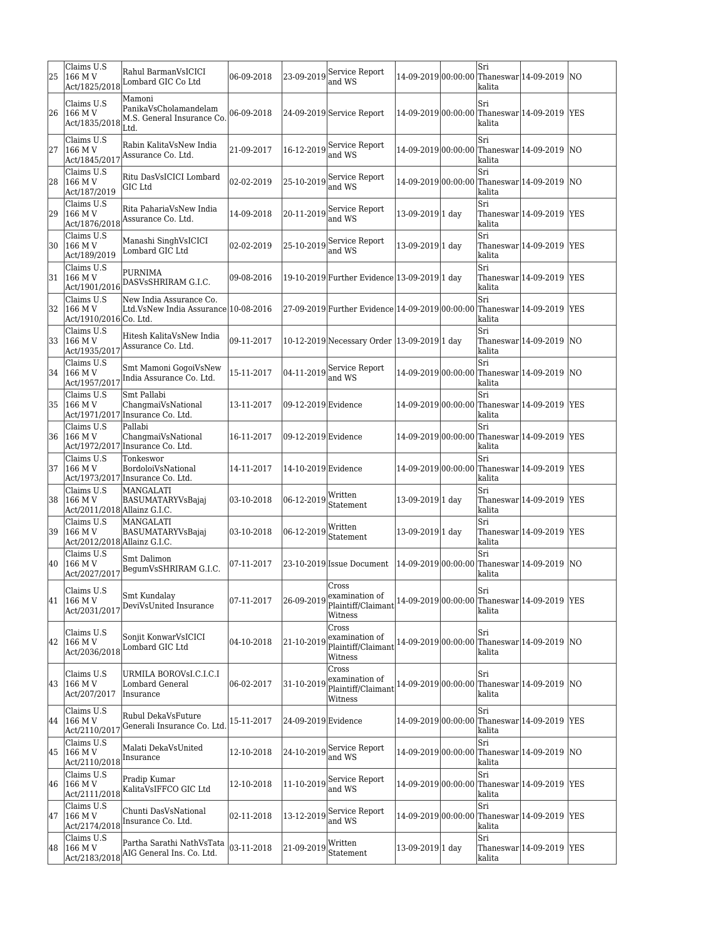| 25 | Claims U.S<br>166 M V<br>Act/1825/2018                | Rahul BarmanVsICICI<br>Lombard GIC Co Ltd                             | 06-09-2018 | 23-09-2019          | Service Report<br>and WS                                              |                     | Sri<br>kalita  | 14-09-2019 00:00:00 Thaneswar 14-09-2019 NO  |            |
|----|-------------------------------------------------------|-----------------------------------------------------------------------|------------|---------------------|-----------------------------------------------------------------------|---------------------|----------------|----------------------------------------------|------------|
| 26 | Claims U.S<br>166 M V<br>Act/1835/2018                | Mamoni<br>PanikaVsCholamandelam<br>M.S. General Insurance Co.<br>Ltd. | 06-09-2018 |                     | 24-09-2019 Service Report                                             | 14-09-2019 00:00:00 | Sri<br>kalita  | Thaneswar 14-09-2019                         | <b>YES</b> |
| 27 | Claims U.S<br>166 M V<br>Act/1845/2017                | Rabin KalitaVsNew India<br>Assurance Co. Ltd.                         | 21-09-2017 | 16-12-2019          | Service Report<br>and WS                                              | 14-09-2019 00:00:00 | Sri<br>kalita  | Thaneswar 14-09-2019                         | <b>NO</b>  |
| 28 | Claims U.S<br>166 M V<br>Act/187/2019                 | Ritu DasVsICICI Lombard<br>GIC Ltd                                    | 02-02-2019 |                     | $25-10-2019$ Service Report<br>and WS                                 | 14-09-2019 00:00:00 | Sri<br>kalita  | Thaneswar 14-09-2019 NO                      |            |
| 29 | Claims U.S<br>166 M V<br>Act/1876/2018                | Rita PahariaVsNew India<br>Assurance Co. Ltd.                         | 14-09-2018 |                     | $ 20-11-2019 $ Service Report<br>and WS                               | 13-09-2019 1 day    | Sri<br>kalita  | Thaneswar 14-09-2019  YES                    |            |
| 30 | Claims U.S<br>166 M V<br>Act/189/2019                 | Manashi SinghVsICICI<br>Lombard GIC Ltd                               | 02-02-2019 |                     | 25-10-2019 Service Report<br>and WS                                   | 13-09-2019 1 day    | Sri<br>kalita  | Thaneswar 14-09-2019 YES                     |            |
| 31 | Claims U.S<br>$166$ M V<br>Act/1901/2016              | PURNIMA<br>DASVsSHRIRAM G.I.C.                                        | 09-08-2016 |                     | 19-10-2019 Further Evidence 13-09-2019 1 day                          |                     | Sri<br>lkalita | Thaneswar 14-09-2019 YES                     |            |
| 32 | Claims U.S<br>166 M V<br>Act/1910/2016 Co. Ltd.       | New India Assurance Co.<br>Ltd.VsNew India Assurance 10-08-2016       |            |                     | 27-09-2019 Further Evidence 14-09-2019 00:00:00                       |                     | Sri<br>kalita  | Thaneswar 14-09-2019 YES                     |            |
| 33 | Claims U.S<br>166 M V<br>Act/1935/2017                | Hitesh KalitaVsNew India<br>Assurance Co. Ltd.                        | 09-11-2017 |                     | 10-12-2019 Necessary Order 13-09-2019 1 day                           |                     | Sri<br>kalita  | Thaneswar 14-09-2019 NO                      |            |
| 34 | Claims U.S<br>166 M V<br>Act/1957/2017                | Smt Mamoni GogoiVsNew<br>India Assurance Co. Ltd.                     | 15-11-2017 | 04-11-2019          | Service Report<br>and WS                                              | 14-09-2019 00:00:00 | Sri<br>kalita  | Thaneswar 14-09-2019 NO                      |            |
| 35 | Claims U.S<br>166 M V                                 | Smt Pallabi<br>ChangmaiVsNational<br>Act/1971/2017 Insurance Co. Ltd. | 13-11-2017 | 09-12-2019 Evidence |                                                                       | 14-09-2019 00:00:00 | Sri<br>kalita  | Thaneswar 14-09-2019                         | <b>YES</b> |
| 36 | Claims U.S<br>166 M V                                 | Pallabi<br>ChangmaiVsNational<br>Act/1972/2017 Insurance Co. Ltd.     | 16-11-2017 | 09-12-2019 Evidence |                                                                       | 14-09-2019 00:00:00 | Sri<br>kalita  | Thaneswar 14-09-2019                         | <b>YES</b> |
| 37 | Claims U.S<br>166 M V                                 | Tonkeswor<br>BordoloiVsNational<br>Act/1973/2017 Insurance Co. Ltd.   | 14-11-2017 | 14-10-2019 Evidence |                                                                       |                     | Sri<br>kalita  | 14-09-2019 00:00:00 Thaneswar 14-09-2019 YES |            |
| 38 | Claims U.S<br>166 M V<br>Act/2011/2018 Allainz G.I.C. | MANGALATI<br>BASUMATARYVsBajaj                                        | 03-10-2018 | 06-12-2019          | Written<br>Statement                                                  | 13-09-2019 1 day    | Sri<br>kalita  | Thaneswar 14-09-2019                         | <b>YES</b> |
| 39 | Claims U.S<br>166 M V<br>Act/2012/2018 Allainz G.I.C. | <b>MANGALATI</b><br>BASUMATARYVsBajaj                                 | 03-10-2018 | 06-12-2019          | Written<br>Statement                                                  | 13-09-2019 1 day    | Sri<br>kalita  | Thaneswar 14-09-2019                         | <b>YES</b> |
| 40 | Claims U.S<br>166 M V<br>Act/2027/2017                | Smt Dalimon<br>BegumVsSHRIRAM G.I.C.                                  | 07-11-2017 |                     | 23-10-2019 Issue Document                                             | 14-09-2019 00:00:00 | Sri<br>kalita  | Thaneswar 14-09-2019 NO                      |            |
|    | Claims U.S<br>41   166 M V<br>Act/2031/2017           | Smt Kundalay<br>DeviVsUnited Insurance                                | 07-11-2017 |                     | Cross<br>$26-09-2019$ examination of<br>Plaintiff/Claimant<br>Witness |                     | Sri<br>kalita  | 14-09-2019 00:00:00 Thaneswar 14-09-2019 YES |            |
| 42 | Claims U.S<br>166 M V<br>Act/2036/2018                | Sonjit KonwarVsICICI<br>Lombard GIC Ltd                               | 04-10-2018 | 21-10-2019          | Cross<br>examination of<br>Plaintiff/Claimant<br>Witness              | 14-09-2019 00:00:00 | Sri<br>kalita  | Thaneswar 14-09-2019 NO                      |            |
| 43 | Claims U.S<br>166 M V<br>Act/207/2017                 | URMILA BOROVsI.C.I.C.I<br>Lombard General<br>Insurance                | 06-02-2017 | 31-10-2019          | Cross<br>examination of<br>Plaintiff/Claimant<br>Witness              | 14-09-2019 00:00:00 | Sri<br>kalita  | Thaneswar 14-09-2019 NO                      |            |
|    | Claims U.S<br>44   166 M V<br>Act/2110/2017           | Rubul DekaVsFuture<br>Generali Insurance Co. Ltd.                     | 15-11-2017 | 24-09-2019 Evidence |                                                                       | 14-09-2019 00:00:00 | Sri<br>kalita  | Thaneswar 14-09-2019                         | <b>YES</b> |
| 45 | Claims U.S<br>$166$ M V<br>Act/2110/2018              | Malati DekaVsUnited<br>Insurance                                      | 12-10-2018 |                     | 24-10-2019 Service Report<br>and WS                                   | 14-09-2019 00:00:00 | Sri<br>kalita  | Thaneswar 14-09-2019 NO                      |            |
|    | Claims U.S<br>46 166 M V<br>Act/2111/2018             | Pradip Kumar<br>KalitaVsIFFCO GIC Ltd                                 | 12-10-2018 | 11-10-2019          | Service Report<br>and WS                                              | 14-09-2019 00:00:00 | Sri<br>kalita  | Thaneswar 14-09-2019 YES                     |            |
| 47 | Claims U.S<br>166 M V<br>Act/2174/2018                | Chunti DasVsNational<br>Insurance Co. Ltd.                            | 02-11-2018 |                     | 13-12-2019 Service Report<br>and WS                                   | 14-09-2019 00:00:00 | Sri<br>kalita  | Thaneswar 14-09-2019 YES                     |            |
| 48 | Claims U.S<br>166 M V<br>Act/2183/2018                | Partha Sarathi NathVsTata<br>AIG General Ins. Co. Ltd.                | 03-11-2018 | 21-09-2019          | Written<br>Statement                                                  | 13-09-2019 1 day    | Sri<br>kalita  | Thaneswar 14-09-2019   YES                   |            |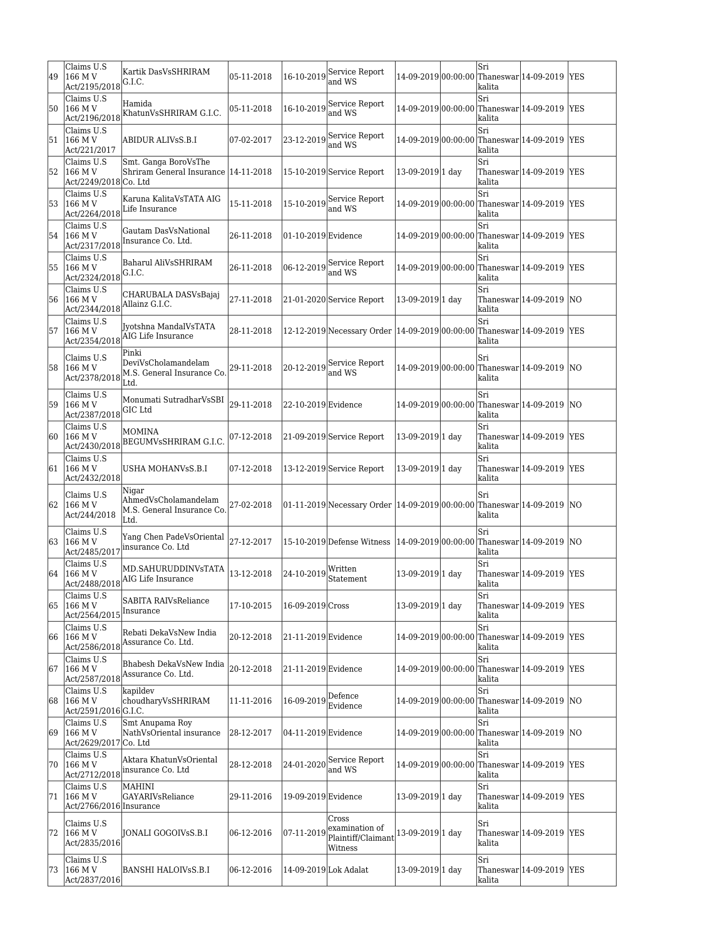| 49 | Claims U.S<br>166 M V<br>$Act/2195/2018$ <sup>G.I.C.</sup> | Kartik DasVsSHRIRAM                                                                                 | 05-11-2018 | 16-10-2019            | Service Report<br>and WS                                               |                     | Sri<br>kalita | 14-09-2019 00:00:00 Thaneswar 14-09-2019     | <b>YES</b> |
|----|------------------------------------------------------------|-----------------------------------------------------------------------------------------------------|------------|-----------------------|------------------------------------------------------------------------|---------------------|---------------|----------------------------------------------|------------|
| 50 | Claims U.S                                                 | Hamida<br>Act/2196/2018 KhatunVsSHRIRAM G.I.C.                                                      | 05-11-2018 | 16-10-2019            | Service Report<br>and WS                                               | 14-09-2019 00:00:00 | Sri<br>kalita | Thaneswar 14-09-2019 YES                     |            |
| 51 | Claims U.S<br>166 M V<br>Act/221/2017                      | ABIDUR ALIVsS.B.I                                                                                   | 07-02-2017 | 23-12-2019            | Service Report<br>and WS                                               |                     | Sri<br>kalita | 14-09-2019 00:00:00 Thaneswar 14-09-2019 YES |            |
| 52 | Claims U.S<br>166 M V<br>Act/2249/2018 Co. Ltd             | Smt. Ganga BoroVsThe<br>Shriram General Insurance   14-11-2018                                      |            |                       | 15-10-2019 Service Report                                              | 13-09-2019 1 day    | Sri<br>kalita | Thaneswar 14-09-2019                         | <b>YES</b> |
| 53 | Claims U.S.<br>166 M V<br>Act/2264/2018                    | Karuna KalitaVsTATA AIG<br>Life Insurance                                                           | 15-11-2018 | 15-10-2019            | Service Report<br>and WS                                               | 14-09-2019 00:00:00 | Sri<br>kalita | Thaneswar 14-09-2019 YES                     |            |
| 54 | Claims U.S<br>166 M V<br>Act/2317/2018                     | Gautam DasVsNational<br>Insurance Co. Ltd.                                                          | 26-11-2018 | 01-10-2019 Evidence   |                                                                        | 14-09-2019 00:00:00 | Sri<br>kalita | Thaneswar 14-09-2019                         | <b>YES</b> |
| 55 | Claims U.S<br>166 M V<br>$Act/2324/2018$ G.I.C.            | Baharul AliVsSHRIRAM                                                                                | 26-11-2018 | 06-12-2019            | Service Report<br>and WS                                               | 14-09-2019 00:00:00 | Sri<br>kalita | Thaneswar 14-09-2019   YES                   |            |
| 56 | Claims U.S<br>166 M V<br>Act/2344/2018 Allainz G.I.C.      | CHARUBALA DASVsBajaj                                                                                | 27-11-2018 |                       | 21-01-2020 Service Report                                              | 13-09-2019 1 day    | Sri<br>kalita | Thaneswar 14-09-2019                         | <b>NO</b>  |
| 57 | Claims U.S                                                 | Jyotshna MandalVsTATA<br>Act/2354/2018 AIG Life Insurance                                           | 28-11-2018 |                       | 12-12-2019 Necessary Order 14-09-2019 00:00:00                         |                     | Sri<br>kalita | Thaneswar 14-09-2019 YES                     |            |
| 58 | Claims U.S                                                 | Pinki<br>DeviVsCholamandelam<br>$\text{Act}/2378/2018$ <sub>r+3</sub> General Insurance Co.<br>Ltd. | 29-11-2018 | 20-12-2019            | Service Report<br>and WS                                               | 14-09-2019 00:00:00 | Sri<br>kalita | Thaneswar 14-09-2019 NO                      |            |
| 59 | Claims U.S<br>166 M V<br>Act/2387/2018 GIC Ltd             | Monumati SutradharVsSBI                                                                             | 29-11-2018 | 22-10-2019 Evidence   |                                                                        |                     | Sri<br>kalita | 14-09-2019 00:00:00 Thaneswar 14-09-2019     | <b>NO</b>  |
| 60 | Claims U.S                                                 | <b>MOMINA</b><br>Act/2430/2018 BEGUMVsSHRIRAM G.I.C.                                                | 07-12-2018 |                       | 21-09-2019 Service Report                                              | 13-09-2019 1 day    | Sri<br>kalita | Thaneswar 14-09-2019                         | <b>YES</b> |
| 61 | Claims U.S<br>166 M V<br>Act/2432/2018                     | USHA MOHANVsS.B.I                                                                                   | 07-12-2018 |                       | 13-12-2019 Service Report                                              | 13-09-2019 1 day    | Sri<br>kalita | Thaneswar 14-09-2019  YES                    |            |
| 62 | Claims U.S<br>166 M V<br>Act/244/2018                      | Nigar<br>AhmedVsCholamandelam<br>M.S. General Insurance Co.<br>Ltd.                                 | 27-02-2018 |                       | 01-11-2019 Necessary Order 14-09-2019 00:00:00 Thaneswar 14-09-2019 NO |                     | Sri<br>kalita |                                              |            |
| 63 | Claims U.S<br>166 M V<br>Act/2485/2017                     | Yang Chen PadeVsOriental<br>insurance Co. Ltd                                                       | 27-12-2017 |                       | 15-10-2019 Defense Witness                                             | 14-09-2019 00:00:00 | Sri<br>kalita | Thaneswar 14-09-2019                         | <b>NO</b>  |
| 64 | Claims U.S<br>166 M V                                      | MD.SAHURUDDINVsTATA<br>Act/2488/2018 AIG Life Insurance                                             | 13-12-2018 | 24-10-2019            | Written<br>Statement                                                   | 13-09-2019 1 day    | Sri<br>kalita | Thaneswar 14-09-2019 YES                     |            |
| 65 | Claims U.S<br>166 M V<br>Act/2564/2015                     | SABITA RAIVsReliance<br>Insurance                                                                   | 17-10-2015 | 16-09-2019 Cross      |                                                                        | 13-09-2019 1 day    | Sri<br>kalita | Thaneswar 14-09-2019   YES                   |            |
| 66 | Claims U.S<br>166 M V                                      | Rebati DekaVsNew India<br>Act/2586/2018 Assurance Co. Ltd.                                          | 20-12-2018 | 21-11-2019 Evidence   |                                                                        | 14-09-2019 00:00:00 | Sri<br>kalita | Thaneswar 14-09-2019 YES                     |            |
| 67 | Claims U.S                                                 | Bhabesh DekaVsNew India<br>Act/2587/2018 Assurance Co. Ltd.                                         | 20-12-2018 | 21-11-2019 Evidence   |                                                                        |                     | Sri<br>kalita | 14-09-2019 00:00:00 Thaneswar 14-09-2019 YES |            |
| 68 | Claims U.S<br>166 M V<br>Act/2591/2016 G.I.C.              | kapildev<br>choudharyVsSHRIRAM                                                                      | 11-11-2016 | 16-09-2019            | Defence<br>Evidence                                                    | 14-09-2019 00:00:00 | Sri<br>kalita | Thaneswar $14-09-2019$ NO                    |            |
| 69 | Claims U.S<br>166 M V<br>Act/2629/2017 Co. Ltd             | Smt Anupama Roy<br>NathVsOriental insurance                                                         | 28-12-2017 | 04-11-2019 Evidence   |                                                                        |                     | Sri<br>kalita | 14-09-2019 00:00:00 Thaneswar 14-09-2019 NO  |            |
| 70 | Claims U.S<br>166 M V                                      | Aktara KhatunVsOriental<br>$ \text{Act}/2712/2018 $ insurance Co. Ltd                               | 28-12-2018 | 24-01-2020            | Service Report<br>and WS                                               | 14-09-2019 00:00:00 | Sri<br>kalita | Thaneswar 14-09-2019                         | <b>YES</b> |
| 71 | Claims U.S<br>166 M V<br>Act/2766/2016 Insurance           | <b>MAHINI</b><br><b>GAYARIVsReliance</b>                                                            | 29-11-2016 | 19-09-2019 Evidence   |                                                                        | 13-09-2019 1 day    | Sri<br>kalita | Thaneswar 14-09-2019  YES                    |            |
| 72 | Claims U.S<br>166 M V<br>Act/2835/2016                     | JONALI GOGOIVsS.B.I                                                                                 | 06-12-2016 | 07-11-2019            | Cross<br>examination of<br>Plaintiff/Claimant<br>Witness               | 13-09-2019 1 day    | Sri<br>kalita | Thaneswar 14-09-2019   YES                   |            |
| 73 | Claims U.S<br>166 M V<br>Act/2837/2016                     | BANSHI HALOIVsS.B.I                                                                                 | 06-12-2016 | 14-09-2019 Lok Adalat |                                                                        | 13-09-2019 1 day    | Sri<br>kalita | Thaneswar $14-09-2019$ YES                   |            |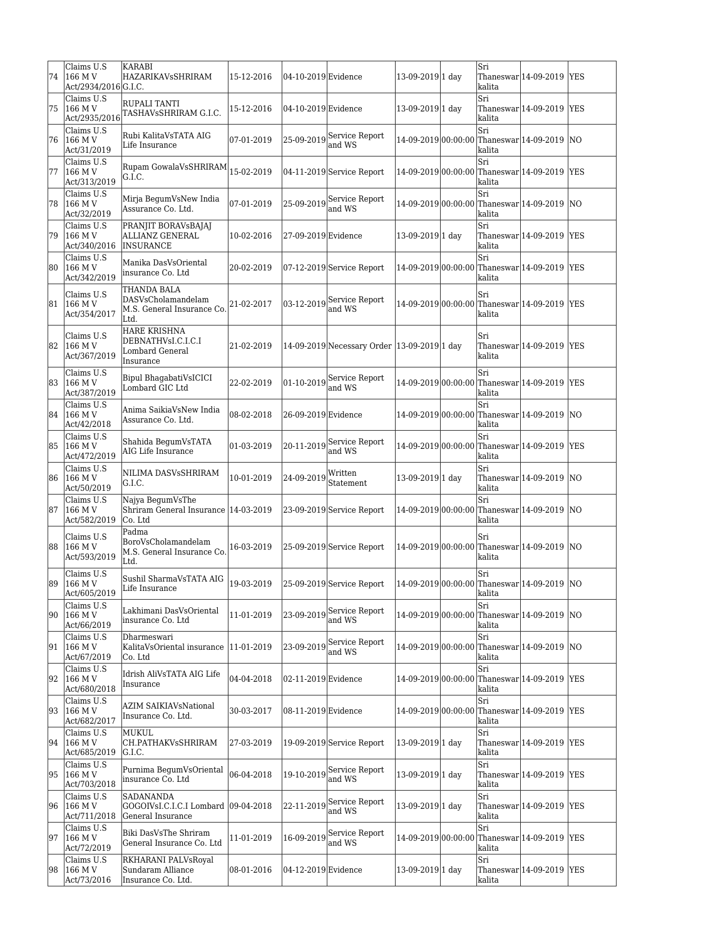| 74 | Claims U.S<br>166 M V<br>Act/2934/2016 G.I.C. | <b>KARABI</b><br><b>HAZARIKAVSSHRIRAM</b>                                     | 15-12-2016 | 04-10-2019 Evidence |                                                     | 13-09-2019 1 day    | Sri<br>lkalita | Thaneswar 14-09-2019   YES                    |            |
|----|-----------------------------------------------|-------------------------------------------------------------------------------|------------|---------------------|-----------------------------------------------------|---------------------|----------------|-----------------------------------------------|------------|
| 75 | Claims U.S<br>166 M V                         | RUPALI TANTI<br>Act/2935/2016 TASHAVSSHRIRAM G.I.C.                           | 15-12-2016 | 04-10-2019 Evidence |                                                     | 13-09-2019 1 day    | Sri<br>kalita  | Thaneswar 14-09-2019 YES                      |            |
| 76 | Claims U.S<br>166 M V<br>Act/31/2019          | Rubi KalitaVsTATA AIG<br>Life Insurance                                       | 07-01-2019 |                     | 25-09-2019 Service Report<br>and WS                 |                     | Sri<br>kalita  | 14-09-2019 00:00:00 Thaneswar 14-09-2019 NO   |            |
| 77 | Claims U.S<br>166 M V<br>Act/313/2019         | Rupam GowalaVsSHRIRAM $\vert_{15\text{-}02\text{-}2019}$<br>G.I.C.            |            |                     | 04-11-2019 Service Report                           |                     | Sri<br>kalita  | 14-09-2019 00:00:00 Thaneswar 14-09-2019 YES  |            |
| 78 | Claims U.S<br>166 M V<br>Act/32/2019          | Mirja BegumVsNew India<br>Assurance Co. Ltd.                                  | 07-01-2019 |                     | $25-09-2019$ Service Report<br>land WS              |                     | Sri<br>kalita  | 14-09-2019 00:00:00 Thaneswar 14-09-2019  NO  |            |
| 79 | Claims U.S<br>166 M V<br>Act/340/2016         | PRANJIT BORAVsBAJAJ<br>ALLIANZ GENERAL<br><b>INSURANCE</b>                    | 10-02-2016 | 27-09-2019 Evidence |                                                     | 13-09-2019 1 day    | Sri<br>kalita  | Thaneswar 14-09-2019                          | <b>YES</b> |
| 80 | Claims U.S<br>166 M V<br>Act/342/2019         | Manika DasVsOriental<br>insurance Co. Ltd                                     | 20-02-2019 |                     | $ 07-12-2019 $ Service Report                       |                     | Sri<br>kalita  | 14-09-2019 00:00:00 Thaneswar 14-09-2019 YES  |            |
| 81 | Claims U.S<br>166 M V<br>Act/354/2017         | THANDA BALA<br>DASVsCholamandelam<br>M.S. General Insurance Co.<br>Ltd.       | 21-02-2017 | 03-12-2019          | Service Report<br>and WS                            |                     | Sri<br>kalita  | 14-09-2019 00:00:00 Thaneswar 14-09-2019 YES  |            |
| 82 | Claims U.S<br>166 M V<br>Act/367/2019         | <b>HARE KRISHNA</b><br>DEBNATHVsI.C.I.C.I<br>Lombard General<br>Insurance     | 21-02-2019 |                     | 14-09-2019 Necessary Order 13-09-2019 1 day         |                     | Sri<br>lkalita | Thaneswar 14-09-2019  YES                     |            |
| 83 | Claims U.S<br>166 M V<br>Act/387/2019         | Bipul BhagabatiVsICICI<br>Lombard GIC Ltd                                     | 22-02-2019 |                     | $ 01-10-2019 $ Service Report<br>and WS             |                     | Sri<br>kalita  | 14-09-2019 00:00:00 Thaneswar 14-09-2019 YES  |            |
| 84 | Claims U.S<br>166 M V<br>Act/42/2018          | Anima SaikiaVsNew India<br>Assurance Co. Ltd.                                 | 08-02-2018 | 26-09-2019 Evidence |                                                     |                     | Sri<br>kalita  | 14-09-2019 00:00:00 Thaneswar 14-09-2019 NO   |            |
| 85 | Claims U.S<br>166 M V<br>Act/472/2019         | Shahida BegumVsTATA<br>AIG Life Insurance                                     | 01-03-2019 |                     | $ 20-11-2019 $ Service Report<br>and WS             |                     | Sri<br>kalita  | 14-09-2019 00:00:00 Thaneswar 14-09-2019 YES  |            |
| 86 | Claims U.S<br>166 M V<br>Act/50/2019          | NILIMA DASVsSHRIRAM<br>G.I.C.                                                 | 10-01-2019 | 24-09-2019          | Written<br>Statement                                | 13-09-2019 1 day    | Sri<br>kalita  | Thaneswar 14-09-2019 NO                       |            |
| 87 | Claims U.S<br>166 M V<br>Act/582/2019         | Najya BegumVsThe<br>Shriram General Insurance 14-03-2019<br>Co. Ltd           |            |                     | 23-09-2019 Service Report                           | 14-09-2019 00:00:00 | Sri<br>kalita  | Thaneswar 14-09-2019 NO                       |            |
| 88 | Claims U.S<br>166 M V<br>Act/593/2019         | Padma<br>BoroVsCholamandelam<br>M.S. General Insurance Co.<br>Ltd.            | 16-03-2019 |                     | 25-09-2019 Service Report                           |                     | Sri<br>kalita  | 14-09-2019 00:00:00 Thaneswar 14-09-2019 NO   |            |
| 89 | Claims U.S<br> 166 M V<br>Act/605/2019        | Sushil SharmaVsTATA AIG<br>Life Insurance                                     | 19-03-2019 |                     | 25-09-2019 Service Report                           |                     | Sri<br>kalita  | 14-09-2019 00:00:00 Thaneswar 14-09-2019 NO   |            |
| 90 | Claims U.S<br>166 M V<br>Act/66/2019          | Lakhimani DasVsOriental<br>insurance Co. Ltd                                  | 11-01-2019 |                     | 23-09-2019 Service Report<br>and WS                 | 14-09-2019 00:00:00 | Sri<br>kalita  | Thaneswar 14-09-2019 NO                       |            |
| 91 | Claims U.S<br>166 M V<br>Act/67/2019          | Dharmeswari<br>KalitaVsOriental insurance  11-01-2019<br> Co. Ltd             |            |                     | 23-09-2019 Service Report<br>and WS                 |                     | Sri<br>kalita  | 14-09-2019 00:00:00 Thaneswar 14-09-2019 NO   |            |
| 92 | Claims U.S<br> 166 M V<br>Act/680/2018        | Idrish AliVsTATA AIG Life<br>Insurance                                        | 04-04-2018 | 02-11-2019 Evidence |                                                     |                     | Sri<br>kalita  | 14-09-2019 00:00:00 Thaneswar 14-09-2019  YES |            |
| 93 | Claims U.S<br> 166 M V<br>Act/682/2017        | <b>AZIM SAIKIAVsNational</b><br>Insurance Co. Ltd.                            | 30-03-2017 | 08-11-2019 Evidence |                                                     |                     | Sri<br>kalita  | 14-09-2019 00:00:00 Thaneswar 14-09-2019 YES  |            |
| 94 | Claims U.S<br>166 M V<br>Act/685/2019         | MUKUL<br>CH.PATHAKVsSHRIRAM<br>G.I.C.                                         | 27-03-2019 |                     | 19-09-2019 Service Report                           | 13-09-2019 1 day    | Sri<br>kalita  | Thaneswar $14-09-2019$ YES                    |            |
| 95 | Claims U.S<br>166 M V<br>Act/703/2018         | Purnima BegumVsOriental<br>insurance Co. Ltd                                  | 06-04-2018 |                     | $\vert$ 19-10-2019 $\vert$ Service Report<br>and WS | 13-09-2019 1 day    | Sri<br>kalita  | Thaneswar 14-09-2019   YES                    |            |
| 96 | Claims U.S<br>166 M V<br>Act/711/2018         | <b>SADANANDA</b><br>GOGOIVsI.C.I.C.I Lombard  09-04-2018<br>General Insurance |            | 22-11-2019          | Service Report<br>and WS                            | 13-09-2019 1 day    | Sri<br>kalita  | Thaneswar 14-09-2019   YES                    |            |
| 97 | Claims U.S<br>166 M V<br>Act/72/2019          | Biki DasVsThe Shriram<br>General Insurance Co. Ltd                            | 11-01-2019 |                     | 16-09-2019 Service Report<br>and WS                 | 14-09-2019 00:00:00 | Sri<br>kalita  | Thaneswar 14-09-2019  YES                     |            |
| 98 | Claims U.S<br>166 M V<br>Act/73/2016          | RKHARANI PALVsRoyal<br>Sundaram Alliance<br>Insurance Co. Ltd.                | 08-01-2016 | 04-12-2019 Evidence |                                                     | 13-09-2019 1 day    | Sri<br>kalita  | Thaneswar 14-09-2019  YES                     |            |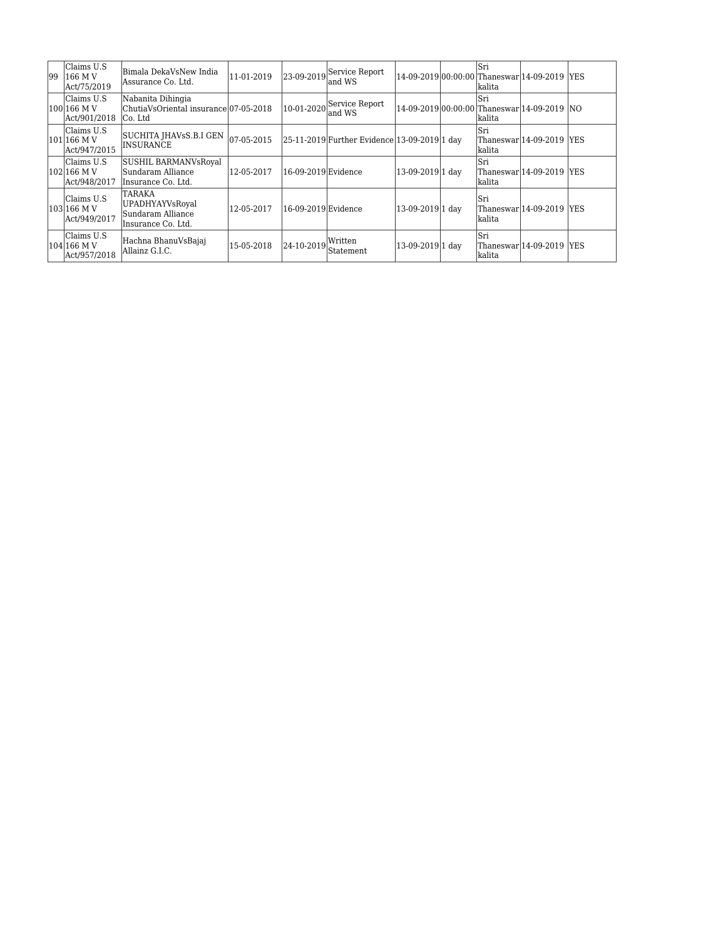| 199 | Claims U.S<br> 166 M V<br>Act/75/2019       | Bimala DekaVsNew India<br> Assurance Co. Ltd.                                | 11-01-2019     |                     | 23-09-2019 Service Report<br>land WS         |                  | lSri<br>lkalita | 14-09-2019 00:00:00 Thaneswar 14-09-2019  YES |  |
|-----|---------------------------------------------|------------------------------------------------------------------------------|----------------|---------------------|----------------------------------------------|------------------|-----------------|-----------------------------------------------|--|
|     | Claims U.S<br>100 166 M V<br>Act/901/2018   | Nabanita Dihingia<br>ChutiaVsOriental insurance007-05-2018<br>ICo. Ltd       |                |                     | $ 10-01-2020 $ Service Report<br>land WS     |                  | lSri<br>lkalita | 14-09-2019 00:00:00 Thaneswar 14-09-2019 NO   |  |
|     | lClaims U.S.<br>101 166 M V<br>Act/947/2015 | SUCHITA JHAVsS.B.I GEN<br><b>INSURANCE</b>                                   | $ 07-05-2015 $ |                     | 25-11-2019 Further Evidence 13-09-2019 1 day |                  | Sri<br>kalita   | Thaneswar 14-09-2019  YES                     |  |
|     | Claims U.S<br>102 166 M V<br>Act/948/2017   | SUSHIL BARMANVsRoyal<br> Sundaram Alliance<br>Insurance Co. Ltd.             | 12-05-2017     | 16-09-2019 Evidence |                                              | 13-09-2019 1 day | lSri<br>lkalita | Thaneswar 14-09-2019  YES                     |  |
|     | Claims U.S<br>103 166 M V<br>Act/949/2017   | <b>TARAKA</b><br>UPADHYAYVsRoyal<br> Sundaram Alliance<br>Insurance Co. Ltd. | 12-05-2017     | 16-09-2019 Evidence |                                              | 13-09-2019 1 day | Sri<br>lkalita  | Thaneswar 14-09-2019  YES                     |  |
|     | Claims U.S<br>104 166 M V<br>Act/957/2018   | Hachna BhanuVsBajaj<br>Allainz G.I.C.                                        | 15-05-2018     | $ 24-10-2019 $      | Written<br>Statement                         | 13-09-2019 1 day | Sri<br>lkalita  | Thaneswar 14-09-2019  YES                     |  |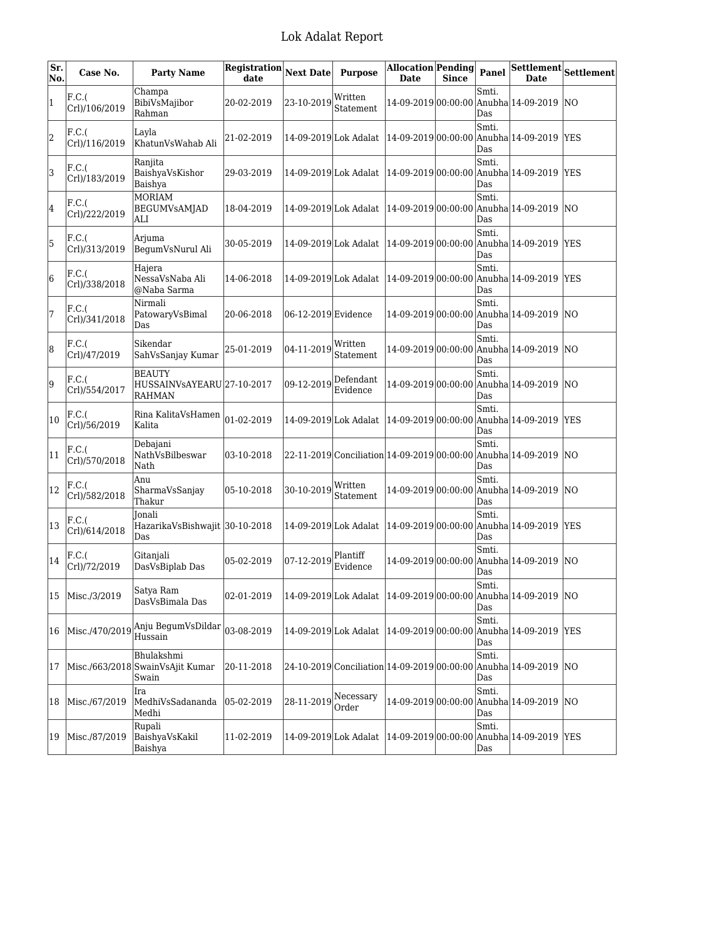| Sr.<br>No. | Case No.               | <b>Party Name</b>                                       | Registration<br>date | <b>Next Date</b>      | <b>Purpose</b>                              | Allocation Pending<br><b>Date</b> | <b>Since</b> | Panel        | <b>Date</b>                                                      | $\overline{\text{Settlement}}\big  \text{Settlement} \big $ |
|------------|------------------------|---------------------------------------------------------|----------------------|-----------------------|---------------------------------------------|-----------------------------------|--------------|--------------|------------------------------------------------------------------|-------------------------------------------------------------|
| 1          | F.C.(<br>Crl)/106/2019 | Champa<br>BibiVsMajibor<br>Rahman                       | 20-02-2019           | 23-10-2019            | Written<br>Statement                        | 14-09-2019 00:00:00               |              | Smti.<br>Das | Anubha 14-09-2019 NO                                             |                                                             |
| 2          | F.C.(<br>Crl)/116/2019 | Layla<br>KhatunVsWahab Ali                              | 21-02-2019           | 14-09-2019 Lok Adalat |                                             |                                   |              | Smti.<br>Das | 14-09-2019 00:00:00 Anubha 14-09-2019                            | <b>YES</b>                                                  |
| 3          | F.C.(<br>Crl)/183/2019 | Ranjita<br>BaishyaVsKishor<br>Baishya                   | 29-03-2019           | 14-09-2019 Lok Adalat |                                             | $14-09-2019 00:00:00$             |              | Smti.<br>Das | Anubha 14-09-2019                                                | <b>IYES</b>                                                 |
| 4          | F.C.(<br>Crl)/222/2019 | <b>MORIAM</b><br><b>BEGUMVsAMJAD</b><br>ALI             | 18-04-2019           | 14-09-2019 Lok Adalat |                                             | 14-09-2019 00:00:00               |              | Smti.<br>Das | Anubha 14-09-2019                                                | <b>NO</b>                                                   |
| 5          | F.C.(<br>Crl)/313/2019 | Arjuma<br>BegumVsNurul Ali                              | 30-05-2019           | 14-09-2019 Lok Adalat |                                             | $14-09-2019 00:00:00$             |              | Smti.<br>Das | Anubha 14-09-2019                                                | <b>IYES</b>                                                 |
| 6          | F.C.(<br>Crl)/338/2018 | Hajera<br>NessaVsNaba Ali<br>@Naba Sarma                | 14-06-2018           | 14-09-2019 Lok Adalat |                                             | 14-09-2019 00:00:00               |              | Smti.<br>Das | Anubha 14-09-2019                                                | <b>IYES</b>                                                 |
| 7          | F.C.(<br>Crl)/341/2018 | Nirmali<br>PatowaryVsBimal<br>Das                       | 20-06-2018           | 06-12-2019 Evidence   |                                             | 14-09-2019 00:00:00               |              | Smti.<br>Das | Anubha 14-09-2019                                                | $\overline{NQ}$                                             |
| 8          | F.C.(<br>Crl)/47/2019  | Sikendar<br>SahVsSanjay Kumar                           | 25-01-2019           | 04-11-2019            | Written<br>Statement                        | 14-09-2019 00:00:00               |              | Smti.<br>Das | Anubha 14-09-2019                                                | <b>NO</b>                                                   |
| 9          | F.C.(<br>Crl)/554/2017 | <b>BEAUTY</b><br>HUSSAINVsAYEARU 27-10-2017<br>RAHMAN   |                      | 09-12-2019            | Defendant<br>Evidence                       | 14-09-2019 00:00:00               |              | Smti.<br>Das | Anubha 14-09-2019                                                | $\overline{NQ}$                                             |
| 10         | F.C.(<br>Crl)/56/2019  | Rina KalitaVsHamen<br>Kalita                            | 01-02-2019           | 14-09-2019 Lok Adalat |                                             | 14-09-2019 00:00:00               |              | Smti.<br>Das | Anubha 14-09-2019                                                | <b>IYES</b>                                                 |
| 11         | F.C.(<br>Crl)/570/2018 | Debajani<br>NathVsBilbeswar<br>Nath                     | 03-10-2018           |                       | 22-11-2019 Conciliation 14-09-2019 00:00:00 |                                   |              | Smti.<br>Das | Anubha 14-09-2019                                                | $\overline{NQ}$                                             |
| 12         | F.C.(<br>Crl)/582/2018 | Anu<br>SharmaVsSanjay<br>Thakur                         | 05-10-2018           | 30-10-2019            | Written<br>Statement                        | 14-09-2019 00:00:00               |              | Smti.<br>Das | Anubha 14-09-2019 NO                                             |                                                             |
| 13         | F.C.(<br>Crl)/614/2018 | <b>Ionali</b><br>HazarikaVsBishwajit 30-10-2018<br>Das  |                      | 14-09-2019 Lok Adalat |                                             | 14-09-2019 00:00:00               |              | Smti.<br>Das | Anubha 14-09-2019 YES                                            |                                                             |
| 14         | F.C.(<br>Crl)/72/2019  | Gitanjali<br>DasVsBiplab Das                            | 05-02-2019           | 07-12-2019            | Plantiff<br>Evidence                        | 14-09-2019 00:00:00               |              | Smti.<br>Das | Anubha 14-09-2019 NO                                             |                                                             |
|            | 15 Misc./3/2019        | Satya Ram<br>DasVsBimala Das                            | 02-01-2019           |                       |                                             |                                   |              | Smti.<br>Das | 14-09-2019 Lok Adalat   14-09-2019 00:00:00 Anubha 14-09-2019 NO |                                                             |
| 16         | Misc./470/2019         | Anju BegumVsDildar<br>Hussain                           | 03-08-2019           | 14-09-2019 Lok Adalat |                                             |                                   |              | Smti.<br>Das | 14-09-2019 00:00:00 Anubha 14-09-2019 YES                        |                                                             |
| 17         |                        | Bhulakshmi<br>Misc./663/2018 SwainVsAjit Kumar<br>Swain | 20-11-2018           |                       | 24-10-2019 Conciliation 14-09-2019 00:00:00 |                                   |              | Smti.<br>Das | Anubha 14-09-2019  NO                                            |                                                             |
| 18         | Misc./67/2019          | Ira<br>MedhiVsSadananda<br>Medhi                        | 05-02-2019           | 28-11-2019            | Necessary<br>Order                          |                                   |              | Smti.<br>Das | 14-09-2019 00:00:00 Anubha 14-09-2019 NO                         |                                                             |
| 19         | Misc./87/2019          | Rupali<br>BaishyaVsKakil<br>Baishya                     | 11-02-2019           | 14-09-2019 Lok Adalat |                                             |                                   |              | Smti.<br>Das | 14-09-2019 00:00:00 Anubha 14-09-2019 YES                        |                                                             |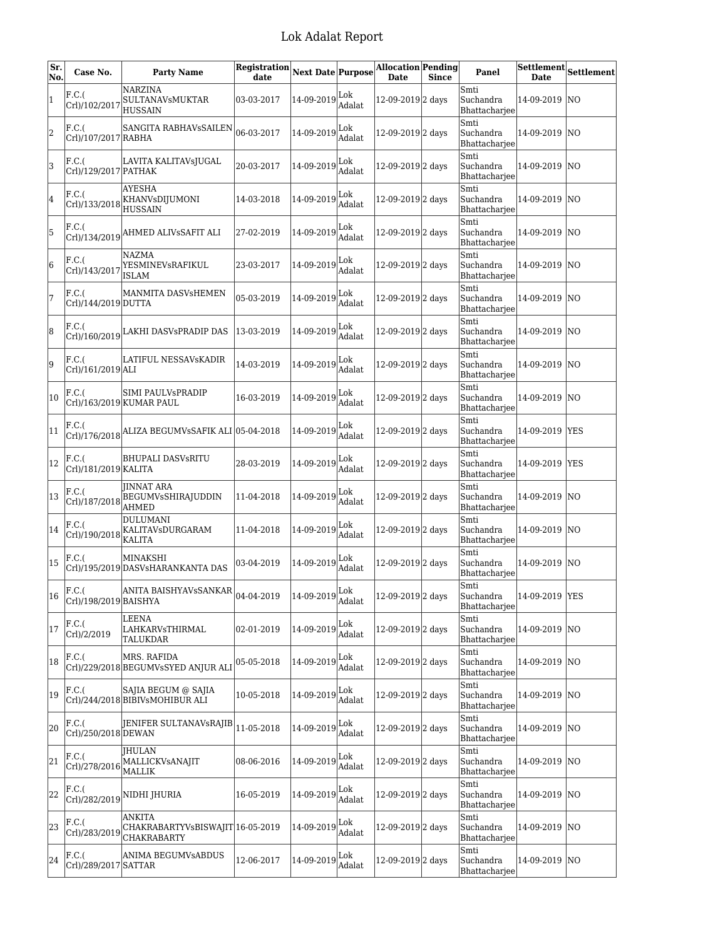| Sr.<br>No.   | Case No.                       | <b>Party Name</b>                                                                             | Registration Next Date Purpose |            |               | <b>Allocation Pending</b><br><b>Date</b> | <b>Since</b> | Panel                              |                | $[{\bf Set element}] {\bf Set element}$ |
|--------------|--------------------------------|-----------------------------------------------------------------------------------------------|--------------------------------|------------|---------------|------------------------------------------|--------------|------------------------------------|----------------|-----------------------------------------|
| $\mathbf{1}$ | F.C.(<br>Crl)/102/2017         | NARZINA<br>SULTANAVsMUKTAR<br><b>HUSSAIN</b>                                                  | 03-03-2017                     | 14-09-2019 | Lok<br>Adalat | 12-09-2019 <sub>2</sub> days             |              | Smti<br>Suchandra<br>Bhattacharjee | 14-09-2019 NO  |                                         |
| 2            | F.C.(<br>Crl)/107/2017 RABHA   | SANGITA RABHAVSSAILEN                                                                         | 06-03-2017                     | 14-09-2019 | Lok<br>Adalat | 12-09-2019 <sub>2</sub> days             |              | Smti<br>Suchandra<br>Bhattacharjee | 14-09-2019  NO |                                         |
| 3            | F.C.(<br>Crl)/129/2017 PATHAK  | LAVITA KALITAVsJUGAL                                                                          | 20-03-2017                     | 14-09-2019 | Lok<br>Adalat | 12-09-2019 <sub>2</sub> days             |              | Smti<br>Suchandra<br>Bhattacharjee | 14-09-2019     | INO.                                    |
| 4            | F.C.(<br>Crl)/133/2018         | AYESHA<br>KHANVsDIJUMONI<br><b>HUSSAIN</b>                                                    | 14-03-2018                     | 14-09-2019 | Lok<br>Adalat | 12-09-2019 <sub>2</sub> days             |              | Smti<br>Suchandra<br>Bhattacharjee | 14-09-2019 NO  |                                         |
| 5            | F.C.(                          | $\vert \text{Crl} \rangle/134/2019 \vert$ AHMED ALIVSSAFIT ALI                                | 27-02-2019                     | 14-09-2019 | Lok<br>Adalat | 12-09-2019 2 days                        |              | Smti<br>Suchandra<br>Bhattacharjee | 14-09-2019 NO  |                                         |
| 6            | F.C.(                          | <b>NAZMA</b><br>Crl)/143/2017 YESMINEVsRAFIKUL<br><b>ISLAM</b>                                | 23-03-2017                     | 14-09-2019 | Lok<br>Adalat | 12-09-2019 2 days                        |              | Smti<br>Suchandra<br>Bhattacharjee | 14-09-2019 NO  |                                         |
| 7            | F.C.(<br>Crl)/144/2019 DUTTA   | MANMITA DASVsHEMEN                                                                            | 05-03-2019                     | 14-09-2019 | Lok<br>Adalat | 12-09-2019 <sub>2</sub> days             |              | Smti<br>Suchandra<br>Bhattacharjee | 14-09-2019     | <b>NO</b>                               |
| 8            | F.C.(                          | $\vert {\rm Crl}\rangle/160/2019\vert$ LAKHI DASVsPRADIP DAS                                  | 13-03-2019                     | 14-09-2019 | Lok<br>Adalat | 12-09-2019 <sub>2</sub> days             |              | Smti<br>Suchandra<br>Bhattacharjee | 14-09-2019 NO  |                                         |
| 9            | F.C.(<br>Crl)/161/2019 ALI     | LATIFUL NESSAVsKADIR                                                                          | 14-03-2019                     | 14-09-2019 | Lok<br>Adalat | 12-09-2019 <sub>2</sub> days             |              | Smti<br>Suchandra<br>Bhattacharjee | 14-09-2019 NO  |                                         |
| 10           | F.C.(                          | SIMI PAULVsPRADIP<br>Crl)/163/2019 KUMAR PAUL                                                 | 16-03-2019                     | 14-09-2019 | Lok<br>Adalat | 12-09-2019 2 days                        |              | Smti<br>Suchandra<br>Bhattacharjee | 14-09-2019 NO  |                                         |
| 11           | F.C.(                          | Crl)/176/2018 ALIZA BEGUMVSSAFIK ALI 05-04-2018                                               |                                | 14-09-2019 | Lok<br>Adalat | 12-09-2019 2 days                        |              | Smti<br>Suchandra<br>Bhattacharjee | 14-09-2019 YES |                                         |
| 12           | F.C.(<br>Crl)/181/2019 KALITA  | <b>BHUPALI DASVsRITU</b>                                                                      | 28-03-2019                     | 14-09-2019 | Lok<br>Adalat | 12-09-2019 <sub>2</sub> days             |              | Smti<br>Suchandra<br>Bhattacharjee | 14-09-2019 YES |                                         |
| 13           | F.C.(                          | <b>JINNAT ARA</b><br>Crl)/187/2018 BEGUMVsSHIRAJUDDIN<br><b>AHMED</b>                         | 11-04-2018                     | 14-09-2019 | Lok<br>Adalat | 12-09-2019 2 days                        |              | Smti<br>Suchandra<br>Bhattacharjee | 14-09-2019 NO  |                                         |
| 14           | F.C.(<br>Crl)/190/2018         | <b>DULUMANI</b><br>KALITAVsDURGARAM<br>KALITA                                                 | 11-04-2018                     | 14-09-2019 | Lok<br>Adalat | 12-09-2019 <sub>2</sub> days             |              | Smti<br>Suchandra<br>Bhattacharjee | 14-09-2019 NO  |                                         |
| 15           | F.C.(                          | MINAKSHI<br>Crl)/195/2019 DASVsHARANKANTA DAS                                                 | 03-04-2019                     | 14-09-2019 | Lok<br>Adalat | 12-09-2019 2 days                        |              | Smti<br>Suchandra<br>Bhattacharjee | 14-09-2019  NO |                                         |
| 16           | F.C.(<br>Crl)/198/2019 BAISHYA | ANITA BAISHYAVSSANKAR $\vert_{04\text{-}04\text{-}2019} \vert_{14\text{-}09\text{-}2019}$ Lok |                                |            | Adalat        | 12-09-2019 <sub>2</sub> days             |              | Smti<br>Suchandra<br>Bhattacharjee | 14-09-2019 YES |                                         |
| 17           | F.C.(<br>Crl)/2/2019           | LEENA<br>LAHKARVsTHIRMAL<br><b>TALUKDAR</b>                                                   | 02-01-2019                     | 14-09-2019 | Lok<br>Adalat | 12-09-2019 <sub>2</sub> days             |              | Smti<br>Suchandra<br>Bhattacharjee | 14-09-2019 NO  |                                         |
| 18           | F.C.(                          | MRS. RAFIDA<br>Crl)/229/2018 BEGUMVsSYED ANJUR ALI                                            | 05-05-2018                     | 14-09-2019 | Lok<br>Adalat | 12-09-2019 <sub>2</sub> days             |              | Smti<br>Suchandra<br>Bhattacharjee | 14-09-2019     | NO                                      |
| 19           | F.C.(                          | SAJIA BEGUM @ SAJIA<br>Crl)/244/2018 BIBIVsMOHIBUR ALI                                        | 10-05-2018                     | 14-09-2019 | Lok<br>Adalat | 12-09-2019 <sub>2</sub> days             |              | Smti<br>Suchandra<br>Bhattacharjee | 14-09-2019 NO  |                                         |
| 20           | F.C.(<br>Crl)/250/2018 DEWAN   | <b>JENIFER SULTANAVSRAJIB</b>                                                                 | 11-05-2018                     | 14-09-2019 | Lok<br>Adalat | 12-09-2019 <sub>2</sub> days             |              | Smti<br>Suchandra<br>Bhattacharjee | 14-09-2019 NO  |                                         |
| 21           | F.C.(<br>Crl)/278/2016         | <b>IHULAN</b><br>MALLICKVsANAJIT<br><b>MALLIK</b>                                             | 08-06-2016                     | 14-09-2019 | Lok<br>Adalat | 12-09-2019 <sub>2</sub> days             |              | Smti<br>Suchandra<br>Bhattacharjee | 14-09-2019     | NO                                      |
| 22           | F.C.(<br>Crl)/282/2019         | NIDHI JHURIA                                                                                  | 16-05-2019                     | 14-09-2019 | Lok<br>Adalat | 12-09-2019 <sub>2</sub> days             |              | Smti<br>Suchandra<br>Bhattacharjee | 14-09-2019 NO  |                                         |
| 23           | F.C.(<br>Crl)/283/2019         | ANKITA<br>CHAKRABARTYVsBISWAJIT 16-05-2019<br>CHAKRABARTY                                     |                                | 14-09-2019 | Lok<br>Adalat | 12-09-2019 <sub>2</sub> days             |              | Smti<br>Suchandra<br>Bhattacharjee | 14-09-2019 NO  |                                         |
| 24           | F.C.(<br>Crl)/289/2017 SATTAR  | ANIMA BEGUMVsABDUS                                                                            | 12-06-2017                     | 14-09-2019 | Lok<br>Adalat | 12-09-2019 <sub>2</sub> days             |              | Smti<br>Suchandra<br>Bhattacharjee | 14-09-2019 NO  |                                         |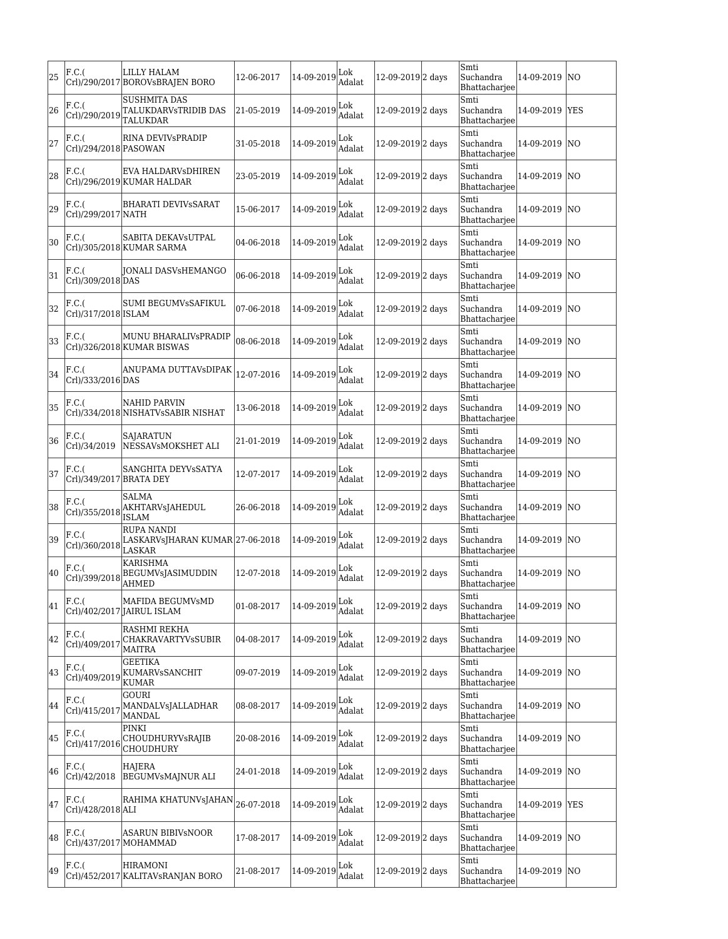| 25 | F.C.(                            | LILLY HALAM<br>Crl)/290/2017 BOROVsBRAJEN BORO                 | 12-06-2017 | $14 - 09 - 2019$ Lok                          | Adalat        | 12-09-2019 2 days            | Smti<br>Suchandra<br>Bhattacharjee | 14-09-2019     | ΙNΟ |
|----|----------------------------------|----------------------------------------------------------------|------------|-----------------------------------------------|---------------|------------------------------|------------------------------------|----------------|-----|
| 26 | F.C.(<br>Crl)/290/2019           | SUSHMITA DAS<br>TALUKDARVsTRIDIB DAS<br>TALUKDAR               | 21-05-2019 | $ 14-09-2019 _{\lambda}^{\text{Lok}}$         | Adalat        | 12-09-2019 2 days            | Smti<br>Suchandra<br>Bhattacharjee | 14-09-2019 YES |     |
| 27 | F.C.(<br>Crl)/294/2018 PASOWAN   | RINA DEVIVSPRADIP                                              | 31-05-2018 | 14-09-2019                                    | Lok<br>Adalat | 12-09-2019 2 days            | Smti<br>Suchandra<br>Bhattacharjee | 14-09-2019     | lΝO |
| 28 | F.C.(                            | EVA HALDARVsDHIREN<br>Crl)/296/2019 KUMAR HALDAR               | 23-05-2019 | 14-09-2019 $\big _{\lambda}^{\text{Lok}}$ .   | Adalat        | 12-09-2019 2 days            | Smti<br>Suchandra<br>Bhattacharjee | 14-09-2019     | lΝO |
| 29 | F.C.(<br>Crl)/299/2017 NATH      | <b>BHARATI DEVIVSSARAT</b>                                     | 15-06-2017 | $ 14-09-2019 $ Lok                            | Adalat        | 12-09-2019 <sub>2</sub> days | Smti<br>Suchandra<br>Bhattacharjee | 14-09-2019     | lΝO |
| 30 | F.C.(                            | SABITA DEKAVsUTPAL<br>Crl)/305/2018 KUMAR SARMA                | 04-06-2018 | 14-09-2019                                    | Lok<br>Adalat | 12-09-2019 2 days            | Smti<br>Suchandra<br>Bhattacharjee | 14-09-2019 NO  |     |
| 31 | F.C.(<br>Crl)/309/2018 DAS       | JONALI DASVsHEMANGO                                            | 06-06-2018 | 14-09-2019 Lok                                | Adalat        | 12-09-2019 <sup>2</sup> days | Smti<br>Suchandra<br>Bhattacharjee | 14-09-2019 NO  |     |
| 32 | F.C.(<br>Crl)/317/2018 ISLAM     | SUMI BEGUMVsSAFIKUL                                            | 07-06-2018 | 14-09-2019                                    | Lok<br>Adalat | 12-09-2019 <sup>2</sup> days | Smti<br>Suchandra<br>Bhattachariee | 14-09-2019     | NΟ  |
| 33 | F.C.(                            | MUNU BHARALIVsPRADIP<br>Crl)/326/2018 KUMAR BISWAS             | 08-06-2018 | 14-09-2019                                    | Lok<br>Adalat | 12-09-2019 <sub>2</sub> days | Smti<br>Suchandra<br>Bhattachariee | 14-09-2019 NO  |     |
| 34 | F.C.(<br>Crl)/333/2016 DAS       | ANUPAMA DUTTAVsDIPAK                                           | 12-07-2016 | 14-09-2019 Lok                                | Adalat        | 12-09-2019 <sup>2</sup> days | Smti<br>Suchandra<br>Bhattacharjee | 14-09-2019 NO  |     |
| 35 | F.C.(                            | NAHID PARVIN<br>Crl)/334/2018 NISHATVsSABIR NISHAT             | 13-06-2018 | $14 - 09 - 2019$ Lok                          | Adalat        | 12-09-2019 <sub>2</sub> days | Smti<br>Suchandra<br>Bhattacharjee | 14-09-2019     | NΟ  |
| 36 | F.C.(<br>Crl)/34/2019            | SAJARATUN<br>NESSAVsMOKSHET ALI                                | 21-01-2019 | 14-09-2019                                    | Lok<br>Adalat | 12-09-2019 2 days            | Smti<br>Suchandra<br>Bhattacharjee | 14-09-2019 NO  |     |
| 37 | F.C.(<br>Crl)/349/2017 BRATA DEY | SANGHITA DEYVsSATYA                                            | 12-07-2017 | 14-09-2019                                    | Lok<br>Adalat | 12-09-2019 2 days            | Smti<br>Suchandra<br>Bhattacharjee | 14-09-2019 NO  |     |
| 38 | F.C.(                            | SALMA<br>Crl)/355/2018 AKHTARVsJAHEDUL<br><b>ISLAM</b>         | 26-06-2018 | 14-09-2019                                    | Lok<br>Adalat | 12-09-2019 <sub>2</sub> days | Smti<br>Suchandra<br>Bhattacharjee | 14-09-2019     | lΝO |
| 39 | F.C.(<br>Crl)/360/2018           | RUPA NANDI<br>LASKARVsJHARAN KUMAR 27-06-2018<br><b>LASKAR</b> |            | 14-09-2019                                    | Lok<br>Adalat | 12-09-2019 <sup>2</sup> days | Smti<br>Suchandra<br>Bhattacharjee | 14-09-2019     | NΟ  |
| 40 | F.C.(<br>Crl)/399/2018           | KARISHMA<br>BEGUMVsJASIMUDDIN<br>AHMED                         | 12-07-2018 | 14-09-2019                                    | Lok<br>Adalat | 12-09-2019 <sup>2</sup> days | Smti<br>Suchandra<br>Bhattacharjee | 14-09-2019     | lΝO |
| 41 | F.C.(                            | MAFIDA BEGUMVsMD<br>Crl)/402/2017 JAIRUL ISLAM                 | 01-08-2017 | 14-09-2019                                    | Lok<br>Adalat | 12-09-2019 2 days            | Smti<br>Suchandra<br>Bhattacharjee | 14-09-2019 NO  |     |
| 42 | F.C.(<br>Crl)/409/2017           | RASHMI REKHA<br>CHAKRAVARTYVsSUBIR<br><b>MAITRA</b>            | 04-08-2017 | $14-09-2019$ $\Big _{\Lambda}^{L 0 k}$        | Adalat        | 12-09-2019 <sup>2</sup> days | Smti<br>Suchandra<br>Bhattacharjee | 14-09-2019 NO  |     |
| 43 | F.C.(<br>Crl)/409/2019           | GEETIKA<br>KUMARVSSANCHIT<br>KUMAR                             | 09-07-2019 | $ 14-09-2019 $ <sub>A,3</sub> ,               | Adalat        | 12-09-2019 <sup>2</sup> days | Smti<br>Suchandra<br>Bhattacharjee | 14-09-2019 NO  |     |
| 44 | F.C.(<br>Crl)/415/2017           | GOURI<br>MANDALVsJALLADHAR<br>MANDAL                           | 08-08-2017 | 14-09-2019                                    | Lok<br>Adalat | 12-09-2019 <sub>2</sub> days | Smti<br>Suchandra<br>Bhattacharjee | 14-09-2019 NO  |     |
| 45 | F.C.(<br>Crl)/417/2016           | PINKI<br>CHOUDHURYVsRAJIB<br>CHOUDHURY                         | 20-08-2016 | $14 - 09 - 2019$ Lok                          | Adalat        | 12-09-2019 <sub>2</sub> days | Smti<br>Suchandra<br>Bhattacharjee | 14-09-2019 NO  |     |
| 46 | F.C.(<br>Crl)/42/2018            | HAJERA<br>BEGUMVsMAJNUR ALI                                    | 24-01-2018 | $ 14-09-2019 $                                | Adalat        | 12-09-2019 <sub>2</sub> days | Smti<br>Suchandra<br>Bhattacharjee | 14-09-2019 NO  |     |
| 47 | F.C.(<br>Crl)/428/2018 ALI       | RAHIMA KHATUNVSJAHAN                                           | 26-07-2018 | $14-09-2019$ $\Big _{\Lambda}^{L 0 k}$ .      | Adalat        | 12-09-2019 2 days            | Smti<br>Suchandra<br>Bhattacharjee | 14-09-2019 YES |     |
| 48 | F.C.(<br>Crl)/437/2017 MOHAMMAD  | ASARUN BIBIVsNOOR                                              | 17-08-2017 | $14-09-2019$ $\Big _{\Lambda}^{\text{Lok}}$ . | Adalat        | 12-09-2019 2 days            | Smti<br>Suchandra<br>Bhattacharjee | 14-09-2019 NO  |     |
| 49 | $ F.C.(\$                        | <b>HIRAMONI</b><br>Crl)/452/2017 KALITAVsRANJAN BORO           | 21-08-2017 | $14 - 09 - 2019$ Lok                          | Adalat        | 12-09-2019 <sub>2</sub> days | Smti<br>Suchandra<br>Bhattacharjee | 14-09-2019 NO  |     |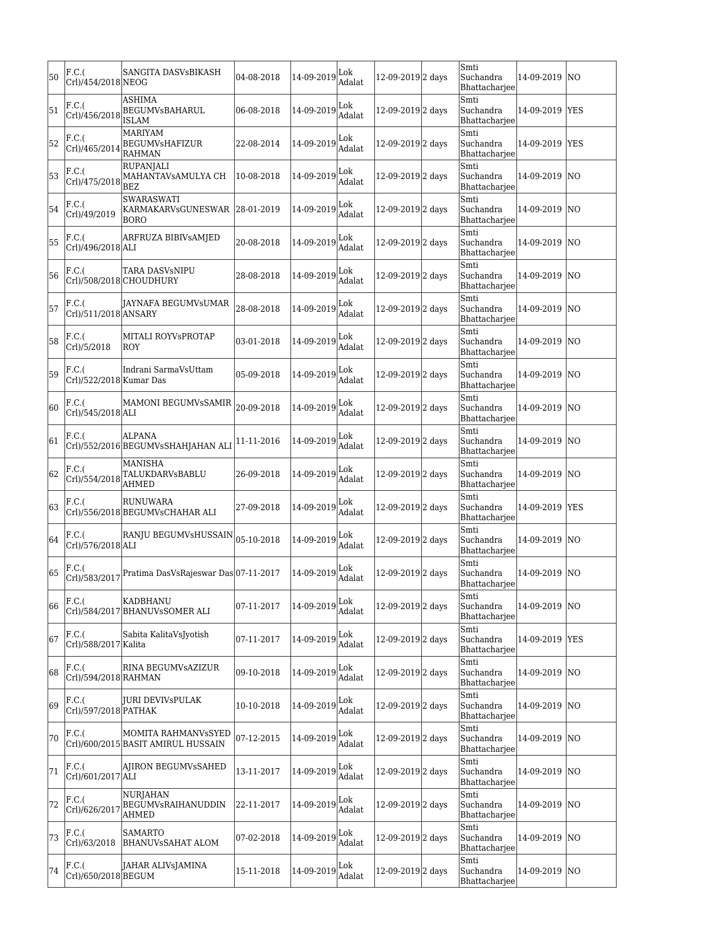| 50 | F.C.(<br>Crl)/454/2018 NEOG      | SANGITA DASVsBIKASH                                       | 04-08-2018 | 14-09-2019 | Lok<br>Adalat | 12-09-2019 2 days            | Smti<br>Suchandra<br>Bhattacharjee | 14-09-2019     | INO            |
|----|----------------------------------|-----------------------------------------------------------|------------|------------|---------------|------------------------------|------------------------------------|----------------|----------------|
| 51 | F.C.(                            | ASHIMA<br>Crl)/456/2018 BEGUMVsBAHARUL<br><b>ISLAM</b>    | 06-08-2018 | 14-09-2019 | Lok<br>Adalat | 12-09-2019 2 days            | Smti<br>Suchandra<br>Bhattacharjee | 14-09-2019 YES |                |
| 52 | F.C.(<br>Crl)/465/2014           | <b>MARIYAM</b><br><b>BEGUMVsHAFIZUR</b><br><b>RAHMAN</b>  | 22-08-2014 | 14-09-2019 | Lok<br>Adalat | 12-09-2019 2 days            | Smti<br>Suchandra<br>Bhattacharjee | 14-09-2019 YES |                |
| 53 | F.C.(<br>Crl)/475/2018           | <b>RUPANJALI</b><br>MAHANTAVSAMULYA CH<br><b>BEZ</b>      | 10-08-2018 | 14-09-2019 | Lok<br>Adalat | 12-09-2019 2 days            | Smti<br>Suchandra<br>Bhattacharjee | 14-09-2019 NO  |                |
| 54 | F.C.(<br>Crl)/49/2019            | <b>SWARASWATI</b><br>KARMAKARVsGUNESWAR<br><b>BORO</b>    | 28-01-2019 | 14-09-2019 | Lok<br>Adalat | 12-09-2019 <sub>2</sub> days | Smti<br>Suchandra<br>Bhattacharjee | 14-09-2019     | NO             |
| 55 | F.C.(<br>Crl)/496/2018 ALI       | ARFRUZA BIBIVSAMJED                                       | 20-08-2018 | 14-09-2019 | Lok<br>Adalat | 12-09-2019 2 days            | Smti<br>Suchandra<br>Bhattacharjee | 14-09-2019 NO  |                |
| 56 | F.C.(                            | TARA DASVsNIPU<br>Crl)/508/2018 CHOUDHURY                 | 28-08-2018 | 14-09-2019 | Lok<br>Adalat | 12-09-2019 2 days            | Smti<br>Suchandra<br>Bhattacharjee | 14-09-2019 NO  |                |
| 57 | F.C.(<br>Crl)/511/2018 ANSARY    | JAYNAFA BEGUMVsUMAR                                       | 28-08-2018 | 14-09-2019 | Lok<br>Adalat | 12-09-2019 2 days            | Smti<br>Suchandra<br>Bhattacharjee | 14-09-2019     | INO.           |
| 58 | F.C.(<br>Crl)/5/2018             | MITALI ROYVsPROTAP<br>ROY                                 | 03-01-2018 | 14-09-2019 | Lok<br>Adalat | 12-09-2019 2 days            | Smti<br>Suchandra<br>Bhattacharjee | 14-09-2019 NO  |                |
| 59 | F.C.(<br>Crl)/522/2018 Kumar Das | Indrani SarmaVsUttam                                      | 05-09-2018 | 14-09-2019 | Lok<br>Adalat | 12-09-2019 2 days            | Smti<br>Suchandra<br>Bhattacharjee | 14-09-2019 NO  |                |
| 60 | F.C.(<br>Crl)/545/2018 ALI       | MAMONI BEGUMVsSAMIR                                       | 20-09-2018 | 14-09-2019 | Lok<br>Adalat | 12-09-2019 2 days            | Smti<br>Suchandra<br>Bhattacharjee | 14-09-2019  NO |                |
| 61 | F.C.(                            | ALPANA<br>Crl)/552/2016 BEGUMVsSHAHJAHAN ALI              | 11-11-2016 | 14-09-2019 | Lok<br>Adalat | 12-09-2019 <sub>2</sub> days | Smti<br>Suchandra<br>Bhattacharjee | 14-09-2019     | N <sub>0</sub> |
| 62 | F.C.(<br>Crl)/554/2018           | <b>MANISHA</b><br>TALUKDARVsBABLU<br><b>AHMED</b>         | 26-09-2018 | 14-09-2019 | Lok<br>Adalat | 12-09-2019 2 days            | Smti<br>Suchandra<br>Bhattacharjee | 14-09-2019 NO  |                |
| 63 | F.C.(                            | RUNUWARA<br>Crl)/556/2018 BEGUMVsCHAHAR ALI               | 27-09-2018 | 14-09-2019 | Lok<br>Adalat | 12-09-2019 2 days            | Smti<br>Suchandra<br>Bhattacharjee | 14-09-2019 YES |                |
| 64 | F.C.(<br>Crl)/576/2018 ALI       | RANJU BEGUMVsHUSSAIN                                      | 05-10-2018 | 14-09-2019 | Lok<br>Adalat | 12-09-2019 2 days            | Smti<br>Suchandra<br>Bhattacharjee | 14-09-2019 NO  |                |
| 65 | F.C.(<br>Crl)/583/2017           | Pratima DasVsRajeswar Das 07-11-2017                      |            | 14-09-2019 | Lok<br>Adalat | 12-09-2019 2 days            | Smti<br>Suchandra<br>Bhattacharjee | 14-09-2019     | <b>NO</b>      |
| 66 | F.C.(                            | KADBHANU<br>Crl)/584/2017 BHANUVsSOMER ALI                | 07-11-2017 | 14-09-2019 | Lok<br>Adalat | 12-09-2019 2 days            | Smti<br>Suchandra<br>Bhattacharjee | 14-09-2019 NO  |                |
| 67 | F.C.(<br>Crl)/588/2017 Kalita    | Sabita KalitaVsJyotish                                    | 07-11-2017 | 14-09-2019 | Lok<br>Adalat | 12-09-2019 2 days            | Smti<br>Suchandra<br>Bhattachariee | 14-09-2019 YES |                |
| 68 | F.C.(<br>Crl)/594/2018 RAHMAN    | RINA BEGUMVsAZIZUR                                        | 09-10-2018 | 14-09-2019 | Lok<br>Adalat | 12-09-2019 <sub>2</sub> days | Smti<br>Suchandra<br>Bhattacharjee | 14-09-2019 NO  |                |
| 69 | F.C.(<br>Crl)/597/2018 PATHAK    | JURI DEVIVsPULAK                                          | 10-10-2018 | 14-09-2019 | Lok<br>Adalat | 12-09-2019 <sub>2</sub> days | Smti<br>Suchandra<br>Bhattacharjee | 14-09-2019 NO  |                |
| 70 | F.C.(                            | MOMITA RAHMANVsSYED<br>Crl)/600/2015 BASIT AMIRUL HUSSAIN | 07-12-2015 | 14-09-2019 | Lok<br>Adalat | 12-09-2019 <sub>2</sub> days | Smti<br>Suchandra<br>Bhattacharjee | 14-09-2019 NO  |                |
| 71 | F.C.(<br>Crl)/601/2017 ALI       | AJIRON BEGUMVsSAHED                                       | 13-11-2017 | 14-09-2019 | Lok<br>Adalat | 12-09-2019 2 days            | Smti<br>Suchandra<br>Bhattacharjee | 14-09-2019 NO  |                |
| 72 | F.C.(<br>Crl)/626/2017           | NURJAHAN<br>BEGUMVsRAIHANUDDIN<br><b>AHMED</b>            | 22-11-2017 | 14-09-2019 | Lok<br>Adalat | 12-09-2019 <sub>2</sub> days | Smti<br>Suchandra<br>Bhattacharjee | 14-09-2019 NO  |                |
| 73 | F.C.(<br>Crl)/63/2018            | <b>SAMARTO</b><br><b>BHANUVSSAHAT ALOM</b>                | 07-02-2018 | 14-09-2019 | Lok<br>Adalat | 12-09-2019 2 days            | Smti<br>Suchandra<br>Bhattacharjee | 14-09-2019 NO  |                |
| 74 | F.C.(<br>Crl)/650/2018 BEGUM     | JAHAR ALIVsJAMINA                                         | 15-11-2018 | 14-09-2019 | Lok<br>Adalat | 12-09-2019 <sub>2</sub> days | Smti<br>Suchandra<br>Bhattacharjee | 14-09-2019  NO |                |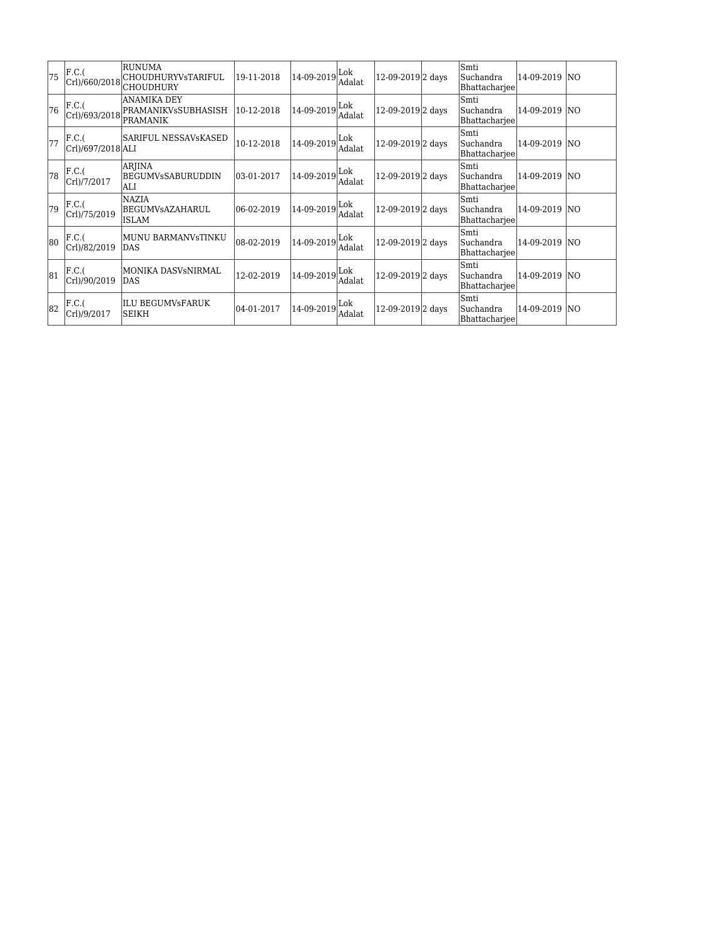| 75  | F.C.(<br>Crl)/660/2018     | RUNUMA<br> CHOUDHURYVsTARIFUL<br> CHOUDHURY                  | 19-11-2018 | 14-09-2019 | Lok<br>Adalat | 12-09-2019 2 days | Smti<br>Suchandra<br>Bhattacharjee        | 14-09-2019    | <b>INO</b>      |
|-----|----------------------------|--------------------------------------------------------------|------------|------------|---------------|-------------------|-------------------------------------------|---------------|-----------------|
| 76  | F.C.(<br>Crl)/693/2018     | ANAMIKA DEY<br><b>PRAMANIKVsSUBHASISH</b><br><b>PRAMANIK</b> | 10-12-2018 | 14-09-2019 | Lok<br>Adalat | 12-09-2019 2 days | Smti<br>Suchandra<br><b>Bhattacharjee</b> | 14-09-2019    | IN <sub>O</sub> |
| 77  | F.C.(<br>Crl)/697/2018 ALI | <b>SARIFUL NESSAVsKASED</b>                                  | 10-12-2018 | 14-09-2019 | Lok<br>Adalat | 12-09-2019 2 days | Smti<br>Suchandra<br>Bhattacharjee        | 14-09-2019 NO |                 |
| 78  | F.C.(<br>Crl)/7/2017       | <b>ARJINA</b><br> BEGUMVsSABURUDDIN<br>lALI                  | 03-01-2017 | 14-09-2019 | Lok<br>Adalat | 12-09-2019 2 days | Smti<br>Suchandra<br>Bhattacharjee        | 14-09-2019    | <b>NO</b>       |
| 79  | F.C.(<br>Crl)/75/2019      | <b>NAZIA</b><br>BEGUMVsAZAHARUL<br><b>ISLAM</b>              | 06-02-2019 | 14-09-2019 | Lok<br>Adalat | 12-09-2019 2 days | Smti<br>Suchandra<br>Bhattacharjee        | 14-09-2019    | IN <sub>O</sub> |
| lan | F.C.(<br>Crl)/82/2019      | MUNU BARMANVsTINKU<br><b>DAS</b>                             | 08-02-2019 | 14-09-2019 | Lok<br>Adalat | 12-09-2019 2 days | Smti<br>Suchandra<br>Bhattacharjee        | 14-09-2019    | <b>NO</b>       |
| 81  | F.C.(<br>Crl)/90/2019      | MONIKA DASVsNIRMAL<br><b>DAS</b>                             | 12-02-2019 | 14-09-2019 | Lok<br>Adalat | 12-09-2019 2 days | Smti<br>Suchandra<br>Bhattacharjee        | 14-09-2019    | <b>NO</b>       |
| 82  | F.C.(<br>Crl)/9/2017       | ILU BEGUMVsFARUK<br>ISEIKH                                   | 04-01-2017 | 14-09-2019 | Lok<br>Adalat | 12-09-2019 2 days | Smti<br>Suchandra<br>Bhattacharjee        | 14-09-2019    | <b>NO</b>       |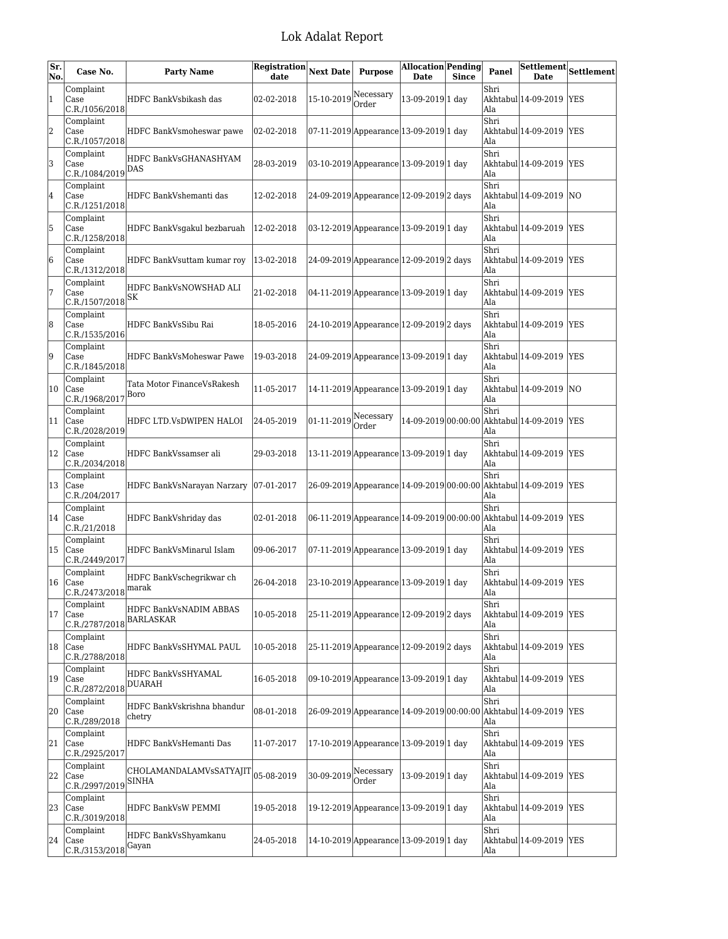| Sr.<br>No.   | Case No.                                                  | <b>Party Name</b>                          | Registration Next Date<br>date |            | <b>Purpose</b>                            | <b>Allocation Pending</b><br><b>Date</b> | <b>Since</b> | Panel       | Settlement<br><b>Date</b>               | Settlement |
|--------------|-----------------------------------------------------------|--------------------------------------------|--------------------------------|------------|-------------------------------------------|------------------------------------------|--------------|-------------|-----------------------------------------|------------|
| $\mathbf{1}$ | Complaint<br>Case<br>C.R./1056/2018                       | HDFC BankVsbikash das                      | 02-02-2018                     | 15-10-2019 | Necessary<br>Order                        | 13-09-2019 1 day                         |              | Shri<br>Ala | Akhtabul 14-09-2019                     | <b>YES</b> |
| 2            | Complaint<br>Case<br>C.R./1057/2018                       | HDFC BankVsmoheswar pawe                   | 02-02-2018                     |            | 07-11-2019 Appearance 13-09-2019 1 day    |                                          |              | Shri<br>Ala | Akhtabul 14-09-2019                     | <b>YES</b> |
| 3            | Complaint<br>Case<br>C.R./1084/2019                       | HDFC BankVsGHANASHYAM<br>DAS               | 28-03-2019                     |            | 03-10-2019 Appearance 13-09-2019 1 day    |                                          |              | Shri<br>Ala | Akhtabul 14-09-2019                     | YES        |
| 4            | Complaint<br>Case<br>C.R./1251/2018                       | HDFC BankVshemanti das                     | 12-02-2018                     |            | 24-09-2019 Appearance 12-09-2019 2 days   |                                          |              | Shri<br>Ala | Akhtabul 14-09-2019                     | lΝO        |
| 5            | Complaint<br>Case<br>C.R./1258/2018                       | HDFC BankVsgakul bezbaruah                 | 12-02-2018                     |            | 03-12-2019 Appearance 13-09-2019 1 day    |                                          |              | Shri<br>Ala | Akhtabul 14-09-2019                     | YES        |
| 6            | Complaint<br>Case<br>C.R./1312/2018                       | HDFC BankVsuttam kumar roy                 | 13-02-2018                     |            | 24-09-2019 Appearance 12-09-2019 2 days   |                                          |              | Shri<br>Ala | Akhtabul 14-09-2019                     | <b>YES</b> |
| 17           | Complaint<br>Case<br>C.R./1507/2018                       | HDFC BankVsNOWSHAD ALI<br>SK               | 21-02-2018                     |            | 04-11-2019 Appearance 13-09-2019 1 day    |                                          |              | Shri<br>Ala | Akhtabul 14-09-2019                     | <b>YES</b> |
| 8            | Complaint<br>Case<br>C.R./1535/2016                       | HDFC BankVsSibu Rai                        | 18-05-2016                     |            | 24-10-2019 Appearance 12-09-2019 2 days   |                                          |              | Shri<br>Ala | Akhtabul 14-09-2019                     | <b>YES</b> |
| 19           | Complaint<br>Case<br>C.R./1845/2018                       | HDFC BankVsMoheswar Pawe                   | 19-03-2018                     |            | 24-09-2019 Appearance 13-09-2019 1 day    |                                          |              | Shri<br>Ala | Akhtabul 14-09-2019                     | <b>YES</b> |
| 10           | Complaint<br>Case<br>C.R./1968/2017                       | Tata Motor FinanceVsRakesh<br>Boro         | 11-05-2017                     |            | 14-11-2019 Appearance 13-09-2019 1 day    |                                          |              | Shri<br>Ala | Akhtabul 14-09-2019                     | <b>NO</b>  |
| 11           | Complaint<br>Case<br>C.R./2028/2019                       | HDFC LTD.VsDWIPEN HALOI                    | 24-05-2019                     | 01-11-2019 | Necessary<br>Order                        |                                          |              | Shri<br>Ala | 14-09-2019 00:00:00 Akhtabul 14-09-2019 | <b>YES</b> |
| 12           | Complaint<br>Case<br>C.R./2034/2018                       | HDFC BankVssamser ali                      | 29-03-2018                     |            | 13-11-2019 Appearance 13-09-2019 1 day    |                                          |              | Shri<br>Ala | Akhtabul 14-09-2019                     | <b>YES</b> |
| 13           | Complaint<br>Case<br>C.R./204/2017                        | HDFC BankVsNarayan Narzary                 | $ 07-01-2017$                  |            | 26-09-2019 Appearance 14-09-2019 00:00:00 |                                          |              | Shri<br>Ala | Akhtabul 14-09-2019 YES                 |            |
| 14           | Complaint<br>Case<br>C.R./21/2018                         | HDFC BankVshriday das                      | 02-01-2018                     |            | 06-11-2019 Appearance 14-09-2019 00:00:00 |                                          |              | Shri<br>Ala | Akhtabul 14-09-2019  YES                |            |
| 15           | Complaint<br> Case<br>C.R./2449/2017                      | HDFC BankVsMinarul Islam                   | 09-06-2017                     |            | 07-11-2019 Appearance 13-09-2019 1 day    |                                          |              | Shri<br>Ala | Akhtabul 14-09-2019 YES                 |            |
| 16           | Complaint<br>Case<br>$\big $ C.R./2473/2018 $\big $ marak | HDFC BankVschegrikwar ch                   | 26-04-2018                     |            | 23-10-2019 Appearance 13-09-2019 1 day    |                                          |              | Shri<br>Ala | Akhtabul 14-09-2019  YES                |            |
| 17           | Complaint<br>Case<br>C.R./2787/2018                       | HDFC BankVsNADIM ABBAS<br><b>BARLASKAR</b> | 10-05-2018                     |            | 25-11-2019 Appearance 12-09-2019 2 days   |                                          |              | Shri<br>Ala | Akhtabul 14-09-2019  YES                |            |
| 18           | Complaint<br>Case<br>C.R./2788/2018                       | HDFC BankVsSHYMAL PAUL                     | 10-05-2018                     |            | 25-11-2019 Appearance 12-09-2019 2 days   |                                          |              | Shri<br>Ala | Akhtabul 14-09-2019                     | <b>YES</b> |
| 19           | Complaint<br>Case<br>C.R./2872/2018                       | HDFC BankVsSHYAMAL<br>DUARAH               | 16-05-2018                     |            | 09-10-2019 Appearance 13-09-2019 1 day    |                                          |              | Shri<br>Ala | Akhtabul 14-09-2019 YES                 |            |
| 20           | Complaint<br>Case<br>C.R./289/2018                        | HDFC BankVskrishna bhandur<br>chetry       | 08-01-2018                     |            | 26-09-2019 Appearance 14-09-2019 00:00:00 |                                          |              | Shri<br>Ala | Akhtabul 14-09-2019                     | YES        |
| 21           | Complaint<br>Case<br>C.R./2925/2017                       | HDFC BankVsHemanti Das                     | 11-07-2017                     |            | 17-10-2019 Appearance 13-09-2019 1 day    |                                          |              | Shri<br>Ala | Akhtabul 14-09-2019 YES                 |            |
| 22           | Complaint<br>Case<br>C.R./2997/2019                       | CHOLAMANDALAMVsSATYAJIT<br>SINHA           | 05-08-2019                     | 30-09-2019 | Necessary<br>Order                        | 13-09-2019 1 day                         |              | Shri<br>Ala | Akhtabul 14-09-2019                     | YES        |
| 23           | Complaint<br>Case<br>C.R./3019/2018                       | HDFC BankVsW PEMMI                         | 19-05-2018                     |            | 19-12-2019 Appearance 13-09-2019 1 day    |                                          |              | Shri<br>Ala | Akhtabul 14-09-2019                     | <b>YES</b> |
| 24           | Complaint<br>Case<br>C.R./3153/2018                       | HDFC BankVsShyamkanu<br>Gayan              | 24-05-2018                     |            | 14-10-2019 Appearance 13-09-2019 1 day    |                                          |              | Shri<br>Ala | Akhtabul 14-09-2019  YES                |            |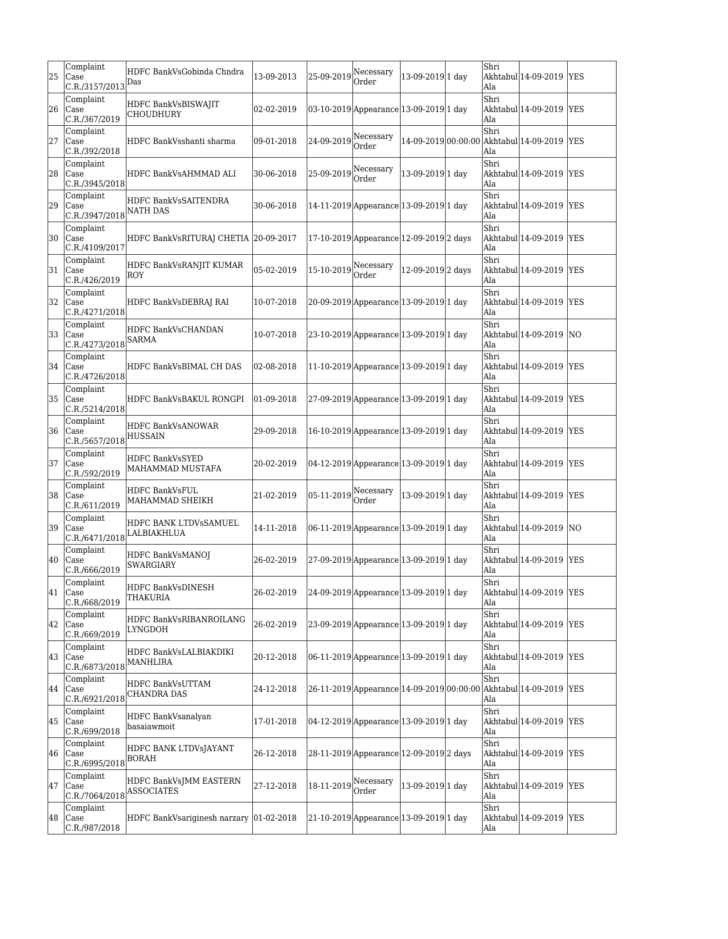| 25 | Complaint<br>Case<br>C.R./3157/2013                     | HDFC BankVsGobinda Chndra<br>Das            | 13-09-2013 | 25-09-2019                        | Necessary<br>Order                      | 13-09-2019 1 day  | Shri<br>Ala | Akhtabul 14-09-2019                                               | <b>YES</b> |
|----|---------------------------------------------------------|---------------------------------------------|------------|-----------------------------------|-----------------------------------------|-------------------|-------------|-------------------------------------------------------------------|------------|
| 26 | Complaint<br>Case<br>C.R./367/2019                      | HDFC BankVsBISWAJIT<br><b>CHOUDHURY</b>     | 02-02-2019 |                                   | 03-10-2019 Appearance 13-09-2019 1 day  |                   | Shri<br>Ala | Akhtabul 14-09-2019                                               | <b>YES</b> |
| 27 | Complaint<br>Case<br>C.R./392/2018                      | HDFC BankVsshanti sharma                    | 09-01-2018 | 24-09-2019                        | Necessary<br>Order                      |                   | Shri<br>Ala | 14-09-2019 00:00:00 Akhtabul 14-09-2019                           | <b>YES</b> |
| 28 | Complaint<br> Case<br>C.R./3945/2018                    | HDFC BankVsAHMMAD ALI                       | 30-06-2018 | 25-09-2019                        | Necessary<br>Order                      | 13-09-2019 1 day  | Shri<br>Ala | Akhtabul 14-09-2019                                               | <b>YES</b> |
| 29 | Complaint<br> Case<br>C.R./3947/2018                    | HDFC BankVsSAITENDRA<br><b>NATH DAS</b>     | 30-06-2018 |                                   | 14-11-2019 Appearance 13-09-2019 1 day  |                   | Shri<br>Ala | Akhtabul 14-09-2019  YES                                          |            |
| 30 | Complaint<br>Case<br>C.R./4109/2017                     | HDFC BankVsRITURAJ CHETIA  20-09-2017       |            |                                   | 17-10-2019 Appearance 12-09-2019 2 days |                   | Shri<br>Ala | Akhtabul 14-09-2019  YES                                          |            |
| 31 | Complaint<br>Case<br>C.R./426/2019                      | HDFC BankVsRANJIT KUMAR<br><b>ROY</b>       | 05-02-2019 | $15-10-2019$ <sup>Necessary</sup> | Order                                   | 12-09-2019 2 days | Shri<br>Ala | Akhtabul 14-09-2019                                               | <b>YES</b> |
| 32 | Complaint<br>Case<br>C.R./4271/2018                     | HDFC BankVsDEBRAJ RAI                       | 10-07-2018 |                                   | 20-09-2019 Appearance 13-09-2019 1 day  |                   | Shri<br>Ala | Akhtabul 14-09-2019                                               | <b>YES</b> |
| 33 | Complaint<br>Case<br>C.R./4273/2018                     | HDFC BankVsCHANDAN<br><b>SARMA</b>          | 10-07-2018 |                                   | 23-10-2019 Appearance 13-09-2019 1 day  |                   | Shri<br>Ala | Akhtabul 14-09-2019                                               | NO         |
| 34 | Complaint<br>$\overline{\text{Case}}$<br>C.R./4726/2018 | HDFC BankVsBIMAL CH DAS                     | 02-08-2018 |                                   | 11-10-2019 Appearance 13-09-2019 1 day  |                   | Shri<br>Ala | Akhtabul 14-09-2019                                               | <b>YES</b> |
| 35 | Complaint<br>Case<br>C.R./5214/2018                     | HDFC BankVsBAKUL RONGPI                     | 01-09-2018 |                                   | 27-09-2019 Appearance 13-09-2019 1 day  |                   | Shri<br>Ala | Akhtabul 14-09-2019                                               | <b>YES</b> |
| 36 | Complaint<br>Case<br>C.R./5657/2018                     | HDFC BankVsANOWAR<br><b>HUSSAIN</b>         | 29-09-2018 |                                   | 16-10-2019 Appearance 13-09-2019 1 day  |                   | Shri<br>Ala | Akhtabul 14-09-2019                                               | <b>YES</b> |
| 37 | Complaint<br>Case<br>C.R./592/2019                      | <b>HDFC BankVsSYED</b><br>MAHAMMAD MUSTAFA  | 20-02-2019 |                                   | 04-12-2019 Appearance 13-09-2019 1 day  |                   | Shri<br>Ala | Akhtabul 14-09-2019                                               | <b>YES</b> |
| 38 | Complaint<br>Case<br>C.R./611/2019                      | <b>HDFC BankVsFUL</b><br>MAHAMMAD SHEIKH    | 21-02-2019 | 05-11-2019                        | Necessary<br>Order                      | 13-09-2019 1 day  | Shri<br>Ala | Akhtabul 14-09-2019 YES                                           |            |
| 39 | Complaint<br>Case<br>C.R./6471/2018                     | HDFC BANK LTDVsSAMUEL<br>LALBIAKHLUA        | 14-11-2018 |                                   | 06-11-2019 Appearance 13-09-2019 1 day  |                   | Shri<br>Ala | Akhtabul 14-09-2019                                               | NO         |
| 40 | Complaint<br>Case<br>C.R./666/2019                      | HDFC BankVsMANOJ<br>SWARGIARY               | 26-02-2019 |                                   | 27-09-2019 Appearance 13-09-2019 1 day  |                   | Shri<br>Ala | Akhtabul 14-09-2019                                               | <b>YES</b> |
| 41 | Complaint<br>lCase<br>C.R./668/2019                     | HDFC BankVsDINESH<br>THAKURIA               | 26-02-2019 |                                   | 24-09-2019 Appearance 13-09-2019 1 day  |                   | Shri<br>Ala | Akhtabul 14-09-2019  YES                                          |            |
| 42 | Complaint<br>Case<br>C.R./669/2019                      | HDFC BankVsRIBANROILANG<br>LYNGDOH          | 26-02-2019 |                                   | 23-09-2019 Appearance 13-09-2019 1 day  |                   | Shri<br>Ala | Akhtabul 14-09-2019 YES                                           |            |
| 43 | Complaint<br>Case<br>C.R./6873/2018                     | HDFC BankVsLALBIAKDIKI<br><b>MANHLIRA</b>   | 20-12-2018 |                                   | 06-11-2019 Appearance 13-09-2019 1 day  |                   | Shri<br>Ala | Akhtabul 14-09-2019 YES                                           |            |
| 44 | Complaint<br>Case<br>C.R./6921/2018                     | HDFC BankVsUTTAM<br>CHANDRA DAS             | 24-12-2018 |                                   |                                         |                   | Shri<br>Ala | 26-11-2019 Appearance 14-09-2019 00:00:00 Akhtabul 14-09-2019 YES |            |
| 45 | Complaint<br>Case<br>C.R./699/2018                      | HDFC BankVsanalyan<br>basaiawmoit           | 17-01-2018 |                                   | 04-12-2019 Appearance 13-09-2019 1 day  |                   | Shri<br>Ala | Akhtabul 14-09-2019                                               | <b>YES</b> |
| 46 | Complaint<br>Case<br>C.R./6995/2018                     | HDFC BANK LTDVsJAYANT<br><b>BORAH</b>       | 26-12-2018 |                                   | 28-11-2019 Appearance 12-09-2019 2 days |                   | Shri<br>Ala | Akhtabul 14-09-2019                                               | <b>YES</b> |
| 47 | Complaint<br>Case<br>C.R./7064/2018                     | HDFC BankVsJMM EASTERN<br><b>ASSOCIATES</b> | 27-12-2018 | 18-11-2019                        | Necessary<br>Order                      | 13-09-2019 1 day  | Shri<br>Ala | Akhtabul 14-09-2019                                               | <b>YES</b> |
| 48 | Complaint<br>Case<br>C.R./987/2018                      | HDFC BankVsariginesh narzary 01-02-2018     |            |                                   | 21-10-2019 Appearance 13-09-2019 1 day  |                   | Shri<br>Ala | Akhtabul 14-09-2019 YES                                           |            |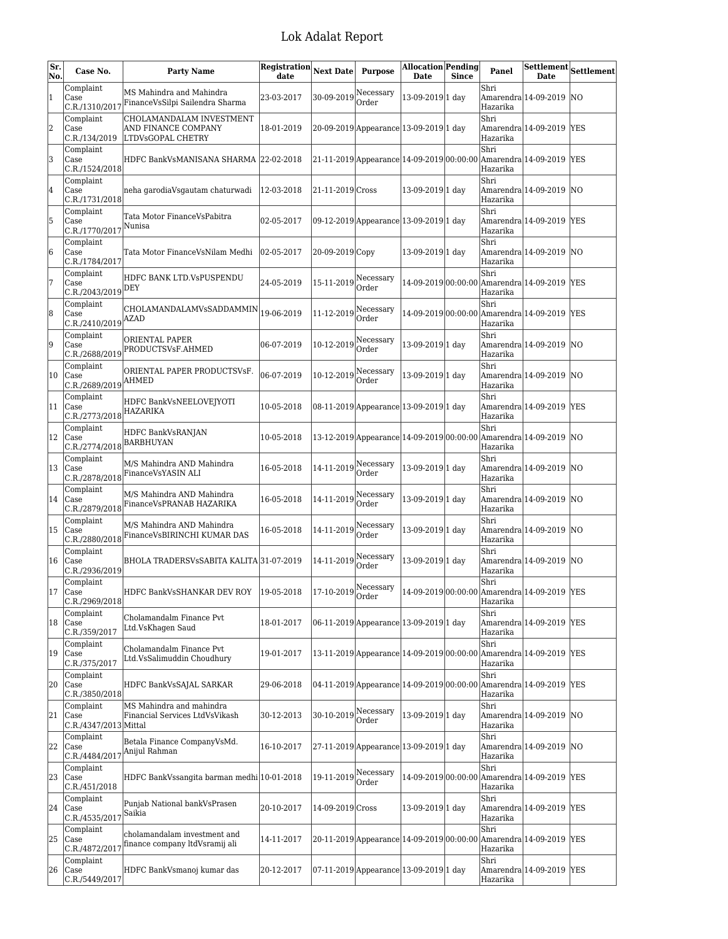| Sr.<br>No. | Case No.                                               | <b>Party Name</b>                                                    | Registration<br>date | <b>Next Date</b>                                   | <b>Purpose</b>                                                     | <b>Allocation Pending</b><br>Date | <b>Since</b> | Panel            | <b>Settlement</b><br>Date                                         | Settlement |
|------------|--------------------------------------------------------|----------------------------------------------------------------------|----------------------|----------------------------------------------------|--------------------------------------------------------------------|-----------------------------------|--------------|------------------|-------------------------------------------------------------------|------------|
| 1          | Complaint<br>Case<br>C.R./1310/2017                    | MS Mahindra and Mahindra<br>FinanceVsSilpi Sailendra Sharma          | 23-03-2017           | $30-09-2019$ <sup>Necessary</sup>                  | Order                                                              | 13-09-2019 1 day                  |              | Shri<br>Hazarika | Amarendra 14-09-2019                                              | N0         |
| 2          | Complaint<br>Case<br>C.R./134/2019                     | CHOLAMANDALAM INVESTMENT<br>AND FINANCE COMPANY<br>LTDVsGOPAL CHETRY | 18-01-2019           |                                                    | 20-09-2019 Appearance 13-09-2019 1 day                             |                                   |              | Shri<br>Hazarika | Amarendra 14-09-2019 YES                                          |            |
| 3          | Complaint<br>Case<br>C.R./1524/2018                    | HDFC BankVsMANISANA SHARMA 22-02-2018                                |                      |                                                    | 21-11-2019 Appearance 14-09-2019 00:00:00 Amarendra 14-09-2019 YES |                                   |              | Shri<br>Hazarika |                                                                   |            |
| 4          | Complaint<br>Case<br>C.R./1731/2018                    | neha garodiaVsgautam chaturwadi                                      | 12-03-2018           | 21-11-2019 Cross                                   |                                                                    | 13-09-2019 1 day                  |              | Shri<br>Hazarika | Amarendra 14-09-2019                                              | <b>NO</b>  |
| 5          | Complaint<br>Case<br>C.R./1770/2017                    | Tata Motor FinanceVsPabitra<br>Nunisa                                | 02-05-2017           |                                                    | 09-12-2019 Appearance 13-09-2019 1 day                             |                                   |              | Shri<br>Hazarika | Amarendra 14-09-2019 YES                                          |            |
| 6          | Complaint<br>Case<br>C.R./1784/2017                    | Tata Motor FinanceVsNilam Medhi                                      | 02-05-2017           | 20-09-2019 Copy                                    |                                                                    | 13-09-2019 1 day                  |              | Shri<br>Hazarika | Amarendra 14-09-2019 NO                                           |            |
| 17         | Complaint<br>Case<br>$C.R./2043/2019$ DEY              | HDFC BANK LTD.VsPUSPENDU                                             | 24-05-2019           | $ 15-11-2019 $ <sup>Necessary</sup>                | Order                                                              |                                   |              | Shri<br>Hazarika | 14-09-2019 00:00:00 Amarendra 14-09-2019  YES                     |            |
| 8          | Complaint<br>Case<br>$C.R./2410/2019$ <sup>AZAD</sup>  | CHOLAMANDALAMVsSADDAMMIN                                             | 19-06-2019           | 11-12-2019                                         | Necessary<br>Order                                                 |                                   |              | Shri<br>Hazarika | 14-09-2019 00:00:00 Amarendra 14-09-2019 YES                      |            |
| 9          | Complaint<br>Case<br>C.R./2688/2019                    | ORIENTAL PAPER<br>PRODUCTSVsF.AHMED                                  | 06-07-2019           | 10-12-2019                                         | Necessary<br>Order                                                 | 13-09-2019 1 day                  |              | Shri<br>Hazarika | Amarendra 14-09-2019 NO                                           |            |
| 10         | Complaint<br>Case<br>$C.R./2689/2019$ <sup>AHMED</sup> | ORIENTAL PAPER PRODUCTSVsF.                                          | 06-07-2019           | $10-12-2019$ <sup>Necessary</sup>                  | Order                                                              | 13-09-2019 1 day                  |              | Shri<br>Hazarika | Amarendra 14-09-2019                                              | <b>NO</b>  |
| 11         | Complaint<br>Case<br>$C.R./2773/2018$ HAZARIKA         | HDFC BankVsNEELOVEJYOTI                                              | 10-05-2018           |                                                    | 08-11-2019 Appearance 13-09-2019 1 day                             |                                   |              | Shri<br>Hazarika | Amarendra 14-09-2019 YES                                          |            |
| 12         | Complaint<br>Case<br>$ C.R./2774/2018 $ BARBHUYAN      | HDFC BankVsRANJAN                                                    | 10-05-2018           |                                                    | 13-12-2019 Appearance 14-09-2019 00:00:00 Amarendra 14-09-2019 NO  |                                   |              | Shri<br>Hazarika |                                                                   |            |
| 13         | Complaint<br>Case<br>C.R./2878/2018                    | M/S Mahindra AND Mahindra<br>FinanceVsYASIN ALI                      | 16-05-2018           | $ 14-11-2019 $ <sup>Necessary</sup>                | Order                                                              | 13-09-2019 1 day                  |              | Shri<br>Hazarika | Amarendra 14-09-2019 NO                                           |            |
| 14         | Complaint<br>Case<br>C.R./2879/2018                    | M/S Mahindra AND Mahindra<br>FinanceVsPRANAB HAZARIKA                | 16-05-2018           | 14-11-2019                                         | Necessary<br>Order                                                 | 13-09-2019 1 day                  |              | Shri<br>Hazarika | Amarendra 14-09-2019 NO                                           |            |
| 15         | Complaint<br>Case<br>C.R./2880/2018                    | M/S Mahindra AND Mahindra<br>FinanceVsBIRINCHI KUMAR DAS             | 16-05-2018           | 14-11-2019                                         | Necessary<br>Order                                                 | 13-09-2019 1 day                  |              | Shri<br>Hazarika | Amarendra 14-09-2019 NO                                           |            |
| 16         | Complaint<br>Case<br>C.R./2936/2019                    | BHOLA TRADERSVsSABITA KALITA 31-07-2019                              |                      | $ 14-11-2019 $ <sup>Necessary</sup>                | Order                                                              | 13-09-2019 1 day                  |              | Shri<br>Hazarika | Amarendra 14-09-2019 NO                                           |            |
| 17         | Complaint<br>Case<br>C.R./2969/2018                    | HDFC BankVsSHANKAR DEV ROY   19-05-2018                              |                      | $\left 17\text{-}10\text{-}2019\right \right \sim$ | Order                                                              |                                   |              | Shri<br>Hazarika | 14-09-2019 00:00:00 Amarendra 14-09-2019  YES                     |            |
| 18         | Complaint<br>Case<br>C.R./359/2017                     | Cholamandalm Finance Pvt<br>Ltd.VsKhagen Saud                        | 18-01-2017           |                                                    | 06-11-2019 Appearance 13-09-2019 1 day                             |                                   |              | Shri<br>Hazarika | Amarendra 14-09-2019   YES                                        |            |
| 19         | Complaint<br>Case<br>C.R./375/2017                     | Cholamandalm Finance Pvt<br>Ltd.VsSalimuddin Choudhury               | 19-01-2017           |                                                    | 13-11-2019 Appearance 14-09-2019 00:00:00 Amarendra 14-09-2019 YES |                                   |              | Shri<br>Hazarika |                                                                   |            |
| 20         | Complaint<br>Case<br>C.R./3850/2018                    | HDFC BankVsSAJAL SARKAR                                              | 29-06-2018           |                                                    | 04-11-2019 Appearance 14-09-2019 00:00:00                          |                                   |              | Shri<br>Hazarika | $\text{Amarendra}\left 14\text{-}09\text{-}2019\right \text{YES}$ |            |
| 21         | Complaint<br>Case<br>C.R./4347/2013 Mittal             | MS Mahindra and mahindra<br>Financial Services LtdVsVikash           | 30-12-2013           | $30-10-2019$ Necessary                             | Order                                                              | 13-09-2019 1 day                  |              | Shri<br>Hazarika | Amarendra 14-09-2019 NO                                           |            |
| 22         | Complaint<br>Case<br>C.R./4484/2017                    | Betala Finance CompanyVsMd.<br>Anijul Rahman                         | 16-10-2017           |                                                    | 27-11-2019 Appearance 13-09-2019 1 day                             |                                   |              | Shri<br>Hazarika | Amarendra 14-09-2019 NO                                           |            |
| 23         | Complaint<br>Case<br>C.R./451/2018                     | HDFC BankVssangita barman medhi 10-01-2018                           |                      | 19-11-2019                                         | Necessary<br>Order                                                 | 14-09-2019 00:00:00               |              | Shri<br>Hazarika | Amarendra 14-09-2019   YES                                        |            |
| 24         | Complaint<br>Case<br>C.R./4535/2017                    | Punjab National bankVsPrasen<br>Saikia                               | 20-10-2017           | 14-09-2019 Cross                                   |                                                                    | 13-09-2019 1 day                  |              | Shri<br>Hazarika | Amarendra 14-09-2019   YES                                        |            |
| 25         | Complaint<br>Case<br>C.R./4872/2017                    | cholamandalam investment and<br>finance company ltdVsramij ali       | 14-11-2017           |                                                    | 20-11-2019 Appearance 14-09-2019 00:00:00                          |                                   |              | Shri<br>Hazarika | $ Amarendra 14-09-2019 YES$                                       |            |
| 26         | Complaint<br>Case<br>C.R./5449/2017                    | HDFC BankVsmanoj kumar das                                           | 20-12-2017           |                                                    | 07-11-2019 Appearance 13-09-2019 1 day                             |                                   |              | Shri<br>Hazarika | $Amarendra 14-09-2019 YES$                                        |            |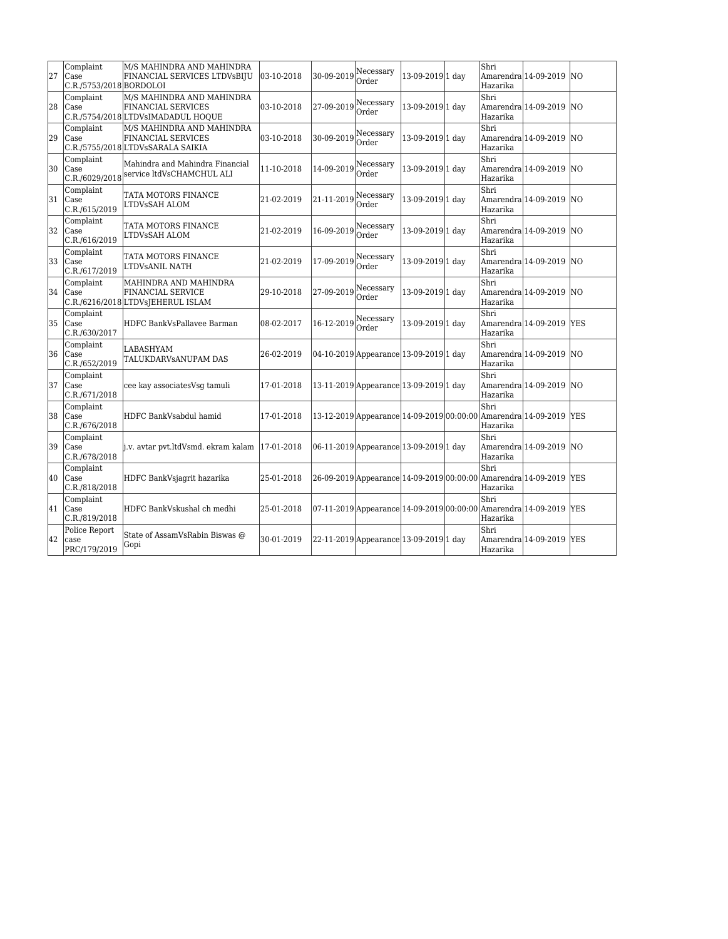| 27 | Complaint<br>Case<br>C.R./5753/2018 BORDOLOI | M/S MAHINDRA AND MAHINDRA<br>FINANCIAL SERVICES LTDVsBIJU                             | 03-10-2018 | 30-09-2019               | Necessary<br>Order                                             | 13-09-2019 1 day | Shri<br>Hazarika  | Amarendra 14-09-2019 NO                                                        |            |
|----|----------------------------------------------|---------------------------------------------------------------------------------------|------------|--------------------------|----------------------------------------------------------------|------------------|-------------------|--------------------------------------------------------------------------------|------------|
| 28 | Complaint<br><b>Case</b>                     | M/S MAHINDRA AND MAHINDRA<br>FINANCIAL SERVICES<br>C.R./5754/2018 LTDVsIMADADUL HOQUE | 03-10-2018 | $ 27-09-2019 $ Necessary | Order                                                          | 13-09-2019 1 day | Shri<br>lHazarika | Amarendra 14-09-2019 NO                                                        |            |
| 29 | Complaint<br>Case                            | M/S MAHINDRA AND MAHINDRA<br>FINANCIAL SERVICES<br>C.R./5755/2018 LTDVsSARALA SAIKIA  | 03-10-2018 | 30-09-2019               | Necessary<br>Order                                             | 13-09-2019 1 day | Shri<br>Hazarika  | Amarendra 14-09-2019 NO                                                        |            |
| 30 | Complaint                                    | Mahindra and Mahindra Financial<br>C.R./6029/2018 service ltdVsCHAMCHUL ALI           | 11-10-2018 | 14-09-2019               | Necessary<br>Order                                             | 13-09-2019 1 day | Shri<br>Hazarika  | Amarendra 14-09-2019 NO                                                        |            |
| 31 | Complaint<br><b>Case</b><br>C.R./615/2019    | TATA MOTORS FINANCE<br>LTDVsSAH ALOM                                                  | 21-02-2019 | 21-11-2019               | Necessary<br>Order                                             | 13-09-2019 1 day | Shri<br>Hazarika  | Amarendra 14-09-2019 NO                                                        |            |
| 32 | Complaint<br>Case<br>C.R./616/2019           | TATA MOTORS FINANCE<br>LTDVsSAH ALOM                                                  | 21-02-2019 | 16-09-2019               | Necessary<br>Order                                             | 13-09-2019 1 day | Shri<br>Hazarika  | Amarendra 14-09-2019 NO                                                        |            |
| 33 | Complaint<br><b>Case</b><br>C.R./617/2019    | TATA MOTORS FINANCE<br>LTDVsANIL NATH                                                 | 21-02-2019 | 17-09-2019               | Necessary<br>Order                                             | 13-09-2019 1 day | Shri<br>Hazarika  | Amarendra 14-09-2019 NO                                                        |            |
| 34 | Complaint<br>Case                            | MAHINDRA AND MAHINDRA<br>FINANCIAL SERVICE<br>C.R./6216/2018 LTDVsJEHERUL ISLAM       | 29-10-2018 | 27-09-2019               | Necessary<br>Order                                             | 13-09-2019 1 day | Shri<br>Hazarika  | Amarendra 14-09-2019                                                           | <b>NO</b>  |
| 35 | Complaint<br>Case<br>C.R./630/2017           | HDFC BankVsPallavee Barman                                                            | 08-02-2017 | 16-12-2019               | Necessary<br>Order                                             | 13-09-2019 1 day | Shri<br>Hazarika  | Amarendra 14-09-2019 YES                                                       |            |
| 36 | Complaint<br><b>Case</b><br>C.R./652/2019    | LABASHYAM<br>TALUKDARVSANUPAM DAS                                                     | 26-02-2019 |                          | 04-10-2019 Appearance 13-09-2019 1 day                         |                  | Shri<br>Hazarika  | Amarendra 14-09-2019 NO                                                        |            |
| 37 | Complaint<br>Case<br>C.R./671/2018           | cee kay associates Vsg tamuli                                                         | 17-01-2018 |                          | 13-11-2019 Appearance 13-09-2019 1 day                         |                  | Shri<br>Hazarika  | Amarendra 14-09-2019                                                           | <b>NO</b>  |
| 38 | Complaint<br>Case<br>C.R./676/2018           | HDFC BankVsabdul hamid                                                                | 17-01-2018 |                          |                                                                |                  | Shri<br>Hazarika  | 13-12-2019 Appearance 14-09-2019 00:00:00 Amarendra 14-09-2019 YES             |            |
| 39 | Complaint<br><b>Case</b><br>C.R./678/2018    | j.v. avtar pvt.ltdVsmd. ekram kalam                                                   | 17-01-2018 |                          | 06-11-2019 Appearance 13-09-2019 1 day                         |                  | Shri<br>Hazarika  | Amarendra 14-09-2019 NO                                                        |            |
| 40 | Complaint<br><b>Case</b><br>C.R./818/2018    | HDFC BankVsjagrit hazarika                                                            | 25-01-2018 |                          | 26-09-2019 Appearance 14-09-2019 00:00:00 Amarendra 14-09-2019 |                  | Shri<br>Hazarika  |                                                                                | <b>YES</b> |
| 41 | Complaint<br>Case<br>C.R./819/2018           | HDFC BankVskushal ch medhi                                                            | 25-01-2018 |                          |                                                                |                  | Shri<br>Hazarika  | $ 07-11-2019 $ Appearance $ 14-09-2019 00:00:00 $ Amarendra $ 14-09-2019 $ YES |            |
| 42 | Police Report<br>case<br>PRC/179/2019        | State of AssamVsRabin Biswas @<br>Gopi                                                | 30-01-2019 |                          | 22-11-2019 Appearance 13-09-2019 1 day                         |                  | Shri<br>Hazarika  | Amarendra 14-09-2019                                                           | <b>YES</b> |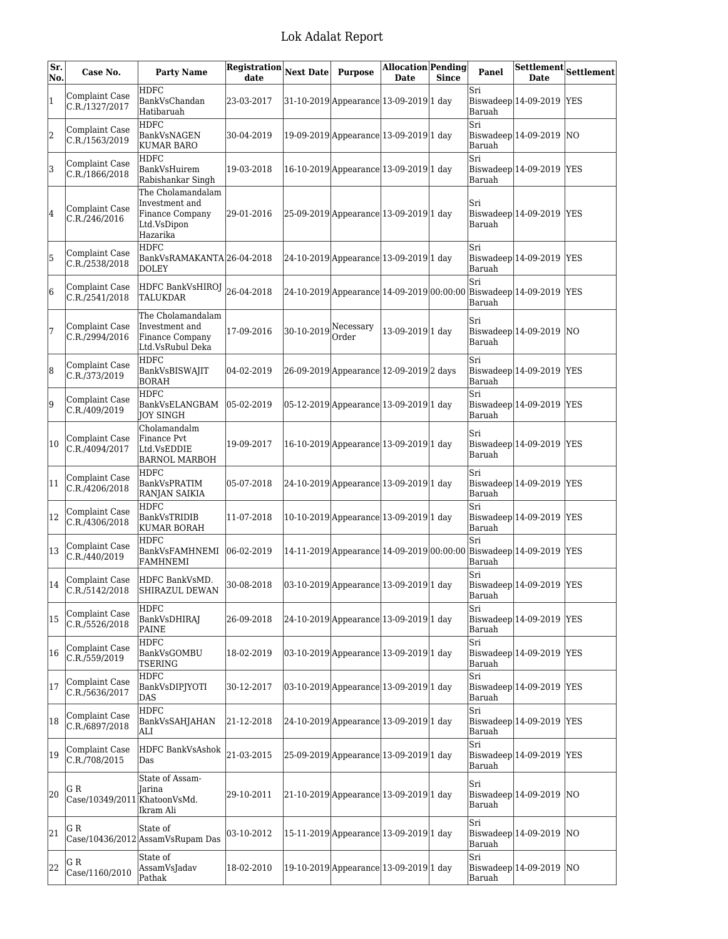| Sr.<br>No. | Case No.                            | <b>Party Name</b>                                                                 | Registration<br>date | <b>Next Date</b> | <b>Purpose</b>                          | <b>Allocation Pending</b><br><b>Date</b> | <b>Since</b> | Panel         | Settlement<br><b>Date</b>                                          | <b>Settlement</b> |
|------------|-------------------------------------|-----------------------------------------------------------------------------------|----------------------|------------------|-----------------------------------------|------------------------------------------|--------------|---------------|--------------------------------------------------------------------|-------------------|
| 1          | Complaint Case<br>C.R./1327/2017    | <b>HDFC</b><br>BankVsChandan<br>Hatibaruah                                        | 23-03-2017           |                  | 31-10-2019 Appearance 13-09-2019 1 day  |                                          |              | Sri<br>Baruah | Biswadeep 14-09-2019                                               | <b>YES</b>        |
| 2          | Complaint Case<br>C.R./1563/2019    | <b>HDFC</b><br>BankVsNAGEN<br><b>KUMAR BARO</b>                                   | 30-04-2019           |                  | 19-09-2019 Appearance 13-09-2019 1 day  |                                          |              | Sri<br>Baruah | Biswadeep $14-09-2019$ NO                                          |                   |
| 3          | Complaint Case<br>C.R./1866/2018    | <b>HDFC</b><br>BankVsHuirem<br>Rabishankar Singh                                  | 19-03-2018           |                  | 16-10-2019 Appearance 13-09-2019 1 day  |                                          |              | Sri<br>Baruah | $Biswadeep$ 14-09-2019 YES                                         |                   |
| 4          | Complaint Case<br>C.R./246/2016     | The Cholamandalam<br>Investment and<br>Finance Company<br>Ltd.VsDipon<br>Hazarika | 29-01-2016           |                  | 25-09-2019 Appearance 13-09-2019 1 day  |                                          |              | Sri<br>Baruah | Biswadeep 14-09-2019  YES                                          |                   |
| 5          | Complaint Case<br>C.R./2538/2018    | <b>HDFC</b><br>BankVsRAMAKANTA 26-04-2018<br><b>DOLEY</b>                         |                      |                  | 24-10-2019 Appearance 13-09-2019 1 day  |                                          |              | Sri<br>Baruah | Biswadeep $ 14-09-2019$                                            | <b>YES</b>        |
| 6          | Complaint Case<br>C.R./2541/2018    | HDFC BankVsHIROJ<br><b>TALUKDAR</b>                                               | 26-04-2018           |                  |                                         |                                          |              | Sri<br>Baruah | 24-10-2019 Appearance 14-09-2019 00:00:00 Biswadeep 14-09-2019 YES |                   |
| 7          | Complaint Case<br>C.R./2994/2016    | The Cholamandalam<br>Investment and<br>Finance Company<br>Ltd.VsRubul Deka        | 17-09-2016           | 30-10-2019       | Necessary<br>Order                      | 13-09-2019 1 day                         |              | Sri<br>Baruah | Biswadeep $14-09-2019$ NO                                          |                   |
| 8          | Complaint Case<br>C.R./373/2019     | <b>HDFC</b><br>BankVsBISWAJIT<br><b>BORAH</b>                                     | 04-02-2019           |                  | 26-09-2019 Appearance 12-09-2019 2 days |                                          |              | Sri<br>Baruah | Biswadeep $ 14-09-2019$                                            | <b>YES</b>        |
| 9          | Complaint Case<br>C.R./409/2019     | HDFC<br>BankVsELANGBAM<br>JOY SINGH                                               | 05-02-2019           |                  | 05-12-2019 Appearance 13-09-2019 1 day  |                                          |              | Sri<br>Baruah | $Biswadeep$ 14-09-2019                                             | <b>YES</b>        |
| 10         | Complaint Case<br>C.R./4094/2017    | Cholamandalm<br>Finance Pvt<br>Ltd.VsEDDIE<br><b>BARNOL MARBOH</b>                | 19-09-2017           |                  | 16-10-2019 Appearance 13-09-2019 1 day  |                                          |              | Sri<br>Baruah | Biswadeep 14-09-2019                                               | <b>YES</b>        |
| 11         | Complaint Case<br>C.R./4206/2018    | <b>HDFC</b><br>BankVsPRATIM<br>RANJAN SAIKIA                                      | 05-07-2018           |                  | 24-10-2019 Appearance 13-09-2019 1 day  |                                          |              | Sri<br>Baruah | Biswadeep $ 14-09-2019 $                                           | <b>YES</b>        |
| 12         | Complaint Case<br>C.R./4306/2018    | <b>HDFC</b><br>BankVsTRIDIB<br>KUMAR BORAH                                        | 11-07-2018           |                  | 10-10-2019 Appearance 13-09-2019 1 day  |                                          |              | Sri<br>Baruah | Biswadeep $ 14-09-2019$                                            | <b>YES</b>        |
| 13         | Complaint Case<br>C.R./440/2019     | <b>HDFC</b><br>BankVsFAMHNEMI<br><b>FAMHNEMI</b>                                  | $ 06-02-2019$        |                  |                                         |                                          |              | Sri<br>Baruah | 14-11-2019 Appearance 14-09-2019 00:00:00 Biswadeep 14-09-2019 YES |                   |
| 14         | Complaint Case<br>C.R./5142/2018    | HDFC BankVsMD.<br><b>SHIRAZUL DEWAN</b>                                           | 30-08-2018           |                  | 03-10-2019 Appearance 13-09-2019 1 day  |                                          |              | Sri<br>Baruah | Biswadeep $ 14-09-2019 $ YES                                       |                   |
| 15         | Complaint Case<br>C.R./5526/2018    | <b>HDFC</b><br>BankVsDHIRAJ<br>PAINE                                              | 26-09-2018           |                  | 24-10-2019 Appearance 13-09-2019 1 day  |                                          |              | Sri<br>Baruah | $Biswadeep$ 14-09-2019                                             | <b>YES</b>        |
| 16         | Complaint Case<br>C.R./559/2019     | <b>HDFC</b><br>BankVsGOMBU<br><b>TSERING</b>                                      | 18-02-2019           |                  | 03-10-2019 Appearance 13-09-2019 1 day  |                                          |              | Sri<br>Baruah | Biswadeep $ 14-09-2019$                                            | <b>YES</b>        |
| 17         | Complaint Case<br>C.R./5636/2017    | <b>HDFC</b><br>BankVsDIPJYOTI<br>DAS                                              | 30-12-2017           |                  | 03-10-2019 Appearance 13-09-2019 1 day  |                                          |              | Sri<br>Baruah | Biswadeep $ 14-09-2019 $                                           | <b>YES</b>        |
| 18         | Complaint Case<br>C.R./6897/2018    | <b>HDFC</b><br>BankVsSAHJAHAN<br>ALI                                              | 21-12-2018           |                  | 24-10-2019 Appearance 13-09-2019 1 day  |                                          |              | Sri<br>Baruah | Biswadeep  $14-09-2019$                                            | <b>YES</b>        |
| 19         | Complaint Case<br>C.R./708/2015     | <b>HDFC BankVsAshok</b><br>Das                                                    | 21-03-2015           |                  | 25-09-2019 Appearance 13-09-2019 1 day  |                                          |              | Sri<br>Baruah | $Biswadeep 14-09-2019$                                             | <b>YES</b>        |
| 20         | G R<br>Case/10349/2011 KhatoonVsMd. | State of Assam-<br>Jarina<br>Ikram Ali                                            | 29-10-2011           |                  | 21-10-2019 Appearance 13-09-2019 1 day  |                                          |              | Sri<br>Baruah | Biswadeep $ 14-09-2019 $                                           | NO                |
| 21         | GR                                  | State of<br>Case/10436/2012 AssamVsRupam Das                                      | 03-10-2012           |                  | 15-11-2019 Appearance 13-09-2019 1 day  |                                          |              | Sri<br>Baruah | Biswadeep $ 14-09-2019$                                            | NΟ                |
| 22         | G R<br>Case/1160/2010               | State of<br>AssamVsJadav<br>Pathak                                                | 18-02-2010           |                  | 19-10-2019 Appearance 13-09-2019 1 day  |                                          |              | Sri<br>Baruah | Biswadeep 14-09-2019                                               | NO                |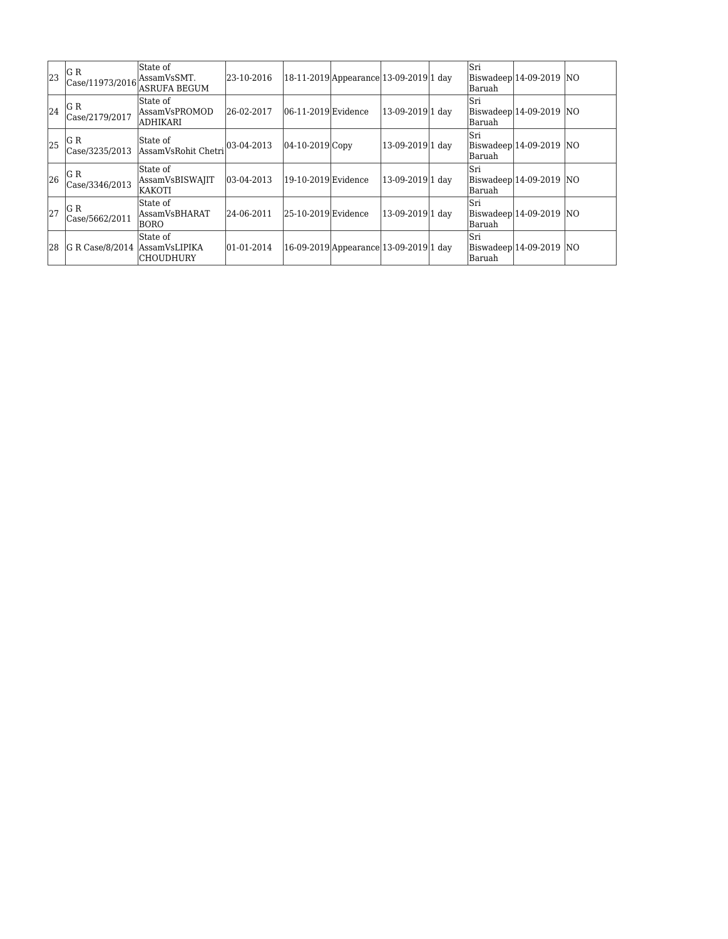| 23 | G R<br>$ {\rm Case}/11973/2016 $ AssamVsSMT. | State of<br>ASRUFA BEGUM                       | 23-10-2016     |                         | 18-11-2019 Appearance 13-09-2019 1 day |                  | lSri<br>Baruah  | Biswadeep 14-09-2019 NO    |  |
|----|----------------------------------------------|------------------------------------------------|----------------|-------------------------|----------------------------------------|------------------|-----------------|----------------------------|--|
| 24 | G R<br>Case/2179/2017                        | State of<br> AssamVsPROMOD<br>ladhikari        | 26-02-2017     | $ 06-11-2019 $ Evidence |                                        | 13-09-2019 1 dav | lSri<br>lBaruah | Biswadeep 14-09-2019 NO    |  |
| 25 | G R                                          | State of<br>Case/3235/2013 AssamVsRohit Chetri | $ 03-04-2013 $ | 04-10-2019 Copy         |                                        | 13-09-2019 1 dav | lSri<br>lBaruah | $ Biswadeep 14-09-2019 NO$ |  |
| 26 | G R<br>Case/3346/2013                        | State of<br>AssamVsBISWAJIT<br>IKAKOTI         | 03-04-2013     | $ 19-10-2019 $ Evidence |                                        | 13-09-2019 1 dav | lSri<br>Baruah  | $ Biswadeep 14-09-2019 NO$ |  |
| 27 | G R<br>Case/5662/2011                        | State of<br>lAssamVsBHARAT<br>BORO             | 24-06-2011     | $ 25-10-2019 $ Evidence |                                        | 13-09-2019 1 dav | lSri<br>Baruah  | $ Biswadeep 14-09-2019 NO$ |  |
| 28 | G R Case/8/2014  AssamVsLIPIKA               | State of<br><b>CHOUDHURY</b>                   | $ 01-01-2014 $ |                         | 16-09-2019 Appearance 13-09-2019 1 day |                  | lSri<br>lBaruah | Biswadeep 14-09-2019 NO    |  |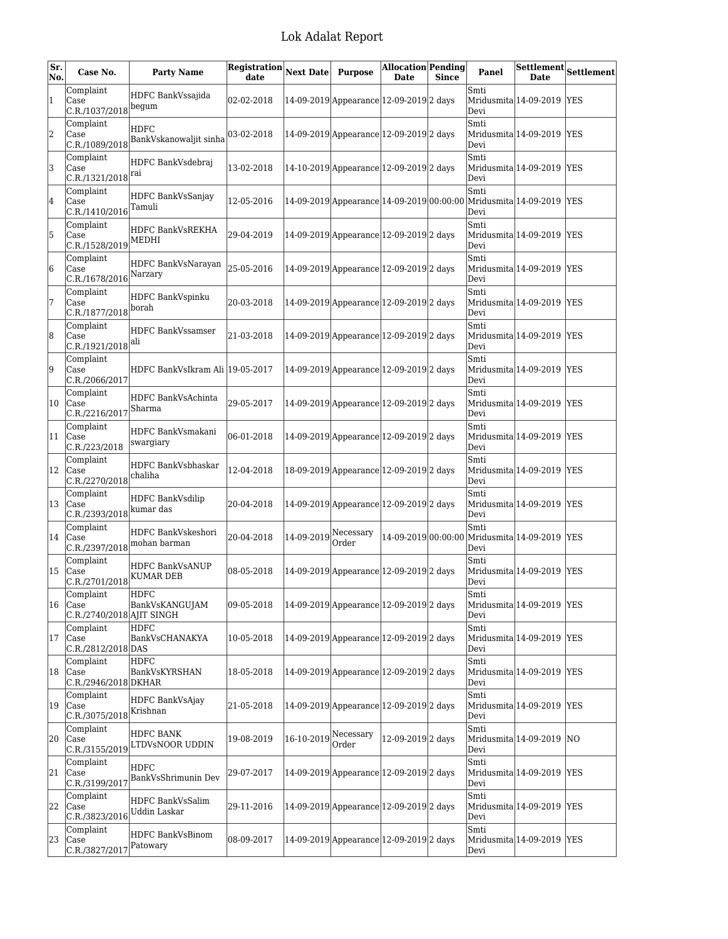| Sr.<br>No. | Case No.                                            | <b>Party Name</b>                       | $\fbox{\tt \textbf{Registribution}}\xspace\fbox{\tt\textbf{Next}}$ Date<br>date |                                     | <b>Purpose</b>                                   | <b>Allocation Pending</b><br><b>Date</b> | <b>Since</b> | Panel        | <b>Date</b>               | $\fbox{\texttt{Setlement}}\xspace\fbox{\texttt{SetElement}}$ |
|------------|-----------------------------------------------------|-----------------------------------------|---------------------------------------------------------------------------------|-------------------------------------|--------------------------------------------------|------------------------------------------|--------------|--------------|---------------------------|--------------------------------------------------------------|
| $\vert$ 1  | Complaint<br>Case<br>C.R./1037/2018                 | HDFC BankVssajida<br>begum              | 02-02-2018                                                                      |                                     | 14-09-2019 Appearance 12-09-2019 2 days          |                                          |              | Smti<br>Devi | Mridusmita 14-09-2019 YES |                                                              |
| 2          | Complaint<br>Case<br>C.R./1089/2018                 | HDFC<br>BankVskanowaljit sinha          | 03-02-2018                                                                      |                                     | 14-09-2019 Appearance 12-09-2019 2 days          |                                          |              | Smti<br>Devi | Mridusmita 14-09-2019 YES |                                                              |
| 3          | Complaint<br>Case<br>C.R./1321/2018 <sup> rai</sup> | HDFC BankVsdebraj                       | 13-02-2018                                                                      |                                     | 14-10-2019 Appearance 12-09-2019 2 days          |                                          |              | Smti<br>Devi | Mridusmita 14-09-2019 YES |                                                              |
| 4          | Complaint<br>Case<br>C.R./1410/2016                 | HDFC BankVsSanjay<br>Tamuli             | 12-05-2016                                                                      |                                     | $ 14-09-2019 $ Appearance $ 14-09-2019 00:00:00$ |                                          |              | Smti<br>Devi | Mridusmita 14-09-2019 YES |                                                              |
| 5          | Complaint<br>Case<br>C.R./1528/2019                 | HDFC BankVsREKHA<br>MEDHI               | 29-04-2019                                                                      |                                     | 14-09-2019 Appearance 12-09-2019 2 days          |                                          |              | Smti<br>Devi | Mridusmita 14-09-2019 YES |                                                              |
| 6          | Complaint<br>Case<br>C.R./1678/2016                 | HDFC BankVsNarayan<br>Narzary           | 25-05-2016                                                                      |                                     | 14-09-2019 Appearance 12-09-2019 2 days          |                                          |              | Smti<br>Devi | Mridusmita 14-09-2019 YES |                                                              |
| 17         | Complaint<br>Case<br>C.R./1877/2018                 | HDFC BankVspinku<br>borah               | 20-03-2018                                                                      |                                     | 14-09-2019 Appearance 12-09-2019 2 days          |                                          |              | Smti<br>Devi | Mridusmita 14-09-2019 YES |                                                              |
| 8          | Complaint<br>Case<br>C.R./1921/2018                 | <b>HDFC BankVssamser</b><br> ali        | 21-03-2018                                                                      |                                     | 14-09-2019 Appearance 12-09-2019 2 days          |                                          |              | Smti<br>Devi | Mridusmita 14-09-2019 YES |                                                              |
| 9          | Complaint<br>Case<br>C.R./2066/2017                 | HDFC BankVsIkram Ali  19-05-2017        |                                                                                 |                                     | 14-09-2019 Appearance 12-09-2019 2 days          |                                          |              | Smti<br>Devi | Mridusmita 14-09-2019 YES |                                                              |
| 10         | Complaint<br>Case<br>C.R./2216/2017                 | HDFC BankVsAchinta<br>Sharma            | 29-05-2017                                                                      |                                     | 14-09-2019 Appearance 12-09-2019 2 days          |                                          |              | Smti<br>Devi | Mridusmita 14-09-2019 YES |                                                              |
| 11         | Complaint<br>Case<br>C.R./223/2018                  | HDFC BankVsmakani<br>swargiary          | 06-01-2018                                                                      |                                     | 14-09-2019 Appearance 12-09-2019 2 days          |                                          |              | Smti<br>Devi | Mridusmita 14-09-2019 YES |                                                              |
| 12         | Complaint<br>Case<br>C.R./2270/2018                 | HDFC BankVsbhaskar<br>chaliha           | 12-04-2018                                                                      |                                     | 18-09-2019 Appearance 12-09-2019 2 days          |                                          |              | Smti<br>Devi | Mridusmita 14-09-2019 YES |                                                              |
| 13         | Complaint<br>Case<br>C.R./2393/2018                 | <b>HDFC BankVsdilip</b><br>kumar das    | 20-04-2018                                                                      |                                     | 14-09-2019 Appearance 12-09-2019 2 days          |                                          |              | Smti<br>Devi | Mridusmita 14-09-2019 YES |                                                              |
| 14         | Complaint<br>Case<br>C.R./2397/2018                 | HDFC BankVskeshori<br>mohan barman      | 20-04-2018                                                                      | $ 14-09-2019 $ <sup>Necessary</sup> | Order                                            | 14-09-2019 00:00:00                      |              | Smti<br>Devi | Mridusmita 14-09-2019 YES |                                                              |
| 15         | Complaint<br>Case<br>C.R./2701/2018                 | HDFC BankVsANUP<br>KUMAR DEB            | 08-05-2018                                                                      |                                     | 14-09-2019 Appearance 12-09-2019 2 days          |                                          |              | Smti<br>Devi | Mridusmita 14-09-2019 YES |                                                              |
| 16         | Complaint<br>Case<br>C.R./2740/2018 AJIT SINGH      | HDFC<br>BankVsKANGUJAM                  | 09-05-2018                                                                      |                                     | 14-09-2019 Appearance 12-09-2019 2 days          |                                          |              | Smti<br>Devi | Mridusmita 14-09-2019 YES |                                                              |
| 17         | Complaint<br>Case<br>C.R./2812/2018 DAS             | <b>HDFC</b><br>BankVsCHANAKYA           | 10-05-2018                                                                      |                                     | 14-09-2019 Appearance 12-09-2019 2 days          |                                          |              | Smti<br>Devi | Mridusmita 14-09-2019 YES |                                                              |
| 18         | Complaint<br>Case<br>C.R./2946/2018 DKHAR           | <b>HDFC</b><br>BankVsKYRSHAN            | 18-05-2018                                                                      |                                     | 14-09-2019 Appearance 12-09-2019 2 days          |                                          |              | Smti<br>Devi | Mridusmita 14-09-2019 YES |                                                              |
| 19         | Complaint<br>Case<br>C.R./3075/2018                 | <b>HDFC BankVsAjay</b><br>Krishnan      | 21-05-2018                                                                      |                                     | 14-09-2019 Appearance 12-09-2019 2 days          |                                          |              | Smti<br>Devi | Mridusmita 14-09-2019 YES |                                                              |
| 20         | Complaint<br>Case<br>C.R./3155/2019                 | HDFC BANK<br>LTDVsNOOR UDDIN            | 19-08-2019                                                                      | 16-10-2019                          | Necessary<br>Order                               | 12-09-2019 2 days                        |              | Smti<br>Devi | Mridusmita 14-09-2019 NO  |                                                              |
| 21         | Complaint<br>Case<br>C.R./3199/2017                 | <b>HDFC</b><br>BankVsShrimunin Dev      | 29-07-2017                                                                      |                                     | 14-09-2019 Appearance 12-09-2019 2 days          |                                          |              | Smti<br>Devi | Mridusmita 14-09-2019 YES |                                                              |
| 22         | Complaint<br>Case<br>C.R./3823/2016                 | HDFC BankVsSalim<br><b>Uddin Laskar</b> | 29-11-2016                                                                      |                                     | 14-09-2019 Appearance 12-09-2019 2 days          |                                          |              | Smti<br>Devi | Mridusmita 14-09-2019 YES |                                                              |
| 23         | Complaint<br>Case<br>C.R./3827/2017                 | <b>HDFC BankVsBinom</b><br>Patowary     | 08-09-2017                                                                      |                                     | 14-09-2019 Appearance 12-09-2019 2 days          |                                          |              | Smti<br>Devi | Mridusmita 14-09-2019 YES |                                                              |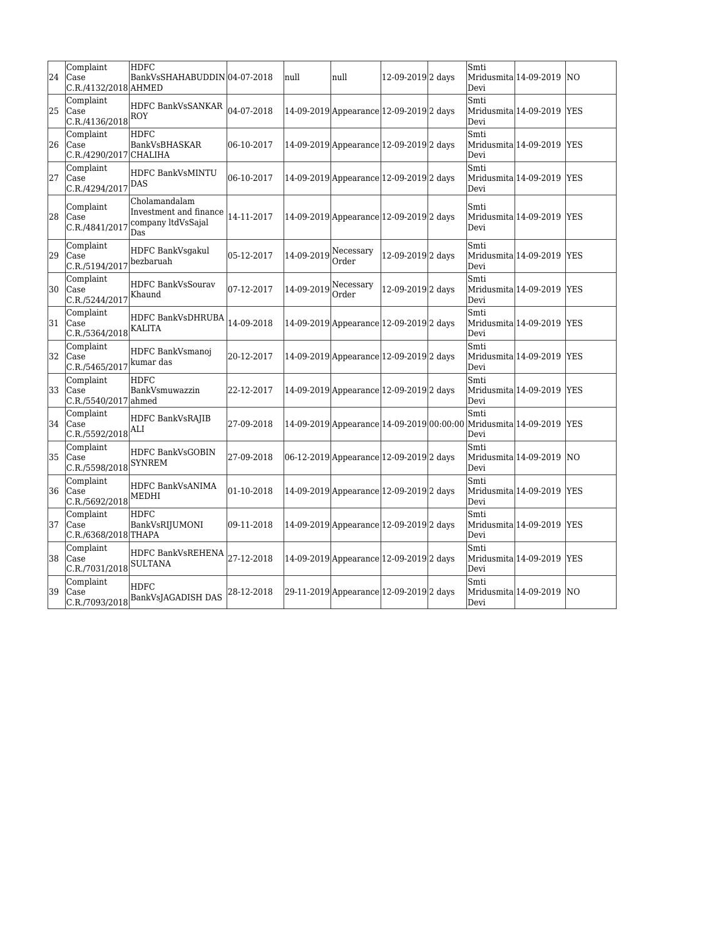| 24 | Complaint<br>Case<br>C.R./4132/2018 AHMED                         | <b>HDFC</b><br>BankVsSHAHABUDDIN 04-07-2018                          |            | null                              | null                                      | 12-09-2019 2 days | Smti<br>Devi | Mridusmita 14-09-2019     | lno        |
|----|-------------------------------------------------------------------|----------------------------------------------------------------------|------------|-----------------------------------|-------------------------------------------|-------------------|--------------|---------------------------|------------|
| 25 | Complaint<br>Case<br>$ C.R./4136/2018 $ ROY                       | HDFC BankVsSANKAR                                                    | 04-07-2018 |                                   | 14-09-2019 Appearance 12-09-2019 2 days   |                   | Smti<br>Devi | Mridusmita 14-09-2019 YES |            |
| 26 | Complaint<br>Case<br>C.R./4290/2017 CHALIHA                       | <b>HDFC</b><br>BankVsBHASKAR                                         | 06-10-2017 |                                   | 14-09-2019 Appearance 12-09-2019 2 days   |                   | Smti<br>Devi | Mridusmita 14-09-2019     | <b>YES</b> |
| 27 | Complaint<br>Case<br>C.R./4294/2017                               | <b>HDFC BankVsMINTU</b><br>DAS                                       | 06-10-2017 |                                   | 14-09-2019 Appearance 12-09-2019 2 days   |                   | Smti<br>Devi | Mridusmita 14-09-2019 YES |            |
| 28 | Complaint<br>Case<br>C.R./4841/2017                               | Cholamandalam<br>Investment and finance<br>company ltdVsSajal<br>Das | 14-11-2017 |                                   | 14-09-2019 Appearance 12-09-2019 2 days   |                   | Smti<br>Devi | Mridusmita 14-09-2019     | <b>YES</b> |
| 29 | Complaint<br>Case<br>C.R./5194/2017                               | HDFC BankVsgakul<br>bezbaruah                                        | 05-12-2017 | 14-09-2019                        | Necessary<br>Order                        | 12-09-2019 2 days | Smti<br>Devi | Mridusmita 14-09-2019 YES |            |
| 30 | Complaint<br>Case<br>C.R./5244/2017                               | <b>HDFC BankVsSourav</b><br>Khaund                                   | 07-12-2017 | $14-09-2019$ <sup>Necessary</sup> | Order                                     | 12-09-2019 2 days | Smti<br>Devi | Mridusmita 14-09-2019     | <b>YES</b> |
| 31 | Complaint<br>Case<br>$ $ C.R./5364/2018 KALITA                    | HDFC BankVsDHRUBA                                                    | 14-09-2018 |                                   | 14-09-2019 Appearance 12-09-2019 2 days   |                   | Smti<br>Devi | Mridusmita 14-09-2019     | <b>YES</b> |
| 32 | Complaint<br>lCase<br>C.R./5465/2017                              | HDFC BankVsmanoj<br>lkumar das                                       | 20-12-2017 |                                   | 14-09-2019 Appearance 12-09-2019 2 days   |                   | Smti<br>Devi | Mridusmita 14-09-2019     | <b>YES</b> |
| 33 | Complaint<br>Case<br>C.R./5540/2017 ahmed                         | <b>HDFC</b><br>BankVsmuwazzin                                        | 22-12-2017 |                                   | 14-09-2019 Appearance 12-09-2019 2 days   |                   | Smti<br>Devi | Mridusmita 14-09-2019     | <b>YES</b> |
| 34 | Complaint<br>Case<br>$\frac{ C.R./5592/2018 ALI }{2}$             | <b>HDFC BankVsRAJIB</b>                                              | 27-09-2018 |                                   | 14-09-2019 Appearance 14-09-2019 00:00:00 |                   | Smti<br>Devi | Mridusmita 14-09-2019     | <b>YES</b> |
| 35 | Complaint<br>Case<br>C.R./5598/2018 SYNREM                        | HDFC BankVsGOBIN                                                     | 27-09-2018 |                                   | 06-12-2019 Appearance 12-09-2019 2 days   |                   | Smti<br>Devi | Mridusmita 14-09-2019     | lno        |
| 36 | Complaint<br>Case<br>$\left  \text{C.R.}/5692/2018 \right $ MEDHI | HDFC BankVsANIMA                                                     | 01-10-2018 |                                   | 14-09-2019 Appearance 12-09-2019 2 days   |                   | Smti<br>Devi | Mridusmita 14-09-2019     | <b>YES</b> |
| 37 | Complaint<br>Case<br>C.R./6368/2018 THAPA                         | <b>HDFC</b><br>BankVsRIJUMONI                                        | 09-11-2018 |                                   | 14-09-2019 Appearance 12-09-2019 2 days   |                   | Smti<br>Devi | Mridusmita 14-09-2019     | <b>YES</b> |
| 38 | Complaint<br>Case<br>$ C.R./7031/2018 $ SULTANA                   | HDFC BankVsREHENA                                                    | 27-12-2018 |                                   | 14-09-2019 Appearance 12-09-2019 2 days   |                   | Smti<br>Devi | Mridusmita 14-09-2019     | <b>YES</b> |
| 39 | Complaint<br>Case                                                 | <b>HDFC</b><br>C.R./7093/2018 BankVsJAGADISH DAS                     | 28-12-2018 |                                   | 29-11-2019 Appearance 12-09-2019 2 days   |                   | Smti<br>Devi | Mridusmita 14-09-2019     | lno        |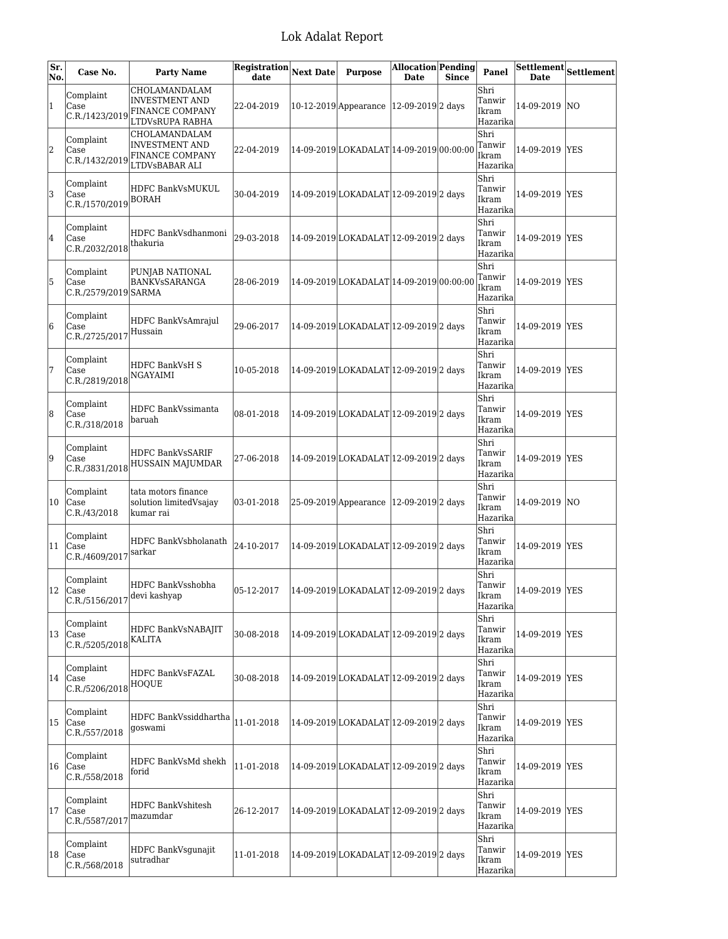| Sr.<br>No.   | Case No.                                      | <b>Party Name</b>                                                     | <b>Registration</b><br>date | <b>Next Date</b> | <b>Purpose</b>                            | Allocation Pending<br><b>Date</b> | <b>Since</b> | Panel                               | <b>Date</b>    | $\overline{\text{Settlement}}\text{Settlement}$ |
|--------------|-----------------------------------------------|-----------------------------------------------------------------------|-----------------------------|------------------|-------------------------------------------|-----------------------------------|--------------|-------------------------------------|----------------|-------------------------------------------------|
| $\mathbf{1}$ | Complaint<br>Case<br>C.R./1423/2019           | CHOLAMANDALAM<br>INVESTMENT AND<br>FINANCE COMPANY<br>LTDVsRUPA RABHA | 22-04-2019                  |                  | 10-12-2019 Appearance   12-09-2019 2 days |                                   |              | Shri<br>Tanwir<br>Ikram<br>Hazarika | 14-09-2019  NO |                                                 |
| 2            | Complaint<br>Case<br>C.R./1432/2019           | CHOLAMANDALAM<br>INVESTMENT AND<br>FINANCE COMPANY<br>LTDVsBABAR ALI  | 22-04-2019                  |                  | 14-09-2019 LOKADALAT 14-09-2019 00:00:00  |                                   |              | Shri<br>Tanwir<br>Ikram<br>Hazarika | 14-09-2019 YES |                                                 |
| 3            | Complaint<br>Case<br>$ C.R./1570/2019 $ BORAH | HDFC BankVsMUKUL                                                      | 30-04-2019                  |                  | 14-09-2019 LOKADALAT 12-09-2019 2 days    |                                   |              | Shri<br>Tanwir<br>Ikram<br>Hazarika | 14-09-2019 YES |                                                 |
| 4            | Complaint<br>Case<br>C.R./2032/2018           | HDFC BankVsdhanmoni<br>thakuria                                       | 29-03-2018                  |                  | 14-09-2019 LOKADALAT 12-09-2019 2 days    |                                   |              | Shri<br>Tanwir<br>Ikram<br>Hazarika | 14-09-2019 YES |                                                 |
| 5            | Complaint<br>Case<br>C.R./2579/2019 SARMA     | PUNJAB NATIONAL<br>BANKVsSARANGA                                      | 28-06-2019                  |                  | 14-09-2019 LOKADALAT 14-09-2019 00:00:00  |                                   |              | Shri<br>Tanwir<br>Ikram<br>Hazarika | 14-09-2019 YES |                                                 |
| 6            | Complaint<br>Case<br>C.R./2725/2017           | HDFC BankVsAmrajul<br>Hussain                                         | 29-06-2017                  |                  | 14-09-2019 LOKADALAT 12-09-2019 2 days    |                                   |              | Shri<br>Tanwir<br>Ikram<br>Hazarika | 14-09-2019 YES |                                                 |
| 7            | Complaint<br>Case<br>C.R./2819/2018           | HDFC BankVsH S<br>NGAYAIMI                                            | 10-05-2018                  |                  | 14-09-2019 LOKADALAT 12-09-2019 2 days    |                                   |              | Shri<br>Tanwir<br>Ikram<br>Hazarika | 14-09-2019 YES |                                                 |
| 8            | Complaint<br>Case<br>C.R./318/2018            | HDFC BankVssimanta<br>baruah                                          | 08-01-2018                  |                  | 14-09-2019 LOKADALAT 12-09-2019 2 days    |                                   |              | Shri<br>Tanwir<br>Ikram<br>Hazarika | 14-09-2019 YES |                                                 |
| 9            | Complaint<br>Case<br>C.R./3831/2018           | HDFC BankVsSARIF<br>HUSSAIN MAJUMDAR                                  | 27-06-2018                  |                  | 14-09-2019 LOKADALAT 12-09-2019 2 days    |                                   |              | Shri<br>Tanwir<br>Ikram<br>Hazarika | 14-09-2019 YES |                                                 |
| 10           | Complaint<br>Case<br>C.R./43/2018             | tata motors finance<br>solution limitedVsajay<br>kumar rai            | 03-01-2018                  |                  | 25-09-2019 Appearance 12-09-2019 2 days   |                                   |              | Shri<br>Tanwir<br>Ikram<br>Hazarika | 14-09-2019 NO  |                                                 |
| 11           | Complaint<br>Case<br>C.R./4609/2017           | HDFC BankVsbholanath<br>sarkar                                        | 24-10-2017                  |                  | 14-09-2019 LOKADALAT 12-09-2019 2 days    |                                   |              | Shri<br>Tanwir<br>Ikram<br>Hazarika | 14-09-2019 YES |                                                 |
|              | Complaint<br>$ 12 $ Case<br>C.R./5156/2017    | HDFC BankVsshobha<br>devi kashyap                                     | 05-12-2017                  |                  | 14-09-2019 LOKADALAT 12-09-2019 2 days    |                                   |              | Shri<br>Tanwir<br>Ikram<br>Hazarika | 14-09-2019 YES |                                                 |
| 13           | Complaint<br>Case<br>C.R./5205/2018           | HDFC BankVsNABAJIT<br>KALITA                                          | 30-08-2018                  |                  | 14-09-2019 LOKADALAT 12-09-2019 2 days    |                                   |              | Shri<br>Tanwir<br>Ikram<br>Hazarika | 14-09-2019 YES |                                                 |
| 14           | Complaint<br>Case<br>C.R./5206/2018           | HDFC BankVsFAZAL<br><b>HOOUE</b>                                      | 30-08-2018                  |                  | 14-09-2019 LOKADALAT 12-09-2019 2 days    |                                   |              | Shri<br>Tanwir<br>Ikram<br>Hazarika | 14-09-2019 YES |                                                 |
| 15           | Complaint<br>Case<br>C.R./557/2018            | HDFC BankVssiddhartha<br>goswami                                      | 11-01-2018                  |                  | 14-09-2019 LOKADALAT 12-09-2019 2 days    |                                   |              | Shri<br>Tanwir<br>Ikram<br>Hazarika | 14-09-2019 YES |                                                 |
| 16           | Complaint<br>Case<br>C.R./558/2018            | HDFC BankVsMd shekh<br>forid                                          | 11-01-2018                  |                  | 14-09-2019 LOKADALAT 12-09-2019 2 days    |                                   |              | Shri<br>Tanwir<br>Ikram<br>Hazarika | 14-09-2019 YES |                                                 |
| 17           | Complaint<br>Case<br>C.R./5587/2017           | HDFC BankVshitesh<br>mazumdar                                         | 26-12-2017                  |                  | 14-09-2019 LOKADALAT 12-09-2019 2 days    |                                   |              | Shri<br>Tanwir<br>Ikram<br>Hazarika | 14-09-2019 YES |                                                 |
| 18           | Complaint<br>Case<br>C.R./568/2018            | <b>HDFC BankVsgunajit</b><br>sutradhar                                | 11-01-2018                  |                  | 14-09-2019 LOKADALAT 12-09-2019 2 days    |                                   |              | Shri<br>Tanwir<br>Ikram<br>Hazarika | 14-09-2019 YES |                                                 |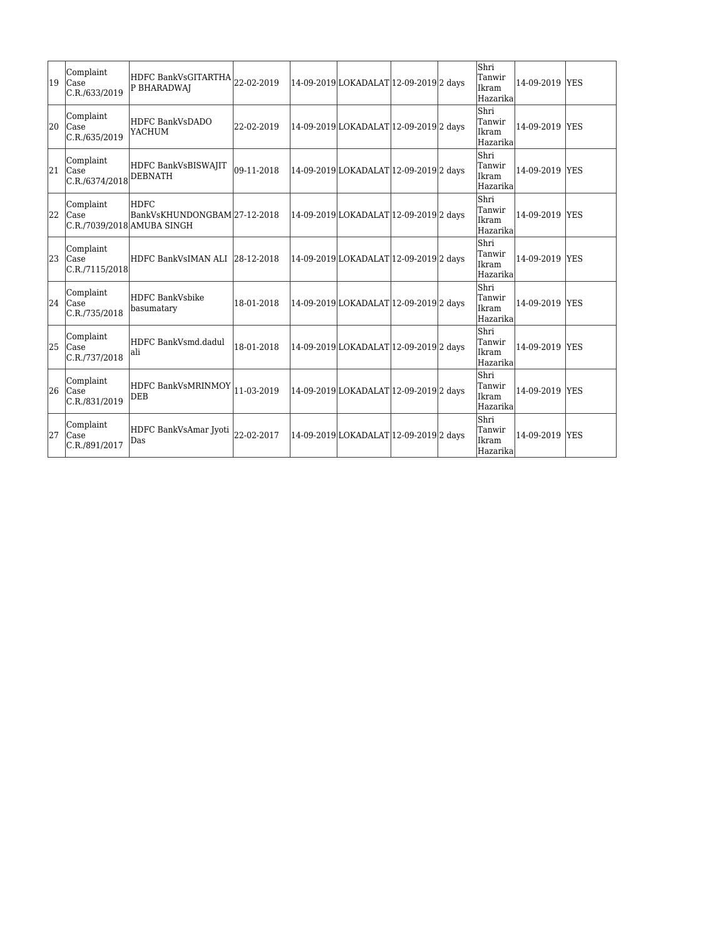| 19 | Complaint<br><b>Case</b><br>C.R./633/2019       | HDFC BankVsGITARTHA <br> 22-02-2019<br>P BHARADWAJ                         |            | 14-09-2019 LOKADALAT 12-09-2019 2 days |  | Shri<br>Tanwir<br>Ikram<br>Hazarika | 14-09-2019 YES |            |
|----|-------------------------------------------------|----------------------------------------------------------------------------|------------|----------------------------------------|--|-------------------------------------|----------------|------------|
| 20 | Complaint<br><b>Case</b><br>C.R./635/2019       | HDFC BankVsDADO<br>YACHUM                                                  | 22-02-2019 | 14-09-2019 LOKADALAT 12-09-2019 2 days |  | Shri<br>Tanwir<br>Ikram<br>Hazarika | 14-09-2019 YES |            |
| 21 | Complaint<br>Case<br>$ C.R./6374/2018 $ DEBNATH | HDFC BankVsBISWAJIT                                                        | 09-11-2018 | 14-09-2019 LOKADALAT 12-09-2019 2 days |  | Shri<br>Tanwir<br>Ikram<br>Hazarika | 14-09-2019 YES |            |
| 22 | Complaint<br><b>Case</b>                        | <b>HDFC</b><br>BankVsKHUNDONGBAM 27-12-2018 <br>C.R./7039/2018 AMUBA SINGH |            | 14-09-2019 LOKADALAT 12-09-2019 2 days |  | Shri<br>Tanwir<br>Ikram<br>Hazarika | 14-09-2019 YES |            |
| 23 | Complaint<br>Case<br>C.R./7115/2018             | HDFC BankVsIMAN ALI  28-12-2018                                            |            | 14-09-2019 LOKADALAT 12-09-2019 2 days |  | Shri<br>Tanwir<br>Ikram<br>Hazarika | 14-09-2019 YES |            |
| 24 | Complaint<br><b>Case</b><br>C.R./735/2018       | HDFC BankVsbike<br>basumatary                                              | 18-01-2018 | 14-09-2019 LOKADALAT 12-09-2019 2 days |  | Shri<br>Tanwir<br>Ikram<br>Hazarika | 14-09-2019     | <b>YES</b> |
| 25 | Complaint<br><b>Case</b><br>C.R./737/2018       | HDFC BankVsmd.dadul<br>lali                                                | 18-01-2018 | 14-09-2019 LOKADALAT 12-09-2019 2 days |  | Shri<br>Tanwir<br>Ikram<br>Hazarika | 14-09-2019 YES |            |
| 26 | Complaint<br>Case<br>C.R./831/2019              | HDFC BankVsMRINMOY<br>DEB                                                  | 11-03-2019 | 14-09-2019 LOKADALAT 12-09-2019 2 days |  | Shri<br>Tanwir<br>Ikram<br>Hazarika | 14-09-2019 YES |            |
| 27 | Complaint<br>Case<br>C.R./891/2017              | HDFC BankVsAmar Jyoti<br>Das                                               | 22-02-2017 | 14-09-2019 LOKADALAT 12-09-2019 2 days |  | Shri<br>Tanwir<br>Ikram<br>Hazarika | 14-09-2019 YES |            |